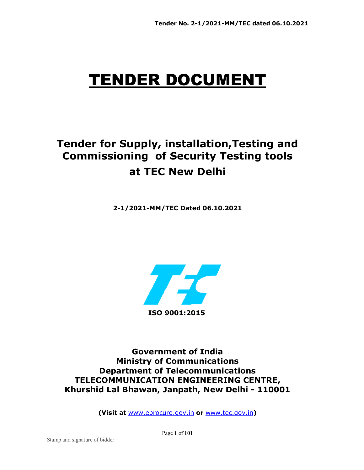# TENDER DOCUMENT

## **Tender for Supply, installation,Testing and Commissioning of Security Testing tools at TEC New Delhi**

**2-1/2021-MM/TEC Dated 06.10.2021** 



**Government of India Ministry of Communications Department of Telecommunications TELECOMMUNICATION ENGINEERING CENTRE, Khurshid Lal Bhawan, Janpath, New Delhi - 110001** 

**(Visit at** www.eprocure.gov.in **or** www.tec.gov.in**)** 

Page **1** of **101**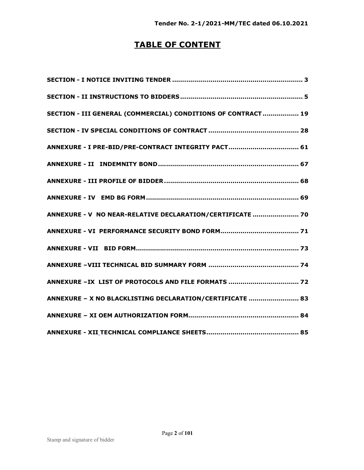## **TABLE OF CONTENT**

| SECTION - III GENERAL (COMMERCIAL) CONDITIONS OF CONTRACT 19 |
|--------------------------------------------------------------|
|                                                              |
|                                                              |
|                                                              |
|                                                              |
|                                                              |
| ANNEXURE - V NO NEAR-RELATIVE DECLARATION/CERTIFICATE  70    |
|                                                              |
|                                                              |
|                                                              |
|                                                              |
| ANNEXURE - X NO BLACKLISTING DECLARATION/CERTIFICATE  83     |
|                                                              |
|                                                              |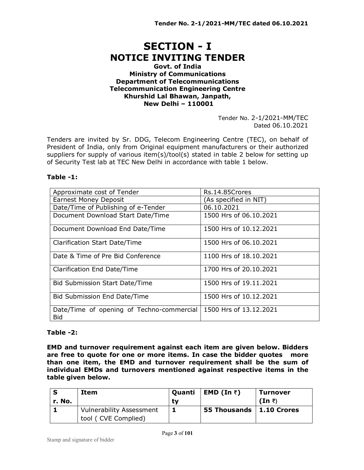## **SECTION - I NOTICE INVITING TENDER**

#### **Govt. of India Ministry of Communications Department of Telecommunications Telecommunication Engineering Centre Khurshid Lal Bhawan, Janpath, New Delhi – 110001**

Tender No. 2-1/2021-MM/TEC Dated 06.10.2021

Tenders are invited by Sr. DDG, Telecom Engineering Centre (TEC), on behalf of President of India, only from Original equipment manufacturers or their authorized suppliers for supply of various item(s)/tool(s) stated in table 2 below for setting up of Security Test lab at TEC New Delhi in accordance with table 1 below.

#### **Table -1:**

| Approximate cost of Tender                              | Rs.14.85Crores         |
|---------------------------------------------------------|------------------------|
| <b>Earnest Money Deposit</b>                            | (As specified in NIT)  |
| Date/Time of Publishing of e-Tender                     | 06.10.2021             |
| Document Download Start Date/Time                       | 1500 Hrs of 06.10.2021 |
| Document Download End Date/Time                         | 1500 Hrs of 10.12.2021 |
| Clarification Start Date/Time                           | 1500 Hrs of 06.10.2021 |
| Date & Time of Pre Bid Conference                       | 1100 Hrs of 18.10.2021 |
| Clarification End Date/Time                             | 1700 Hrs of 20.10.2021 |
| <b>Bid Submission Start Date/Time</b>                   | 1500 Hrs of 19.11.2021 |
| Bid Submission End Date/Time                            | 1500 Hrs of 10.12.2021 |
| Date/Time of opening of Techno-commercial<br><b>Bid</b> | 1500 Hrs of 13.12.2021 |

#### **Table -2:**

**EMD and turnover requirement against each item are given below. Bidders are free to quote for one or more items. In case the bidder quotes more than one item, the EMD and turnover requirement shall be the sum of individual EMDs and turnovers mentioned against respective items in the table given below.** 

|        | Item                            | Quanti | EMD (In ₹)                 | <b>Turnover</b>      |
|--------|---------------------------------|--------|----------------------------|----------------------|
| r. No. |                                 | tv     |                            | $(In \; \bar{\tau})$ |
|        | <b>Vulnerability Assessment</b> |        | 55 Thousands   1.10 Crores |                      |
|        | tool ( CVE Complied)            |        |                            |                      |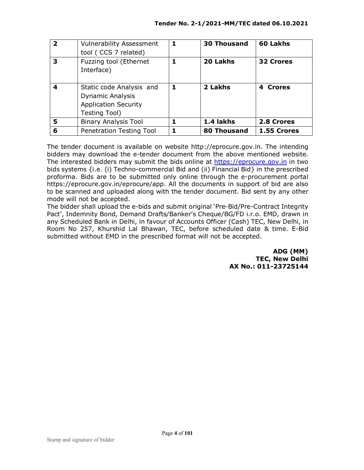| $\overline{\mathbf{2}}$ | <b>Vulnerability Assessment</b><br>tool (CCS 7 related)                                             | 1 | <b>30 Thousand</b> | 60 Lakhs         |
|-------------------------|-----------------------------------------------------------------------------------------------------|---|--------------------|------------------|
| 3                       | Fuzzing tool (Ethernet<br>Interface)                                                                |   | 20 Lakhs           | <b>32 Crores</b> |
| 4                       | Static code Analysis and<br><b>Dynamic Analysis</b><br><b>Application Security</b><br>Testing Tool) | 1 | 2 Lakhs            | 4 Crores         |
| 5                       | <b>Binary Analysis Tool</b>                                                                         |   | 1.4 lakhs          | 2.8 Crores       |
| 6                       | <b>Penetration Testing Tool</b>                                                                     |   | <b>80 Thousand</b> | 1.55 Crores      |

The tender document is available on website http://eprocure.gov.in. The intending bidders may download the e-tender document from the above mentioned website. The interested bidders may submit the bids online at https://eprocure.gov.in in two bids systems {i.e. (i) Techno-commercial Bid and (ii) Financial Bid} in the prescribed proforma. Bids are to be submitted only online through the e-procurement portal https://eprocure.gov.in/eprocure/app. All the documents in support of bid are also to be scanned and uploaded along with the tender document. Bid sent by any other mode will not be accepted.

The bidder shall upload the e-bids and submit original 'Pre-Bid/Pre-Contract Integrity Pact', Indemnity Bond, Demand Drafts/Banker's Cheque/BG/FD i.r.o. EMD, drawn in any Scheduled Bank in Delhi, in favour of Accounts Officer (Cash) TEC, New Delhi, in Room No 257, Khurshid Lal Bhawan, TEC, before scheduled date & time. E-Bid submitted without EMD in the prescribed format will not be accepted.

> **ADG (MM) TEC, New Delhi AX No.: 011-23725144**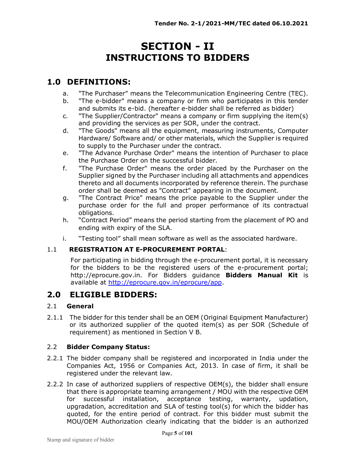## **SECTION - II INSTRUCTIONS TO BIDDERS**

### **1.0 DEFINITIONS:**

- a. "The Purchaser" means the Telecommunication Engineering Centre (TEC).
- b. "The e-bidder" means a company or firm who participates in this tender and submits its e-bid. (hereafter e-bidder shall be referred as bidder)
- c. "The Supplier/Contractor" means a company or firm supplying the item(s) and providing the services as per SOR, under the contract.
- d. "The Goods" means all the equipment, measuring instruments, Computer Hardware/ Software and/ or other materials, which the Supplier is required to supply to the Purchaser under the contract.
- e. "The Advance Purchase Order" means the intention of Purchaser to place the Purchase Order on the successful bidder.
- f. "The Purchase Order" means the order placed by the Purchaser on the Supplier signed by the Purchaser including all attachments and appendices thereto and all documents incorporated by reference therein. The purchase order shall be deemed as "Contract" appearing in the document.
- g. "The Contract Price" means the price payable to the Supplier under the purchase order for the full and proper performance of its contractual obligations.
- h. "Contract Period" means the period starting from the placement of PO and ending with expiry of the SLA.
- i. "Testing tool" shall mean software as well as the associated hardware.

#### 1.1 **REGISTRATION AT E-PROCUREMENT PORTAL**:

For participating in bidding through the e-procurement portal, it is necessary for the bidders to be the registered users of the e-procurement portal; http://eprocure.gov.in. For Bidders guidance **Bidders Manual Kit** is available at http://eprocure.gov.in/eprocure/app.

#### **2.0 ELIGIBLE BIDDERS:**

#### 2.1 **General**

2.1.1 The bidder for this tender shall be an OEM (Original Equipment Manufacturer) or its authorized supplier of the quoted item(s) as per SOR (Schedule of requirement) as mentioned in Section V B.

#### 2.2 **Bidder Company Status:**

- 2.2.1 The bidder company shall be registered and incorporated in India under the Companies Act, 1956 or Companies Act, 2013. In case of firm, it shall be registered under the relevant law.
- 2.2.2 In case of authorized suppliers of respective OEM(s), the bidder shall ensure that there is appropriate teaming arrangement / MOU with the respective OEM for successful installation, acceptance testing, warranty, updation, upgradation, accreditation and SLA of testing tool(s) for which the bidder has quoted, for the entire period of contract. For this bidder must submit the MOU/OEM Authorization clearly indicating that the bidder is an authorized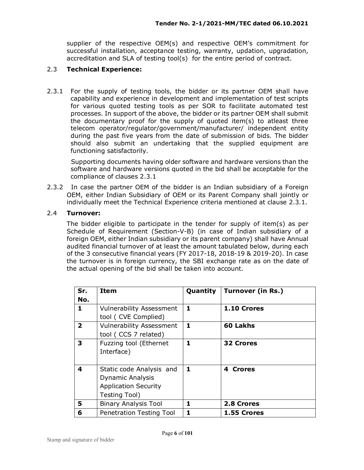supplier of the respective OEM(s) and respective OEM's commitment for successful installation, acceptance testing, warranty, updation, upgradation, accreditation and SLA of testing tool(s) for the entire period of contract.

#### 2.3 **Technical Experience:**

2.3.1 For the supply of testing tools, the bidder or its partner OEM shall have capability and experience in development and implementation of test scripts for various quoted testing tools as per SOR to facilitate automated test processes. In support of the above, the bidder or its partner OEM shall submit the documentary proof for the supply of quoted item(s) to atleast three telecom operator/regulator/government/manufacturer/ independent entity during the past five years from the date of submission of bids. The bidder should also submit an undertaking that the supplied equipment are functioning satisfactorily.

 Supporting documents having older software and hardware versions than the software and hardware versions quoted in the bid shall be acceptable for the compliance of clauses 2.3.1

2.3.2 In case the partner OEM of the bidder is an Indian subsidiary of a Foreign OEM, either Indian Subsidiary of OEM or its Parent Company shall jointly or individually meet the Technical Experience criteria mentioned at clause 2.3.1.

#### 2.4 **Turnover:**

The bidder eligible to participate in the tender for supply of item(s) as per Schedule of Requirement (Section-V-B) (in case of Indian subsidiary of a foreign OEM, either Indian subsidiary or its parent company) shall have Annual audited financial turnover of at least the amount tabulated below, during each of the 3 consecutive financial years (FY 2017-18, 2018-19 & 2019-20). In case the turnover is in foreign currency, the SBI exchange rate as on the date of the actual opening of the bid shall be taken into account.

| Sr.<br>No.     | <b>Item</b>                                                                                         | Quantity | <b>Turnover (in Rs.)</b> |
|----------------|-----------------------------------------------------------------------------------------------------|----------|--------------------------|
| 1              | <b>Vulnerability Assessment</b><br>tool ( CVE Complied)                                             | 1        | 1.10 Crores              |
| $\overline{2}$ | <b>Vulnerability Assessment</b><br>tool (CCS 7 related)                                             | 1        | 60 Lakhs                 |
| 3              | Fuzzing tool (Ethernet<br>Interface)                                                                | 1        | <b>32 Crores</b>         |
| 4              | Static code Analysis and<br><b>Dynamic Analysis</b><br><b>Application Security</b><br>Testing Tool) | 1        | 4 Crores                 |
| 5              | <b>Binary Analysis Tool</b>                                                                         | 1        | 2.8 Crores               |
| 6              | <b>Penetration Testing Tool</b>                                                                     | 1        | 1.55 Crores              |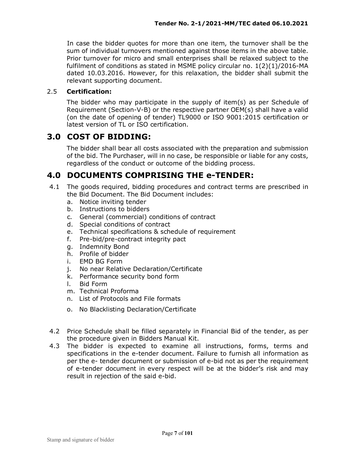In case the bidder quotes for more than one item, the turnover shall be the sum of individual turnovers mentioned against those items in the above table. Prior turnover for micro and small enterprises shall be relaxed subject to the fulfilment of conditions as stated in MSME policy circular no. 1(2)(1)/2016-MA dated 10.03.2016. However, for this relaxation, the bidder shall submit the relevant supporting document.

#### 2.5 **Certification:**

The bidder who may participate in the supply of item(s) as per Schedule of Requirement (Section-V-B) or the respective partner OEM(s) shall have a valid (on the date of opening of tender) TL9000 or ISO 9001:2015 certification or latest version of TL or ISO certification.

#### **3.0 COST OF BIDDING:**

 The bidder shall bear all costs associated with the preparation and submission of the bid. The Purchaser, will in no case, be responsible or liable for any costs, regardless of the conduct or outcome of the bidding process.

#### **4.0 DOCUMENTS COMPRISING THE e-TENDER:**

- 4.1 The goods required, bidding procedures and contract terms are prescribed in the Bid Document. The Bid Document includes:
	- a. Notice inviting tender
	- b. Instructions to bidders
	- c. General (commercial) conditions of contract
	- d. Special conditions of contract
	- e. Technical specifications & schedule of requirement
	- f. Pre-bid/pre-contract integrity pact
	- g. Indemnity Bond
	- h. Profile of bidder
	- i. EMD BG Form
	- j. No near Relative Declaration/Certificate
	- k. Performance security bond form
	- l. Bid Form
	- m. Technical Proforma
	- n. List of Protocols and File formats
	- o. No Blacklisting Declaration/Certificate
- 4.2 Price Schedule shall be filled separately in Financial Bid of the tender, as per the procedure given in Bidders Manual Kit.
- 4.3 The bidder is expected to examine all instructions, forms, terms and specifications in the e-tender document. Failure to furnish all information as per the e- tender document or submission of e-bid not as per the requirement of e-tender document in every respect will be at the bidder's risk and may result in rejection of the said e-bid.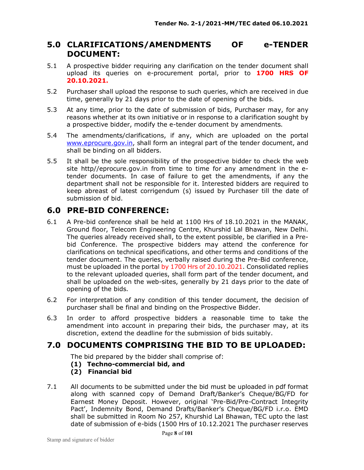#### **5.0 CLARIFICATIONS/AMENDMENTS OF e-TENDER DOCUMENT:**

- 5.1 A prospective bidder requiring any clarification on the tender document shall upload its queries on e-procurement portal, prior to **1700 HRS OF 20.10.2021.**
- 5.2 Purchaser shall upload the response to such queries, which are received in due time, generally by 21 days prior to the date of opening of the bids.
- 5.3 At any time, prior to the date of submission of bids, Purchaser may, for any reasons whether at its own initiative or in response to a clarification sought by a prospective bidder, modify the e-tender document by amendments.
- 5.4 The amendments/clarifications, if any, which are uploaded on the portal www.eprocure.gov.in, shall form an integral part of the tender document, and shall be binding on all bidders.
- 5.5 It shall be the sole responsibility of the prospective bidder to check the web site http//eprocure.gov.in from time to time for any amendment in the etender documents. In case of failure to get the amendments, if any the department shall not be responsible for it. Interested bidders are required to keep abreast of latest corrigendum (s) issued by Purchaser till the date of submission of bid.

### **6.0 PRE-BID CONFERENCE:**

- 6.1 A Pre-bid conference shall be held at 1100 Hrs of 18.10.2021 in the MANAK, Ground floor, Telecom Engineering Centre, Khurshid Lal Bhawan, New Delhi. The queries already received shall, to the extent possible, be clarified in a Prebid Conference. The prospective bidders may attend the conference for clarifications on technical specifications, and other terms and conditions of the tender document. The queries, verbally raised during the Pre-Bid conference, must be uploaded in the portal by 1700 Hrs of 20.10.2021. Consolidated replies to the relevant uploaded queries, shall form part of the tender document, and shall be uploaded on the web-sites, generally by 21 days prior to the date of opening of the bids.
- 6.2 For interpretation of any condition of this tender document, the decision of purchaser shall be final and binding on the Prospective Bidder.
- 6.3 In order to afford prospective bidders a reasonable time to take the amendment into account in preparing their bids, the purchaser may, at its discretion, extend the deadline for the submission of bids suitably.

## **7.0 DOCUMENTS COMPRISING THE BID TO BE UPLOADED:**

The bid prepared by the bidder shall comprise of:

- **(1) Techno-commercial bid, and**
- **(2) Financial bid**
- 7.1 All documents to be submitted under the bid must be uploaded in pdf format along with scanned copy of Demand Draft/Banker's Cheque/BG/FD for Earnest Money Deposit. However, original 'Pre-Bid/Pre-Contract Integrity Pact', Indemnity Bond, Demand Drafts/Banker's Cheque/BG/FD i.r.o. EMD shall be submitted in Room No 257, Khurshid Lal Bhawan, TEC upto the last date of submission of e-bids (1500 Hrs of 10.12.2021 The purchaser reserves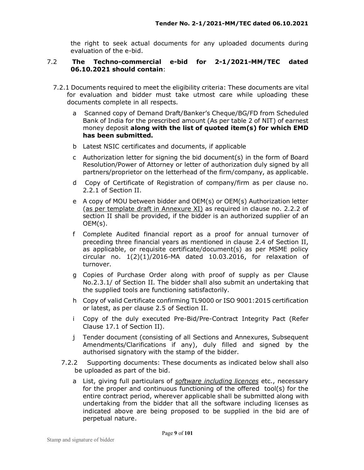the right to seek actual documents for any uploaded documents during evaluation of the e-bid.

#### 7.2 **The Techno-commercial e-bid for 2-1/2021-MM/TEC dated 06.10.2021 should contain**:

- 7.2.1 Documents required to meet the eligibility criteria: These documents are vital for evaluation and bidder must take utmost care while uploading these documents complete in all respects.
	- a Scanned copy of Demand Draft/Banker's Cheque/BG/FD from Scheduled Bank of India for the prescribed amount (As per table 2 of NIT) of earnest money deposit **along with the list of quoted item(s) for which EMD has been submitted.**
	- b Latest NSIC certificates and documents, if applicable
	- c Authorization letter for signing the bid document(s) in the form of Board Resolution/Power of Attorney or letter of authorization duly signed by all partners/proprietor on the letterhead of the firm/company, as applicable.
	- d Copy of Certificate of Registration of company/firm as per clause no. 2.2.1 of Section II.
	- e A copy of MOU between bidder and OEM(s) or OEM(s) Authorization letter (as per template draft in Annexure XI) as required in clause no. 2.2.2 of section II shall be provided, if the bidder is an authorized supplier of an OEM(s).
	- f Complete Audited financial report as a proof for annual turnover of preceding three financial years as mentioned in clause 2.4 of Section II, as applicable, or requisite certificate/document(s) as per MSME policy circular no.  $1(2)(1)/2016$ -MA dated  $10.03.2016$ , for relaxation of turnover.
	- g Copies of Purchase Order along with proof of supply as per Clause No.2.3.1/ of Section II. The bidder shall also submit an undertaking that the supplied tools are functioning satisfactorily.
	- h Copy of valid Certificate confirming TL9000 or ISO 9001:2015 certification or latest, as per clause 2.5 of Section II.
	- i Copy of the duly executed Pre-Bid/Pre-Contract Integrity Pact (Refer Clause 17.1 of Section II).
	- j Tender document (consisting of all Sections and Annexures, Subsequent Amendments/Clarifications if any), duly filled and signed by the authorised signatory with the stamp of the bidder.
	- 7.2.2 Supporting documents: These documents as indicated below shall also be uploaded as part of the bid.
		- a List, giving full particulars of *software including licences* etc., necessary for the proper and continuous functioning of the offered tool(s) for the entire contract period, wherever applicable shall be submitted along with undertaking from the bidder that all the software including licenses as indicated above are being proposed to be supplied in the bid are of perpetual nature.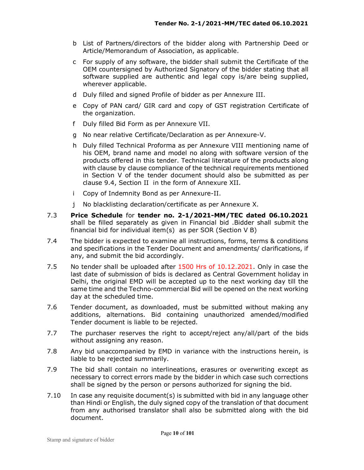- b List of Partners/directors of the bidder along with Partnership Deed or Article/Memorandum of Association, as applicable.
- c For supply of any software, the bidder shall submit the Certificate of the OEM countersigned by Authorized Signatory of the bidder stating that all software supplied are authentic and legal copy is/are being supplied, wherever applicable.
- d Duly filled and signed Profile of bidder as per Annexure III.
- e Copy of PAN card/ GIR card and copy of GST registration Certificate of the organization.
- f Duly filled Bid Form as per Annexure VII.
- g No near relative Certificate/Declaration as per Annexure-V.
- h Duly filled Technical Proforma as per Annexure VIII mentioning name of his OEM, brand name and model no along with software version of the products offered in this tender. Technical literature of the products along with clause by clause compliance of the technical requirements mentioned in Section V of the tender document should also be submitted as per clause 9.4, Section II in the form of Annexure XII.
- i Copy of Indemnity Bond as per Annexure-II.
- j No blacklisting declaration/certificate as per Annexure X.
- 7.3 **Price Schedule** for **tender no. 2-1/2021-MM/TEC dated 06.10.2021** shall be filled separately as given in Financial bid .Bidder shall submit the financial bid for individual item(s) as per SOR (Section V B)
- 7.4 The bidder is expected to examine all instructions, forms, terms & conditions and specifications in the Tender Document and amendments/ clarifications, if any, and submit the bid accordingly.
- 7.5 No tender shall be uploaded after 1500 Hrs of 10.12.2021. Only in case the last date of submission of bids is declared as Central Government holiday in Delhi, the original EMD will be accepted up to the next working day till the same time and the Techno-commercial Bid will be opened on the next working day at the scheduled time.
- 7.6 Tender document, as downloaded, must be submitted without making any additions, alternations. Bid containing unauthorized amended/modified Tender document is liable to be rejected.
- 7.7 The purchaser reserves the right to accept/reject any/all/part of the bids without assigning any reason.
- 7.8 Any bid unaccompanied by EMD in variance with the instructions herein, is liable to be rejected summarily.
- 7.9 The bid shall contain no interlineations, erasures or overwriting except as necessary to correct errors made by the bidder in which case such corrections shall be signed by the person or persons authorized for signing the bid.
- 7.10 In case any requisite document(s) is submitted with bid in any language other than Hindi or English, the duly signed copy of the translation of that document from any authorised translator shall also be submitted along with the bid document.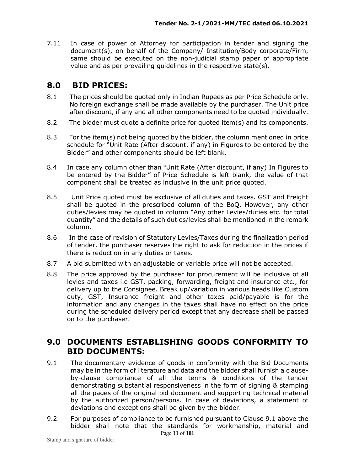7.11 In case of power of Attorney for participation in tender and signing the document(s), on behalf of the Company/ Institution/Body corporate/Firm, same should be executed on the non-judicial stamp paper of appropriate value and as per prevailing guidelines in the respective state(s).

#### **8.0 BID PRICES:**

- 8.1 The prices should be quoted only in Indian Rupees as per Price Schedule only. No foreign exchange shall be made available by the purchaser. The Unit price after discount, if any and all other components need to be quoted individually.
- 8.2 The bidder must quote a definite price for quoted item(s) and its components.
- 8.3 For the item(s) not being quoted by the bidder, the column mentioned in price schedule for "Unit Rate (After discount, if any) in Figures to be entered by the Bidder" and other components should be left blank.
- 8.4 In case any column other than "Unit Rate (After discount, if any) In Figures to be entered by the Bidder" of Price Schedule is left blank, the value of that component shall be treated as inclusive in the unit price quoted.
- 8.5 Unit Price quoted must be exclusive of all duties and taxes. GST and Freight shall be quoted in the prescribed column of the BoQ. However, any other duties/levies may be quoted in column "Any other Levies/duties etc. for total quantity" and the details of such duties/levies shall be mentioned in the remark column.
- 8.6 In the case of revision of Statutory Levies/Taxes during the finalization period of tender, the purchaser reserves the right to ask for reduction in the prices if there is reduction in any duties or taxes.
- 8.7 A bid submitted with an adjustable or variable price will not be accepted.
- 8.8 The price approved by the purchaser for procurement will be inclusive of all levies and taxes i.e GST, packing, forwarding, freight and insurance etc., for delivery up to the Consignee. Break up/variation in various heads like Custom duty, GST, Insurance freight and other taxes paid/payable is for the information and any changes in the taxes shall have no effect on the price during the scheduled delivery period except that any decrease shall be passed on to the purchaser.

#### **9.0 DOCUMENTS ESTABLISHING GOODS CONFORMITY TO BID DOCUMENTS:**

- 9.1 The documentary evidence of goods in conformity with the Bid Documents may be in the form of literature and data and the bidder shall furnish a clauseby-clause compliance of all the terms & conditions of the tender demonstrating substantial responsiveness in the form of signing & stamping all the pages of the original bid document and supporting technical material by the authorized person/persons. In case of deviations, a statement of deviations and exceptions shall be given by the bidder.
- Page **11** of **101** 9.2 For purposes of compliance to be furnished pursuant to Clause 9.1 above the bidder shall note that the standards for workmanship, material and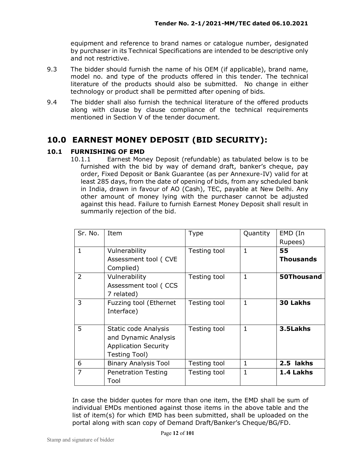equipment and reference to brand names or catalogue number, designated by purchaser in its Technical Specifications are intended to be descriptive only and not restrictive.

- 9.3 The bidder should furnish the name of his OEM (if applicable), brand name, model no. and type of the products offered in this tender. The technical literature of the products should also be submitted. No change in either technology or product shall be permitted after opening of bids.
- 9.4 The bidder shall also furnish the technical literature of the offered products along with clause by clause compliance of the technical requirements mentioned in Section V of the tender document.

## **10.0 EARNEST MONEY DEPOSIT (BID SECURITY):**

#### **10.1 FURNISHING OF EMD**

10.1.1 Earnest Money Deposit (refundable) as tabulated below is to be furnished with the bid by way of demand draft, banker's cheque, pay order, Fixed Deposit or Bank Guarantee (as per Annexure-IV) valid for at least 285 days, from the date of opening of bids, from any scheduled bank in India, drawn in favour of AO (Cash), TEC, payable at New Delhi. Any other amount of money lying with the purchaser cannot be adjusted against this head. Failure to furnish Earnest Money Deposit shall result in summarily rejection of the bid.

| Sr. No.        | Item                                                                                         | <b>Type</b>  | Quantity     | EMD (In                    |
|----------------|----------------------------------------------------------------------------------------------|--------------|--------------|----------------------------|
| $\mathbf{1}$   | Vulnerability<br>Assessment tool (CVE<br>Complied)                                           | Testing tool | 1            | Rupees)<br>55<br>Thousands |
| $\overline{2}$ | Vulnerability<br>Assessment tool (CCS<br>7 related)                                          | Testing tool | 1            | 50Thousand                 |
| 3              | Fuzzing tool (Ethernet<br>Interface)                                                         | Testing tool | 1            | <b>30 Lakhs</b>            |
| 5              | Static code Analysis<br>and Dynamic Analysis<br><b>Application Security</b><br>Testing Tool) | Testing tool | 1            | 3.5Lakhs                   |
| 6              | <b>Binary Analysis Tool</b>                                                                  | Testing tool | $\mathbf{1}$ | 2.5 lakhs                  |
| 7              | <b>Penetration Testing</b><br>Tool                                                           | Testing tool | 1            | 1.4 Lakhs                  |

In case the bidder quotes for more than one item, the EMD shall be sum of individual EMDs mentioned against those items in the above table and the list of item(s) for which EMD has been submitted, shall be uploaded on the portal along with scan copy of Demand Draft/Banker's Cheque/BG/FD.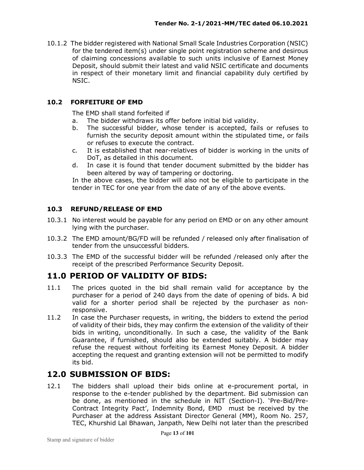10.1.2 The bidder registered with National Small Scale Industries Corporation (NSIC) for the tendered item(s) under single point registration scheme and desirous of claiming concessions available to such units inclusive of Earnest Money Deposit, should submit their latest and valid NSIC certificate and documents in respect of their monetary limit and financial capability duly certified by NSIC.

#### **10.2 FORFEITURE OF EMD**

The EMD shall stand forfeited if

- a. The bidder withdraws its offer before initial bid validity.
- b. The successful bidder, whose tender is accepted, fails or refuses to furnish the security deposit amount within the stipulated time, or fails or refuses to execute the contract.
- c. It is established that near-relatives of bidder is working in the units of DoT, as detailed in this document.
- d. In case it is found that tender document submitted by the bidder has been altered by way of tampering or doctoring.

In the above cases, the bidder will also not be eligible to participate in the tender in TEC for one year from the date of any of the above events.

#### **10.3 REFUND/RELEASE OF EMD**

- 10.3.1 No interest would be payable for any period on EMD or on any other amount lying with the purchaser.
- 10.3.2 The EMD amount/BG/FD will be refunded / released only after finalisation of tender from the unsuccessful bidders.
- 10.3.3 The EMD of the successful bidder will be refunded /released only after the receipt of the prescribed Performance Security Deposit.

#### **11.0 PERIOD OF VALIDITY OF BIDS:**

- 11.1 The prices quoted in the bid shall remain valid for acceptance by the purchaser for a period of 240 days from the date of opening of bids. A bid valid for a shorter period shall be rejected by the purchaser as nonresponsive.
- 11.2 In case the Purchaser requests, in writing, the bidders to extend the period of validity of their bids, they may confirm the extension of the validity of their bids in writing, unconditionally. In such a case, the validity of the Bank Guarantee, if furnished, should also be extended suitably. A bidder may refuse the request without forfeiting its Earnest Money Deposit. A bidder accepting the request and granting extension will not be permitted to modify its bid.

#### **12.0 SUBMISSION OF BIDS:**

12.1 The bidders shall upload their bids online at e-procurement portal, in response to the e-tender published by the department. Bid submission can be done, as mentioned in the schedule in NIT (Section-I). 'Pre-Bid/Pre-Contract Integrity Pact', Indemnity Bond, EMD must be received by the Purchaser at the address Assistant Director General (MM), Room No. 257, TEC, Khurshid Lal Bhawan, Janpath, New Delhi not later than the prescribed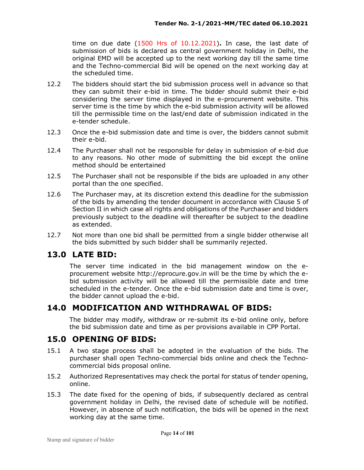time on due date (1500 Hrs of 10.12.2021)**.** In case, the last date of submission of bids is declared as central government holiday in Delhi, the original EMD will be accepted up to the next working day till the same time and the Techno-commercial Bid will be opened on the next working day at the scheduled time.

- 12.2 The bidders should start the bid submission process well in advance so that they can submit their e-bid in time. The bidder should submit their e-bid considering the server time displayed in the e-procurement website. This server time is the time by which the e-bid submission activity will be allowed till the permissible time on the last/end date of submission indicated in the e-tender schedule.
- 12.3 Once the e-bid submission date and time is over, the bidders cannot submit their e-bid.
- 12.4 The Purchaser shall not be responsible for delay in submission of e-bid due to any reasons. No other mode of submitting the bid except the online method should be entertained
- 12.5 The Purchaser shall not be responsible if the bids are uploaded in any other portal than the one specified.
- 12.6 The Purchaser may, at its discretion extend this deadline for the submission of the bids by amending the tender document in accordance with Clause 5 of Section II in which case all rights and obligations of the Purchaser and bidders previously subject to the deadline will thereafter be subject to the deadline as extended.
- 12.7 Not more than one bid shall be permitted from a single bidder otherwise all the bids submitted by such bidder shall be summarily rejected.

#### **13.0 LATE BID:**

The server time indicated in the bid management window on the eprocurement website http://eprocure.gov.in will be the time by which the ebid submission activity will be allowed till the permissible date and time scheduled in the e-tender. Once the e-bid submission date and time is over, the bidder cannot upload the e-bid.

#### **14.0 MODIFICATION AND WITHDRAWAL OF BIDS:**

The bidder may modify, withdraw or re-submit its e-bid online only, before the bid submission date and time as per provisions available in CPP Portal.

#### **15.0 OPENING OF BIDS:**

- 15.1 A two stage process shall be adopted in the evaluation of the bids. The purchaser shall open Techno-commercial bids online and check the Technocommercial bids proposal online.
- 15.2 Authorized Representatives may check the portal for status of tender opening, online.
- 15.3 The date fixed for the opening of bids, if subsequently declared as central government holiday in Delhi, the revised date of schedule will be notified. However, in absence of such notification, the bids will be opened in the next working day at the same time.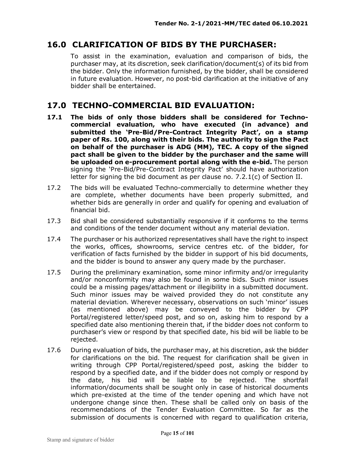## **16.0 CLARIFICATION OF BIDS BY THE PURCHASER:**

To assist in the examination, evaluation and comparison of bids, the purchaser may, at its discretion, seek clarification/document(s) of its bid from the bidder. Only the information furnished, by the bidder, shall be considered in future evaluation. However, no post-bid clarification at the initiative of any bidder shall be entertained.

#### **17.0 TECHNO-COMMERCIAL BID EVALUATION:**

- **17.1 The bids of only those bidders shall be considered for Technocommercial evaluation, who have executed (in advance) and submitted the 'Pre-Bid/Pre-Contract Integrity Pact', on a stamp paper of Rs. 100, along with their bids. The authority to sign the Pact on behalf of the purchaser is ADG (MM), TEC. A copy of the signed pact shall be given to the bidder by the purchaser and the same will be uploaded on e-procurement portal along with the e-bid.** The person signing the 'Pre-Bid/Pre-Contract Integrity Pact' should have authorization letter for signing the bid document as per clause no. 7.2.1(c) of Section II.
- 17.2 The bids will be evaluated Techno-commercially to determine whether they are complete, whether documents have been properly submitted, and whether bids are generally in order and qualify for opening and evaluation of financial bid.
- 17.3 Bid shall be considered substantially responsive if it conforms to the terms and conditions of the tender document without any material deviation.
- 17.4 The purchaser or his authorized representatives shall have the right to inspect the works, offices, showrooms, service centres etc. of the bidder, for verification of facts furnished by the bidder in support of his bid documents, and the bidder is bound to answer any query made by the purchaser.
- 17.5 During the preliminary examination, some minor infirmity and/or irregularity and/or nonconformity may also be found in some bids. Such minor issues could be a missing pages/attachment or illegibility in a submitted document. Such minor issues may be waived provided they do not constitute any material deviation. Wherever necessary, observations on such 'minor' issues (as mentioned above) may be conveyed to the bidder by CPP Portal/registered letter/speed post, and so on, asking him to respond by a specified date also mentioning therein that, if the bidder does not conform to purchaser's view or respond by that specified date, his bid will be liable to be rejected.
- 17.6 During evaluation of bids, the purchaser may, at his discretion, ask the bidder for clarifications on the bid. The request for clarification shall be given in writing through CPP Portal/registered/speed post, asking the bidder to respond by a specified date, and if the bidder does not comply or respond by the date, his bid will be liable to be rejected. The shortfall information/documents shall be sought only in case of historical documents which pre-existed at the time of the tender opening and which have not undergone change since then. These shall be called only on basis of the recommendations of the Tender Evaluation Committee. So far as the submission of documents is concerned with regard to qualification criteria,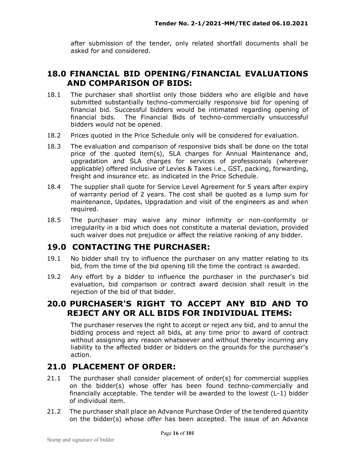after submission of the tender, only related shortfall documents shall be asked for and considered.

#### **18.0 FINANCIAL BID OPENING/FINANCIAL EVALUATIONS AND COMPARISON OF BIDS:**

- 18.1 The purchaser shall shortlist only those bidders who are eligible and have submitted substantially techno-commercially responsive bid for opening of financial bid. Successful bidders would be intimated regarding opening of financial bids. The Financial Bids of techno-commercially unsuccessful bidders would not be opened.
- 18.2 Prices quoted in the Price Schedule only will be considered for evaluation.
- 18.3 The evaluation and comparison of responsive bids shall be done on the total price of the quoted item(s), SLA charges for Annual Maintenance and, upgradation and SLA charges for services of professionals (wherever applicable) offered inclusive of Levies & Taxes i.e., GST, packing, forwarding, freight and insurance etc. as indicated in the Price Schedule.
- 18.4 The supplier shall quote for Service Level Agreement for 5 years after expiry of warranty period of 2 years. The cost shall be quoted as a lump sum for maintenance, Updates, Upgradation and visit of the engineers as and when required.
- 18.5 The purchaser may waive any minor infirmity or non-conformity or irregularity in a bid which does not constitute a material deviation, provided such waiver does not prejudice or affect the relative ranking of any bidder.

#### **19.0 CONTACTING THE PURCHASER:**

- 19.1 No bidder shall try to influence the purchaser on any matter relating to its bid, from the time of the bid opening till the time the contract is awarded.
- 19.2 Any effort by a bidder to influence the purchaser in the purchaser's bid evaluation, bid comparison or contract award decision shall result in the rejection of the bid of that bidder.

### **20.0 PURCHASER'S RIGHT TO ACCEPT ANY BID AND TO REJECT ANY OR ALL BIDS FOR INDIVIDUAL ITEMS:**

The purchaser reserves the right to accept or reject any bid, and to annul the bidding process and reject all bids, at any time prior to award of contract without assigning any reason whatsoever and without thereby incurring any liability to the affected bidder or bidders on the grounds for the purchaser's action.

#### **21.0 PLACEMENT OF ORDER:**

- 21.1 The purchaser shall consider placement of order(s) for commercial supplies on the bidder(s) whose offer has been found techno-commercially and financially acceptable. The tender will be awarded to the lowest (L-1) bidder of individual item.
- 21.2 The purchaser shall place an Advance Purchase Order of the tendered quantity on the bidder(s) whose offer has been accepted. The issue of an Advance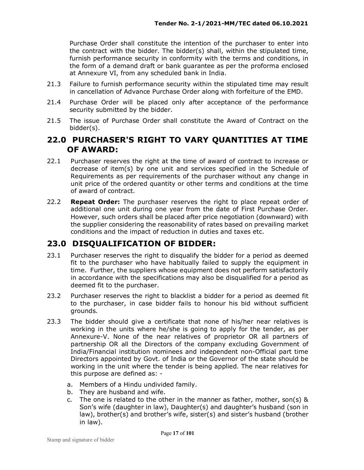Purchase Order shall constitute the intention of the purchaser to enter into the contract with the bidder. The bidder(s) shall, within the stipulated time, furnish performance security in conformity with the terms and conditions, in the form of a demand draft or bank guarantee as per the proforma enclosed at Annexure VI, from any scheduled bank in India.

- 21.3 Failure to furnish performance security within the stipulated time may result in cancellation of Advance Purchase Order along with forfeiture of the EMD.
- 21.4 Purchase Order will be placed only after acceptance of the performance security submitted by the bidder.
- 21.5 The issue of Purchase Order shall constitute the Award of Contract on the bidder(s).

#### **22.0 PURCHASER'S RIGHT TO VARY QUANTITIES AT TIME OF AWARD:**

- 22.1 Purchaser reserves the right at the time of award of contract to increase or decrease of item(s) by one unit and services specified in the Schedule of Requirements as per requirements of the purchaser without any change in unit price of the ordered quantity or other terms and conditions at the time of award of contract.
- 22.2 **Repeat Order:** The purchaser reserves the right to place repeat order of additional one unit during one year from the date of First Purchase Order. However, such orders shall be placed after price negotiation (downward) with the supplier considering the reasonability of rates based on prevailing market conditions and the impact of reduction in duties and taxes etc.

## **23.0 DISQUALIFICATION OF BIDDER:**

- 23.1 Purchaser reserves the right to disqualify the bidder for a period as deemed fit to the purchaser who have habitually failed to supply the equipment in time. Further, the suppliers whose equipment does not perform satisfactorily in accordance with the specifications may also be disqualified for a period as deemed fit to the purchaser.
- 23.2 Purchaser reserves the right to blacklist a bidder for a period as deemed fit to the purchaser, in case bidder fails to honour his bid without sufficient grounds.
- 23.3 The bidder should give a certificate that none of his/her near relatives is working in the units where he/she is going to apply for the tender, as per Annexure-V. None of the near relatives of proprietor OR all partners of partnership OR all the Directors of the company excluding Government of India/Financial institution nominees and independent non-Official part time Directors appointed by Govt. of India or the Governor of the state should be working in the unit where the tender is being applied. The near relatives for this purpose are defined as:
	- a. Members of a Hindu undivided family.
	- b. They are husband and wife.
	- c. The one is related to the other in the manner as father, mother, son(s) & Son's wife (daughter in law), Daughter(s) and daughter's husband (son in law), brother(s) and brother's wife, sister(s) and sister's husband (brother in law).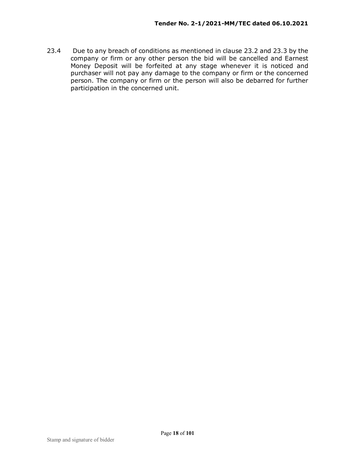23.4 Due to any breach of conditions as mentioned in clause 23.2 and 23.3 by the company or firm or any other person the bid will be cancelled and Earnest Money Deposit will be forfeited at any stage whenever it is noticed and purchaser will not pay any damage to the company or firm or the concerned person. The company or firm or the person will also be debarred for further participation in the concerned unit.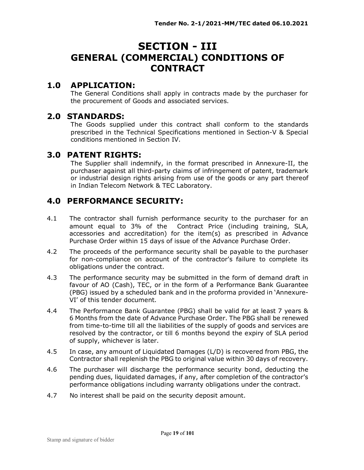## **SECTION - III GENERAL (COMMERCIAL) CONDITIONS OF CONTRACT**

#### **1.0 APPLICATION:**

The General Conditions shall apply in contracts made by the purchaser for the procurement of Goods and associated services.

#### **2.0 STANDARDS:**

The Goods supplied under this contract shall conform to the standards prescribed in the Technical Specifications mentioned in Section-V & Special conditions mentioned in Section IV.

#### **3.0 PATENT RIGHTS:**

The Supplier shall indemnify, in the format prescribed in Annexure-II, the purchaser against all third-party claims of infringement of patent, trademark or industrial design rights arising from use of the goods or any part thereof in Indian Telecom Network & TEC Laboratory.

### **4.0 PERFORMANCE SECURITY:**

- 4.1 The contractor shall furnish performance security to the purchaser for an amount equal to 3% of the Contract Price (including training, SLA, accessories and accreditation) for the item(s) as prescribed in Advance Purchase Order within 15 days of issue of the Advance Purchase Order.
- 4.2 The proceeds of the performance security shall be payable to the purchaser for non-compliance on account of the contractor's failure to complete its obligations under the contract.
- 4.3 The performance security may be submitted in the form of demand draft in favour of AO (Cash), TEC, or in the form of a Performance Bank Guarantee (PBG) issued by a scheduled bank and in the proforma provided in 'Annexure-VI' of this tender document.
- 4.4 The Performance Bank Guarantee (PBG) shall be valid for at least 7 years & 6 Months from the date of Advance Purchase Order. The PBG shall be renewed from time-to-time till all the liabilities of the supply of goods and services are resolved by the contractor, or till 6 months beyond the expiry of SLA period of supply, whichever is later.
- 4.5 In case, any amount of Liquidated Damages (L/D) is recovered from PBG, the Contractor shall replenish the PBG to original value within 30 days of recovery.
- 4.6 The purchaser will discharge the performance security bond, deducting the pending dues, liquidated damages, if any, after completion of the contractor's performance obligations including warranty obligations under the contract.
- 4.7 No interest shall be paid on the security deposit amount.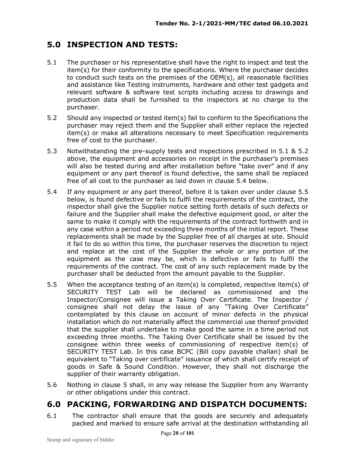## **5.0 INSPECTION AND TESTS:**

- 5.1 The purchaser or his representative shall have the right to inspect and test the item(s) for their conformity to the specifications. Where the purchaser decides to conduct such tests on the premises of the OEM(s), all reasonable facilities and assistance like Testing instruments, hardware and other test gadgets and relevant software & software test scripts including access to drawings and production data shall be furnished to the inspectors at no charge to the purchaser.
- 5.2 Should any inspected or tested item(s) fail to conform to the Specifications the purchaser may reject them and the Supplier shall either replace the rejected item(s) or make all alterations necessary to meet Specification requirements free of cost to the purchaser.
- 5.3 Notwithstanding the pre-supply tests and inspections prescribed in 5.1 & 5.2 above, the equipment and accessories on receipt in the purchaser's premises will also be tested during and after installation before "take over" and if any equipment or any part thereof is found defective, the same shall be replaced free of all cost to the purchaser as laid down in clause 5.4 below.
- 5.4 If any equipment or any part thereof, before it is taken over under clause 5.5 below, is found defective or fails to fulfil the requirements of the contract, the inspector shall give the Supplier notice setting forth details of such defects or failure and the Supplier shall make the defective equipment good, or alter the same to make it comply with the requirements of the contract forthwith and in any case within a period not exceeding three months of the initial report. These replacements shall be made by the Supplier free of all charges at site. Should it fail to do so within this time, the purchaser reserves the discretion to reject and replace at the cost of the Supplier the whole or any portion of the equipment as the case may be, which is defective or fails to fulfil the requirements of the contract. The cost of any such replacement made by the purchaser shall be deducted from the amount payable to the Supplier.
- 5.5 When the acceptance testing of an item(s) is completed, respective item(s) of SECURITY TEST Lab will be declared as commissioned and the Inspector/Consignee will issue a Taking Over Certificate. The Inspector / consignee shall not delay the issue of any "Taking Over Certificate" contemplated by this clause on account of minor defects in the physical installation which do not materially affect the commercial use thereof provided that the supplier shall undertake to make good the same in a time period not exceeding three months. The Taking Over Certificate shall be issued by the consignee within three weeks of commissioning of respective item(s) of SECURITY TEST Lab. In this case BCPC (Bill copy payable challan) shall be equivalent to "Taking over certificate" issuance of which shall certify receipt of goods in Safe & Sound Condition. However, they shall not discharge the supplier of their warranty obligation.
- 5.6 Nothing in clause 5 shall, in any way release the Supplier from any Warranty or other obligations under this contract.

## **6.0 PACKING, FORWARDING AND DISPATCH DOCUMENTS:**

6.1 The contractor shall ensure that the goods are securely and adequately packed and marked to ensure safe arrival at the destination withstanding all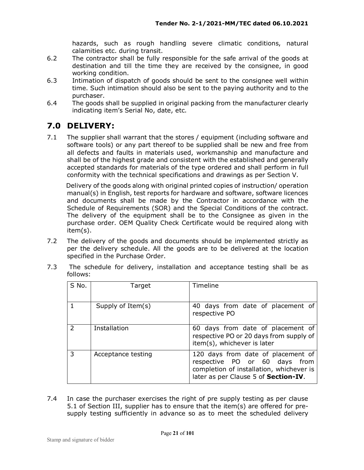hazards, such as rough handling severe climatic conditions, natural calamities etc. during transit.

- 6.2 The contractor shall be fully responsible for the safe arrival of the goods at destination and till the time they are received by the consignee, in good working condition.
- 6.3 Intimation of dispatch of goods should be sent to the consignee well within time. Such intimation should also be sent to the paying authority and to the purchaser.
- 6.4 The goods shall be supplied in original packing from the manufacturer clearly indicating item's Serial No, date, etc.

## **7.0 DELIVERY:**

7.1 The supplier shall warrant that the stores / equipment (including software and software tools) or any part thereof to be supplied shall be new and free from all defects and faults in materials used, workmanship and manufacture and shall be of the highest grade and consistent with the established and generally accepted standards for materials of the type ordered and shall perform in full conformity with the technical specifications and drawings as per Section V.

 Delivery of the goods along with original printed copies of instruction/ operation manual(s) in English, test reports for hardware and software, software licences and documents shall be made by the Contractor in accordance with the Schedule of Requirements (SOR) and the Special Conditions of the contract. The delivery of the equipment shall be to the Consignee as given in the purchase order. OEM Quality Check Certificate would be required along with item(s).

7.2 The delivery of the goods and documents should be implemented strictly as per the delivery schedule. All the goods are to be delivered at the location specified in the Purchase Order.

| S No. | Target             | Timeline                                                                                                                                                |
|-------|--------------------|---------------------------------------------------------------------------------------------------------------------------------------------------------|
|       | Supply of Item(s)  | 40 days from date of placement of<br>respective PO                                                                                                      |
| フ     | Installation       | 60 days from date of placement of<br>respective PO or 20 days from supply of<br>item(s), whichever is later                                             |
| 3     | Acceptance testing | 120 days from date of placement of<br>respective PO or 60 days from<br>completion of installation, whichever is<br>later as per Clause 5 of Section-IV. |

7.3 The schedule for delivery, installation and acceptance testing shall be as follows:

7.4 In case the purchaser exercises the right of pre supply testing as per clause 5.1 of Section III, supplier has to ensure that the item(s) are offered for presupply testing sufficiently in advance so as to meet the scheduled delivery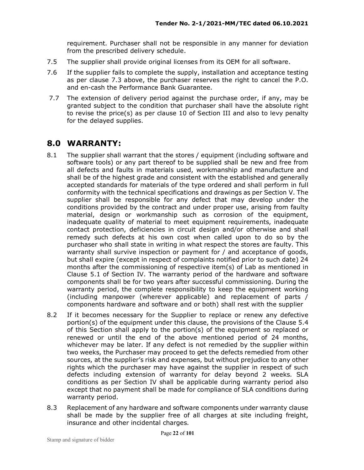requirement. Purchaser shall not be responsible in any manner for deviation from the prescribed delivery schedule.

- 7.5 The supplier shall provide original licenses from its OEM for all software.
- 7.6 If the supplier fails to complete the supply, installation and acceptance testing as per clause 7.3 above, the purchaser reserves the right to cancel the P.O. and en-cash the Performance Bank Guarantee.
- 7.7 The extension of delivery period against the purchase order, if any, may be granted subject to the condition that purchaser shall have the absolute right to revise the price(s) as per clause 10 of Section III and also to levy penalty for the delayed supplies.

#### **8.0 WARRANTY:**

- 8.1 The supplier shall warrant that the stores / equipment (including software and software tools) or any part thereof to be supplied shall be new and free from all defects and faults in materials used, workmanship and manufacture and shall be of the highest grade and consistent with the established and generally accepted standards for materials of the type ordered and shall perform in full conformity with the technical specifications and drawings as per Section V. The supplier shall be responsible for any defect that may develop under the conditions provided by the contract and under proper use, arising from faulty material, design or workmanship such as corrosion of the equipment, inadequate quality of material to meet equipment requirements, inadequate contact protection, deficiencies in circuit design and/or otherwise and shall remedy such defects at his own cost when called upon to do so by the purchaser who shall state in writing in what respect the stores are faulty. This warranty shall survive inspection or payment for / and acceptance of goods, but shall expire (except in respect of complaints notified prior to such date) 24 months after the commissioning of respective item(s) of Lab as mentioned in Clause 5.1 of Section IV. The warranty period of the hardware and software components shall be for two years after successful commissioning. During the warranty period, the complete responsibility to keep the equipment working (including manpower (wherever applicable) and replacement of parts / components hardware and software and or both) shall rest with the supplier
- 8.2 If it becomes necessary for the Supplier to replace or renew any defective portion(s) of the equipment under this clause, the provisions of the Clause 5.4 of this Section shall apply to the portion(s) of the equipment so replaced or renewed or until the end of the above mentioned period of 24 months, whichever may be later. If any defect is not remedied by the supplier within two weeks, the Purchaser may proceed to get the defects remedied from other sources, at the supplier's risk and expenses, but without prejudice to any other rights which the purchaser may have against the supplier in respect of such defects including extension of warranty for delay beyond 2 weeks. SLA conditions as per Section IV shall be applicable during warranty period also except that no payment shall be made for compliance of SLA conditions during warranty period.
- 8.3 Replacement of any hardware and software components under warranty clause shall be made by the supplier free of all charges at site including freight, insurance and other incidental charges.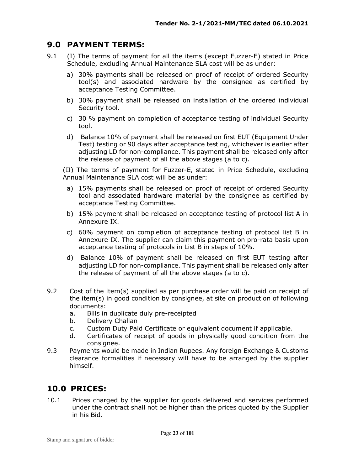#### **9.0 PAYMENT TERMS:**

- 9.1 (I) The terms of payment for all the items (except Fuzzer-E) stated in Price Schedule, excluding Annual Maintenance SLA cost will be as under:
	- a) 30% payments shall be released on proof of receipt of ordered Security tool(s) and associated hardware by the consignee as certified by acceptance Testing Committee.
	- b) 30% payment shall be released on installation of the ordered individual Security tool.
	- c) 30 % payment on completion of acceptance testing of individual Security tool.
	- d) Balance 10% of payment shall be released on first EUT (Equipment Under Test) testing or 90 days after acceptance testing, whichever is earlier after adjusting LD for non-compliance. This payment shall be released only after the release of payment of all the above stages (a to c).

(II) The terms of payment for Fuzzer-E, stated in Price Schedule, excluding Annual Maintenance SLA cost will be as under:

- a) 15% payments shall be released on proof of receipt of ordered Security tool and associated hardware material by the consignee as certified by acceptance Testing Committee.
- b) 15% payment shall be released on acceptance testing of protocol list A in Annexure IX.
- c) 60% payment on completion of acceptance testing of protocol list B in Annexure IX. The supplier can claim this payment on pro-rata basis upon acceptance testing of protocols in List B in steps of 10%.
- d) Balance 10% of payment shall be released on first EUT testing after adjusting LD for non-compliance. This payment shall be released only after the release of payment of all the above stages (a to c).
- 9.2 Cost of the item(s) supplied as per purchase order will be paid on receipt of the item(s) in good condition by consignee, at site on production of following documents:
	- a. Bills in duplicate duly pre-receipted
	- b. Delivery Challan
	- c. Custom Duty Paid Certificate or equivalent document if applicable.
	- d. Certificates of receipt of goods in physically good condition from the consignee.
- 9.3 Payments would be made in Indian Rupees. Any foreign Exchange & Customs clearance formalities if necessary will have to be arranged by the supplier himself.

## **10.0 PRICES:**

10.1 Prices charged by the supplier for goods delivered and services performed under the contract shall not be higher than the prices quoted by the Supplier in his Bid.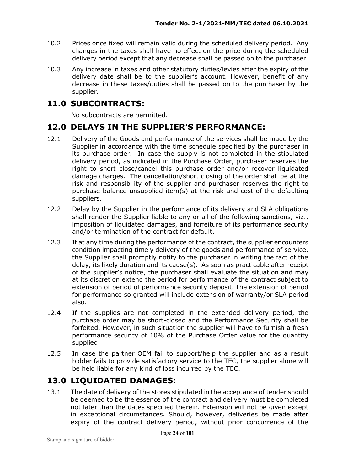- 10.2 Prices once fixed will remain valid during the scheduled delivery period. Any changes in the taxes shall have no effect on the price during the scheduled delivery period except that any decrease shall be passed on to the purchaser.
- 10.3 Any increase in taxes and other statutory duties/levies after the expiry of the delivery date shall be to the supplier's account. However, benefit of any decrease in these taxes/duties shall be passed on to the purchaser by the supplier.

### **11.0 SUBCONTRACTS:**

No subcontracts are permitted.

#### **12.0 DELAYS IN THE SUPPLIER'S PERFORMANCE:**

- 12.1 Delivery of the Goods and performance of the services shall be made by the Supplier in accordance with the time schedule specified by the purchaser in its purchase order. In case the supply is not completed in the stipulated delivery period, as indicated in the Purchase Order, purchaser reserves the right to short close/cancel this purchase order and/or recover liquidated damage charges. The cancellation/short closing of the order shall be at the risk and responsibility of the supplier and purchaser reserves the right to purchase balance unsupplied item(s) at the risk and cost of the defaulting suppliers.
- 12.2 Delay by the Supplier in the performance of its delivery and SLA obligations shall render the Supplier liable to any or all of the following sanctions, viz., imposition of liquidated damages, and forfeiture of its performance security and/or termination of the contract for default.
- 12.3 If at any time during the performance of the contract, the supplier encounters condition impacting timely delivery of the goods and performance of service, the Supplier shall promptly notify to the purchaser in writing the fact of the delay, its likely duration and its cause(s). As soon as practicable after receipt of the supplier's notice, the purchaser shall evaluate the situation and may at its discretion extend the period for performance of the contract subject to extension of period of performance security deposit. The extension of period for performance so granted will include extension of warranty/or SLA period also.
- 12.4 If the supplies are not completed in the extended delivery period, the purchase order may be short-closed and the Performance Security shall be forfeited. However, in such situation the supplier will have to furnish a fresh performance security of 10% of the Purchase Order value for the quantity supplied.
- 12.5 In case the partner OEM fail to support/help the supplier and as a result bidder fails to provide satisfactory service to the TEC, the supplier alone will be held liable for any kind of loss incurred by the TEC.

## **13.0 LIQUIDATED DAMAGES:**

13.1. The date of delivery of the stores stipulated in the acceptance of tender should be deemed to be the essence of the contract and delivery must be completed not later than the dates specified therein. Extension will not be given except in exceptional circumstances. Should, however, deliveries be made after expiry of the contract delivery period, without prior concurrence of the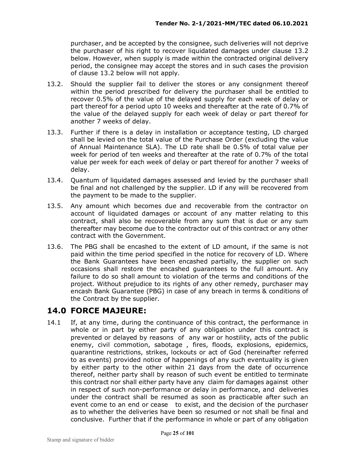purchaser, and be accepted by the consignee, such deliveries will not deprive the purchaser of his right to recover liquidated damages under clause 13.2 below. However, when supply is made within the contracted original delivery period, the consignee may accept the stores and in such cases the provision of clause 13.2 below will not apply.

- 13.2. Should the supplier fail to deliver the stores or any consignment thereof within the period prescribed for delivery the purchaser shall be entitled to recover 0.5% of the value of the delayed supply for each week of delay or part thereof for a period upto 10 weeks and thereafter at the rate of 0.7% of the value of the delayed supply for each week of delay or part thereof for another 7 weeks of delay.
- 13.3. Further if there is a delay in installation or acceptance testing, LD charged shall be levied on the total value of the Purchase Order (excluding the value of Annual Maintenance SLA). The LD rate shall be 0.5% of total value per week for period of ten weeks and thereafter at the rate of 0.7% of the total value per week for each week of delay or part thereof for another 7 weeks of delay.
- 13.4. Quantum of liquidated damages assessed and levied by the purchaser shall be final and not challenged by the supplier. LD if any will be recovered from the payment to be made to the supplier.
- 13.5. Any amount which becomes due and recoverable from the contractor on account of liquidated damages or account of any matter relating to this contract, shall also be recoverable from any sum that is due or any sum thereafter may become due to the contractor out of this contract or any other contract with the Government.
- 13.6. The PBG shall be encashed to the extent of LD amount, if the same is not paid within the time period specified in the notice for recovery of LD. Where the Bank Guarantees have been encashed partially, the supplier on such occasions shall restore the encashed guarantees to the full amount. Any failure to do so shall amount to violation of the terms and conditions of the project. Without prejudice to its rights of any other remedy, purchaser may encash Bank Guarantee (PBG) in case of any breach in terms & conditions of the Contract by the supplier.

#### **14.0 FORCE MAJEURE:**

14.1 If, at any time, during the continuance of this contract, the performance in whole or in part by either party of any obligation under this contract is prevented or delayed by reasons of any war or hostility, acts of the public enemy, civil commotion, sabotage , fires, floods, explosions, epidemics, quarantine restrictions, strikes, lockouts or act of God (hereinafter referred to as events) provided notice of happenings of any such eventuality is given by either party to the other within 21 days from the date of occurrence thereof, neither party shall by reason of such event be entitled to terminate this contract nor shall either party have any claim for damages against other in respect of such non-performance or delay in performance, and deliveries under the contract shall be resumed as soon as practicable after such an event come to an end or cease to exist, and the decision of the purchaser as to whether the deliveries have been so resumed or not shall be final and conclusive. Further that if the performance in whole or part of any obligation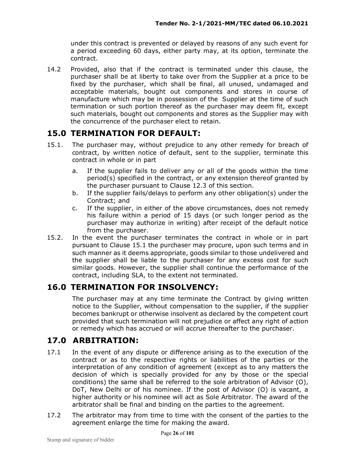under this contract is prevented or delayed by reasons of any such event for a period exceeding 60 days, either party may, at its option, terminate the contract.

14.2 Provided, also that if the contract is terminated under this clause, the purchaser shall be at liberty to take over from the Supplier at a price to be fixed by the purchaser, which shall be final, all unused, undamaged and acceptable materials, bought out components and stores in course of manufacture which may be in possession of the Supplier at the time of such termination or such portion thereof as the purchaser may deem fit, except such materials, bought out components and stores as the Supplier may with the concurrence of the purchaser elect to retain.

## **15.0 TERMINATION FOR DEFAULT:**

- 15.1. The purchaser may, without prejudice to any other remedy for breach of contract, by written notice of default, sent to the supplier, terminate this contract in whole or in part
	- a. If the supplier fails to deliver any or all of the goods within the time period(s) specified in the contract, or any extension thereof granted by the purchaser pursuant to Clause 12.3 of this section.
	- b. If the supplier fails/delays to perform any other obligation(s) under the Contract; and
	- c. If the supplier, in either of the above circumstances, does not remedy his failure within a period of 15 days (or such longer period as the purchaser may authorize in writing) after receipt of the default notice from the purchaser.
- 15.2. In the event the purchaser terminates the contract in whole or in part pursuant to Clause 15.1 the purchaser may procure, upon such terms and in such manner as it deems appropriate, goods similar to those undelivered and the supplier shall be liable to the purchaser for any excess cost for such similar goods. However, the supplier shall continue the performance of the contract, including SLA, to the extent not terminated.

## **16.0 TERMINATION FOR INSOLVENCY:**

The purchaser may at any time terminate the Contract by giving written notice to the Supplier, without compensation to the supplier, if the supplier becomes bankrupt or otherwise insolvent as declared by the competent court provided that such termination will not prejudice or affect any right of action or remedy which has accrued or will accrue thereafter to the purchaser.

## **17.0 ARBITRATION:**

- 17.1 In the event of any dispute or difference arising as to the execution of the contract or as to the respective rights or liabilities of the parties or the interpretation of any condition of agreement (except as to any matters the decision of which is specially provided for any by those or the special conditions) the same shall be referred to the sole arbitration of Advisor (O), DoT, New Delhi or of his nominee. If the post of Advisor (O) is vacant, a higher authority or his nominee will act as Sole Arbitrator. The award of the arbitrator shall be final and binding on the parties to the agreement.
- 17.2 The arbitrator may from time to time with the consent of the parties to the agreement enlarge the time for making the award.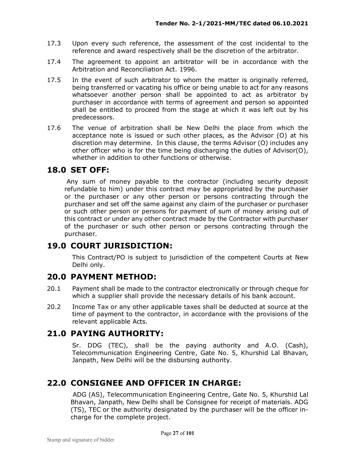- 17.3 Upon every such reference, the assessment of the cost incidental to the reference and award respectively shall be the discretion of the arbitrator.
- 17.4 The agreement to appoint an arbitrator will be in accordance with the Arbitration and Reconciliation Act. 1996.
- 17.5 In the event of such arbitrator to whom the matter is originally referred, being transferred or vacating his office or being unable to act for any reasons whatsoever another person shall be appointed to act as arbitrator by purchaser in accordance with terms of agreement and person so appointed shall be entitled to proceed from the stage at which it was left out by his predecessors.
- 17.6 The venue of arbitration shall be New Delhi the place from which the acceptance note is issued or such other places, as the Advisor (O) at his discretion may determine. In this clause, the terms Advisor (O) includes any other officer who is for the time being discharging the duties of Advisor(O), whether in addition to other functions or otherwise.

#### **18.0 SET OFF:**

 Any sum of money payable to the contractor (including security deposit refundable to him) under this contract may be appropriated by the purchaser or the purchaser or any other person or persons contracting through the purchaser and set off the same against any claim of the purchaser or purchaser or such other person or persons for payment of sum of money arising out of this contract or under any other contract made by the Contractor with purchaser of the purchaser or such other person or persons contracting through the purchaser.

## **19.0 COURT JURISDICTION:**

This Contract/PO is subject to jurisdiction of the competent Courts at New Delhi only.

#### **20.0 PAYMENT METHOD:**

- 20.1 Payment shall be made to the contractor electronically or through cheque for which a supplier shall provide the necessary details of his bank account.
- 20.2 Income Tax or any other applicable taxes shall be deducted at source at the time of payment to the contractor, in accordance with the provisions of the relevant applicable Acts.

#### **21.0 PAYING AUTHORITY:**

Sr. DDG (TEC), shall be the paying authority and A.O. (Cash), Telecommunication Engineering Centre, Gate No. 5, Khurshid Lal Bhavan, Janpath, New Delhi will be the disbursing authority.

## **22.0 CONSIGNEE AND OFFICER IN CHARGE:**

 ADG (AS), Telecommunication Engineering Centre, Gate No. 5, Khurshid Lal Bhavan, Janpath, New Delhi shall be Consignee for receipt of materials. ADG (TS), TEC or the authority designated by the purchaser will be the officer incharge for the complete project.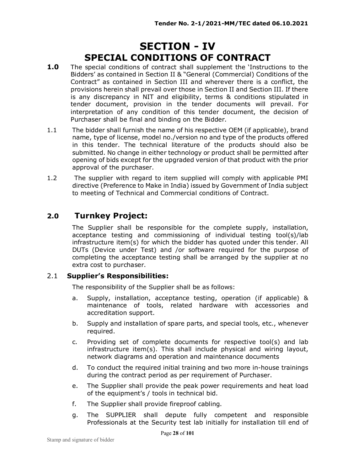## **SECTION - IV SPECIAL CONDITIONS OF CONTRACT**

- **1.0** The special conditions of contract shall supplement the 'Instructions to the Bidders' as contained in Section II & "General (Commercial) Conditions of the Contract" as contained in Section III and wherever there is a conflict, the provisions herein shall prevail over those in Section II and Section III. If there is any discrepancy in NIT and eligibility, terms & conditions stipulated in tender document, provision in the tender documents will prevail. For interpretation of any condition of this tender document, the decision of Purchaser shall be final and binding on the Bidder.
- 1.1 The bidder shall furnish the name of his respective OEM (if applicable), brand name, type of license, model no./version no and type of the products offered in this tender. The technical literature of the products should also be submitted. No change in either technology or product shall be permitted after opening of bids except for the upgraded version of that product with the prior approval of the purchaser.
- 1.2 The supplier with regard to item supplied will comply with applicable PMI directive (Preference to Make in India) issued by Government of India subject to meeting of Technical and Commercial conditions of Contract.

### **2.0 Turnkey Project:**

The Supplier shall be responsible for the complete supply, installation, acceptance testing and commissioning of individual testing tool(s)/lab infrastructure item(s) for which the bidder has quoted under this tender. All DUTs (Device under Test) and /or software required for the purpose of completing the acceptance testing shall be arranged by the supplier at no extra cost to purchaser.

#### 2.1 **Supplier's Responsibilities:**

The responsibility of the Supplier shall be as follows:

- a. Supply, installation, acceptance testing, operation (if applicable) & maintenance of tools, related hardware with accessories and accreditation support.
- b. Supply and installation of spare parts, and special tools, etc., whenever required.
- c. Providing set of complete documents for respective tool(s) and lab infrastructure item(s). This shall include physical and wiring layout, network diagrams and operation and maintenance documents
- d. To conduct the required initial training and two more in-house trainings during the contract period as per requirement of Purchaser.
- e. The Supplier shall provide the peak power requirements and heat load of the equipment's / tools in technical bid.
- f. The Supplier shall provide fireproof cabling.
- g. The SUPPLIER shall depute fully competent and responsible Professionals at the Security test lab initially for installation till end of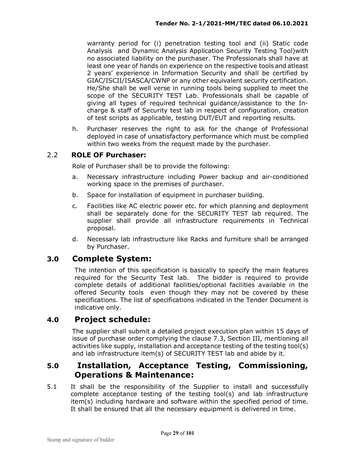warranty period for (i) penetration testing tool and (ii) Static code Analysis and Dynamic Analysis Application Security Testing Tool)with no associated liability on the purchaser. The Professionals shall have at least one year of hands on experience on the respective tools and atleast 2 years' experience in Information Security and shall be certified by GIAC/ISCII/ISASCA/CWNP or any other equivalent security certification. He/She shall be well verse in running tools being supplied to meet the scope of the SECURITY TEST Lab. Professionals shall be capable of giving all types of required technical guidance/assistance to the Incharge & staff of Security test lab in respect of configuration, creation of test scripts as applicable, testing DUT/EUT and reporting results.

h. Purchaser reserves the right to ask for the change of Professional deployed in case of unsatisfactory performance which must be complied within two weeks from the request made by the purchaser.

#### 2.2 **ROLE OF Purchaser:**

Role of Purchaser shall be to provide the following:

- a. Necessary infrastructure including Power backup and air-conditioned working space in the premises of purchaser.
- b. Space for installation of equipment in purchaser building.
- c. Facilities like AC electric power etc. for which planning and deployment shall be separately done for the SECURITY TEST lab required. The supplier shall provide all infrastructure requirements in Technical proposal.
- d. Necessary lab infrastructure like Racks and furniture shall be arranged by Purchaser.

#### **3.0 Complete System:**

The intention of this specification is basically to specify the main features required for the Security Test lab. The bidder is required to provide complete details of additional facilities/optional facilities available in the offered Security tools even though they may not be covered by these specifications. The list of specifications indicated in the Tender Document is indicative only.

#### **4.0 Project schedule:**

The supplier shall submit a detailed project execution plan within 15 days of issue of purchase order complying the clause 7.3, Section III, mentioning all activities like supply, installation and acceptance testing of the testing tool(s) and lab infrastructure item(s) of SECURITY TEST lab and abide by it.

#### **5.0 Installation, Acceptance Testing, Commissioning, Operations & Maintenance:**

5.1 It shall be the responsibility of the Supplier to install and successfully complete acceptance testing of the testing tool(s) and lab infrastructure item(s) including hardware and software within the specified period of time. It shall be ensured that all the necessary equipment is delivered in time.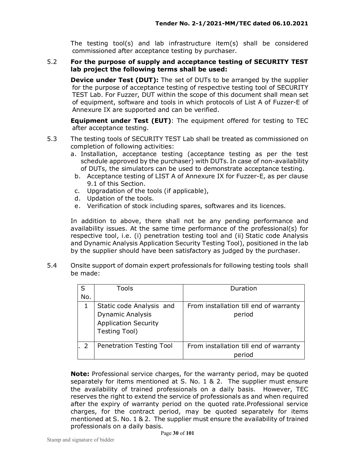The testing tool(s) and lab infrastructure item(s) shall be considered commissioned after acceptance testing by purchaser.

#### 5.2 **For the purpose of supply and acceptance testing of SECURITY TEST lab project the following terms shall be used:**

**Device under Test (DUT):** The set of DUTs to be arranged by the supplier for the purpose of acceptance testing of respective testing tool of SECURITY TEST Lab. For Fuzzer, DUT within the scope of this document shall mean set of equipment, software and tools in which protocols of List A of Fuzzer-E of Annexure IX are supported and can be verified.

**Equipment under Test (EUT)**: The equipment offered for testing to TEC after acceptance testing.

- 5.3 The testing tools of SECURITY TEST Lab shall be treated as commissioned on completion of following activities:
	- a. Installation, acceptance testing (acceptance testing as per the test schedule approved by the purchaser) with DUTs. In case of non-availability of DUTs, the simulators can be used to demonstrate acceptance testing.
	- b. Acceptance testing of LIST A of Annexure IX for Fuzzer-E, as per clause 9.1 of this Section.
	- c. Upgradation of the tools (if applicable),
	- d. Updation of the tools.
	- e. Verification of stock including spares, softwares and its licences.

In addition to above, there shall not be any pending performance and availability issues. At the same time performance of the professional(s) for respective tool, i.e. (i) penetration testing tool and (ii) Static code Analysis and Dynamic Analysis Application Security Testing Tool), positioned in the lab by the supplier should have been satisfactory as judged by the purchaser.

5.4 Onsite support of domain expert professionals for following testing tools shall be made:

| S   | Tools                       | Duration                               |
|-----|-----------------------------|----------------------------------------|
| No. |                             |                                        |
|     | Static code Analysis and    | From installation till end of warranty |
|     | Dynamic Analysis            | period                                 |
|     | <b>Application Security</b> |                                        |
|     | Testing Tool)               |                                        |
|     |                             |                                        |
|     | Penetration Testing Tool    | From installation till end of warranty |
|     |                             | period                                 |

**Note:** Professional service charges, for the warranty period, may be quoted separately for items mentioned at S. No. 1 & 2. The supplier must ensure the availability of trained professionals on a daily basis. However, TEC reserves the right to extend the service of professionals as and when required after the expiry of warranty period on the quoted rate.Professional service charges, for the contract period, may be quoted separately for items mentioned at S. No. 1 & 2. The supplier must ensure the availability of trained professionals on a daily basis.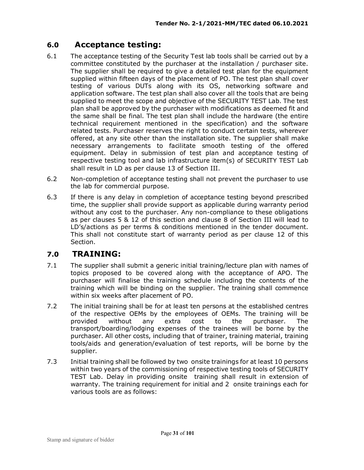## **6.0 Acceptance testing:**

- 6.1 The acceptance testing of the Security Test lab tools shall be carried out by a committee constituted by the purchaser at the installation / purchaser site. The supplier shall be required to give a detailed test plan for the equipment supplied within fifteen days of the placement of PO. The test plan shall cover testing of various DUTs along with its OS, networking software and application software. The test plan shall also cover all the tools that are being supplied to meet the scope and objective of the SECURITY TEST Lab. The test plan shall be approved by the purchaser with modifications as deemed fit and the same shall be final. The test plan shall include the hardware (the entire technical requirement mentioned in the specification) and the software related tests. Purchaser reserves the right to conduct certain tests, wherever offered, at any site other than the installation site. The supplier shall make necessary arrangements to facilitate smooth testing of the offered equipment. Delay in submission of test plan and acceptance testing of respective testing tool and lab infrastructure item(s) of SECURITY TEST Lab shall result in LD as per clause 13 of Section III.
- 6.2 Non-completion of acceptance testing shall not prevent the purchaser to use the lab for commercial purpose.
- 6.3 If there is any delay in completion of acceptance testing beyond prescribed time, the supplier shall provide support as applicable during warranty period without any cost to the purchaser. Any non-compliance to these obligations as per clauses 5 & 12 of this section and clause 8 of Section III will lead to LD's/actions as per terms & conditions mentioned in the tender document. This shall not constitute start of warranty period as per clause 12 of this Section.

#### **7.0 TRAINING:**

- 7.1 The supplier shall submit a generic initial training/lecture plan with names of topics proposed to be covered along with the acceptance of APO. The purchaser will finalise the training schedule including the contents of the training which will be binding on the supplier. The training shall commence within six weeks after placement of PO.
- 7.2 The initial training shall be for at least ten persons at the established centres of the respective OEMs by the employees of OEMs. The training will be provided without any extra cost to the purchaser. The transport/boarding/lodging expenses of the trainees will be borne by the purchaser. All other costs, including that of trainer, training material, training tools/aids and generation/evaluation of test reports, will be borne by the supplier.
- 7.3 Initial training shall be followed by two onsite trainings for at least 10 persons within two years of the commissioning of respective testing tools of SECURITY TEST Lab. Delay in providing onsite training shall result in extension of warranty. The training requirement for initial and 2 onsite trainings each for various tools are as follows: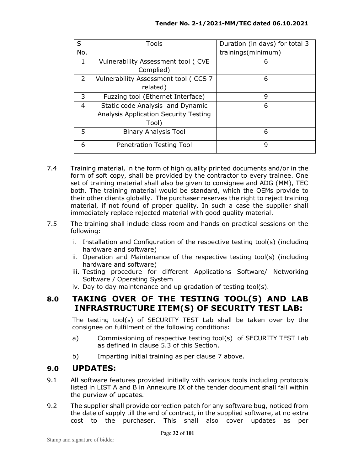| S              | <b>Tools</b>                          | Duration (in days) for total 3 |
|----------------|---------------------------------------|--------------------------------|
| No.            |                                       | trainings(minimum)             |
| 1              | Vulnerability Assessment tool (CVE    | 6                              |
|                | Complied)                             |                                |
| $\overline{2}$ | Vulnerability Assessment tool (CCS 7  | 6                              |
|                | related)                              |                                |
| 3              | Fuzzing tool (Ethernet Interface)     | 9                              |
| 4              | Static code Analysis and Dynamic      | 6                              |
|                | Analysis Application Security Testing |                                |
|                | Tool)                                 |                                |
| 5              | <b>Binary Analysis Tool</b>           | 6                              |
| 6              | Penetration Testing Tool              | 9                              |

- 7.4 Training material, in the form of high quality printed documents and/or in the form of soft copy, shall be provided by the contractor to every trainee. One set of training material shall also be given to consignee and ADG (MM), TEC both. The training material would be standard, which the OEMs provide to their other clients globally. The purchaser reserves the right to reject training material, if not found of proper quality. In such a case the supplier shall immediately replace rejected material with good quality material.
- 7.5 The training shall include class room and hands on practical sessions on the following:
	- i. Installation and Configuration of the respective testing tool(s) (including hardware and software)
	- ii. Operation and Maintenance of the respective testing tool(s) (including hardware and software)
	- iii. Testing procedure for different Applications Software/ Networking Software / Operating System
	- iv. Day to day maintenance and up gradation of testing tool(s).

## **8.0 TAKING OVER OF THE TESTING TOOL(S) AND LAB INFRASTRUCTURE ITEM(S) OF SECURITY TEST LAB:**

The testing tool(s) of SECURITY TEST Lab shall be taken over by the consignee on fulfilment of the following conditions:

- a) Commissioning of respective testing tool(s) of SECURITY TEST Lab as defined in clause 5.3 of this Section.
- b) Imparting initial training as per clause 7 above.

#### **9.0 UPDATES:**

- 9.1 All software features provided initially with various tools including protocols listed in LIST A and B in Annexure IX of the tender document shall fall within the purview of updates.
- 9.2 The supplier shall provide correction patch for any software bug, noticed from the date of supply till the end of contract, in the supplied software, at no extra cost to the purchaser. This shall also cover updates as per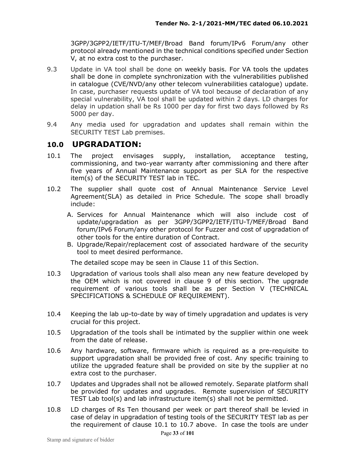3GPP/3GPP2/IETF/ITU-T/MEF/Broad Band forum/IPv6 Forum/any other protocol already mentioned in the technical conditions specified under Section V, at no extra cost to the purchaser.

- 9.3 Update in VA tool shall be done on weekly basis. For VA tools the updates shall be done in complete synchronization with the vulnerabilities published in catalogue (CVE/NVD/any other telecom vulnerabilities catalogue) update. In case, purchaser requests update of VA tool because of declaration of any special vulnerability, VA tool shall be updated within 2 days. LD charges for delay in updation shall be Rs 1000 per day for first two days followed by Rs 5000 per day.
- 9.4 Any media used for upgradation and updates shall remain within the SECURITY TEST Lab premises.

#### **10.0 UPGRADATION:**

- 10.1 The project envisages supply, installation, acceptance testing, commissioning, and two-year warranty after commissioning and there after five years of Annual Maintenance support as per SLA for the respective item(s) of the SECURITY TEST lab in TEC.
- 10.2 The supplier shall quote cost of Annual Maintenance Service Level Agreement(SLA) as detailed in Price Schedule. The scope shall broadly include:
	- A. Services for Annual Maintenance which will also include cost of update/upgradation as per 3GPP/3GPP2/IETF/ITU-T/MEF/Broad Band forum/IPv6 Forum/any other protocol for Fuzzer and cost of upgradation of other tools for the entire duration of Contract.
	- B. Upgrade/Repair/replacement cost of associated hardware of the security tool to meet desired performance.

The detailed scope may be seen in Clause 11 of this Section.

- 10.3 Upgradation of various tools shall also mean any new feature developed by the OEM which is not covered in clause 9 of this section. The upgrade requirement of various tools shall be as per Section V (TECHNICAL SPECIFICATIONS & SCHEDULE OF REQUIREMENT).
- 10.4 Keeping the lab up-to-date by way of timely upgradation and updates is very crucial for this project.
- 10.5 Upgradation of the tools shall be intimated by the supplier within one week from the date of release.
- 10.6 Any hardware, software, firmware which is required as a pre-requisite to support upgradation shall be provided free of cost. Any specific training to utilize the upgraded feature shall be provided on site by the supplier at no extra cost to the purchaser.
- 10.7 Updates and Upgrades shall not be allowed remotely. Separate platform shall be provided for updates and upgrades. Remote supervision of SECURITY TEST Lab tool(s) and lab infrastructure item(s) shall not be permitted.
- 10.8 LD charges of Rs Ten thousand per week or part thereof shall be levied in case of delay in upgradation of testing tools of the SECURITY TEST lab as per the requirement of clause 10.1 to 10.7 above. In case the tools are under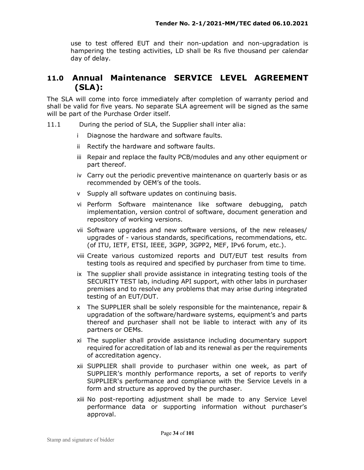use to test offered EUT and their non-updation and non-upgradation is hampering the testing activities, LD shall be Rs five thousand per calendar day of delay.

### **11.0 Annual Maintenance SERVICE LEVEL AGREEMENT (SLA):**

The SLA will come into force immediately after completion of warranty period and shall be valid for five years. No separate SLA agreement will be signed as the same will be part of the Purchase Order itself.

- 11.1 During the period of SLA, the Supplier shall inter alia:
	- i Diagnose the hardware and software faults.
	- ii Rectify the hardware and software faults.
	- iii Repair and replace the faulty PCB/modules and any other equipment or part thereof.
	- iv Carry out the periodic preventive maintenance on quarterly basis or as recommended by OEM's of the tools.
	- v Supply all software updates on continuing basis.
	- vi Perform Software maintenance like software debugging, patch implementation, version control of software, document generation and repository of working versions.
	- vii Software upgrades and new software versions, of the new releases/ upgrades of - various standards, specifications, recommendations, etc. (of ITU, IETF, ETSI, IEEE, 3GPP, 3GPP2, MEF, IPv6 forum, etc.).
	- viii Create various customized reports and DUT/EUT test results from testing tools as required and specified by purchaser from time to time*.*
	- ix The supplier shall provide assistance in integrating testing tools of the SECURITY TEST lab, including API support, with other labs in purchaser premises and to resolve any problems that may arise during integrated testing of an EUT/DUT.
	- x The SUPPLIER shall be solely responsible for the maintenance, repair & upgradation of the software/hardware systems, equipment's and parts thereof and purchaser shall not be liable to interact with any of its partners or OEMs.
	- xi The supplier shall provide assistance including documentary support required for accreditation of lab and its renewal as per the requirements of accreditation agency.
	- xii SUPPLIER shall provide to purchaser within one week, as part of SUPPLIER's monthly performance reports, a set of reports to verify SUPPLIER's performance and compliance with the Service Levels in a form and structure as approved by the purchaser.
	- xiii No post-reporting adjustment shall be made to any Service Level performance data or supporting information without purchaser's approval.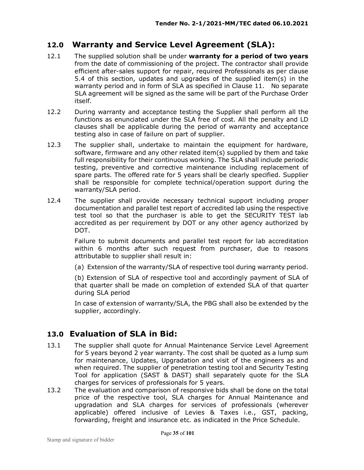#### **12.0 Warranty and Service Level Agreement (SLA):**

- 12.1 The supplied solution shall be under **warranty for a period of two years** from the date of commissioning of the project. The contractor shall provide efficient after-sales support for repair, required Professionals as per clause 5.4 of this section, updates and upgrades of the supplied item(s) in the warranty period and in form of SLA as specified in Clause 11. No separate SLA agreement will be signed as the same will be part of the Purchase Order itself.
- 12.2 During warranty and acceptance testing the Supplier shall perform all the functions as enunciated under the SLA free of cost. All the penalty and LD clauses shall be applicable during the period of warranty and acceptance testing also in case of failure on part of supplier.
- 12.3 The supplier shall, undertake to maintain the equipment for hardware, software, firmware and any other related item(s) supplied by them and take full responsibility for their continuous working. The SLA shall include periodic testing, preventive and corrective maintenance including replacement of spare parts. The offered rate for 5 years shall be clearly specified. Supplier shall be responsible for complete technical/operation support during the warranty/SLA period.
- 12.4 The supplier shall provide necessary technical support including proper documentation and parallel test report of accredited lab using the respective test tool so that the purchaser is able to get the SECURITY TEST lab accredited as per requirement by DOT or any other agency authorized by DOT.

Failure to submit documents and parallel test report for lab accreditation within 6 months after such request from purchaser, due to reasons attributable to supplier shall result in:

(a) Extension of the warranty/SLA of respective tool during warranty period.

(b) Extension of SLA of respective tool and accordingly payment of SLA of that quarter shall be made on completion of extended SLA of that quarter during SLA period

In case of extension of warranty/SLA, the PBG shall also be extended by the supplier, accordingly.

#### **13.0 Evaluation of SLA in Bid:**

- 13.1 The supplier shall quote for Annual Maintenance Service Level Agreement for 5 years beyond 2 year warranty. The cost shall be quoted as a lump sum for maintenance, Updates, Upgradation and visit of the engineers as and when required. The supplier of penetration testing tool and Security Testing Tool for application (SAST & DAST) shall separately quote for the SLA charges for services of professionals for 5 years.
- 13.2 The evaluation and comparison of responsive bids shall be done on the total price of the respective tool, SLA charges for Annual Maintenance and upgradation and SLA charges for services of professionals (wherever applicable) offered inclusive of Levies & Taxes i.e., GST, packing, forwarding, freight and insurance etc. as indicated in the Price Schedule.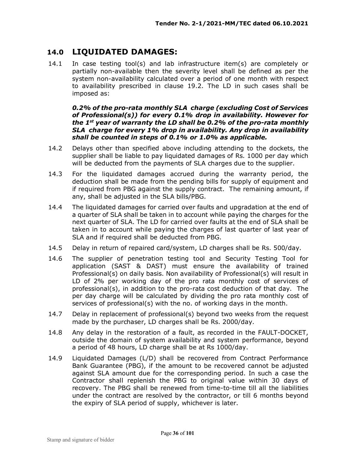### **14.0 LIQUIDATED DAMAGES:**

14.1 In case testing tool(s) and lab infrastructure item(s) are completely or partially non-available then the severity level shall be defined as per the system non-availability calculated over a period of one month with respect to availability prescribed in clause 19.2. The LD in such cases shall be imposed as:

#### *0.2% of the pro-rata monthly SLA charge (excluding Cost of Services of Professional(s)) for every 0.1% drop in availability. However for the 1st year of warranty the LD shall be 0.2% of the pro-rata monthly SLA charge for every 1% drop in availability. Any drop in availability shall be counted in steps of 0.1% or 1.0% as applicable.*

- 14.2 Delays other than specified above including attending to the dockets, the supplier shall be liable to pay liquidated damages of Rs. 1000 per day which will be deducted from the payments of SLA charges due to the supplier.
- 14.3 For the liquidated damages accrued during the warranty period, the deduction shall be made from the pending bills for supply of equipment and if required from PBG against the supply contract. The remaining amount, if any, shall be adjusted in the SLA bills/PBG.
- 14.4 The liquidated damages for carried over faults and upgradation at the end of a quarter of SLA shall be taken in to account while paying the charges for the next quarter of SLA. The LD for carried over faults at the end of SLA shall be taken in to account while paying the charges of last quarter of last year of SLA and if required shall be deducted from PBG.
- 14.5 Delay in return of repaired card/system, LD charges shall be Rs. 500/day.
- 14.6 The supplier of penetration testing tool and Security Testing Tool for application (SAST & DAST) must ensure the availability of trained Professional(s) on daily basis. Non availability of Professional(s) will result in LD of 2% per working day of the pro rata monthly cost of services of professional(s), in addition to the pro-rata cost deduction of that day. The per day charge will be calculated by dividing the pro rata monthly cost of services of professional(s) with the no. of working days in the month.
- 14.7 Delay in replacement of professional(s) beyond two weeks from the request made by the purchaser, LD charges shall be Rs. 2000/day.
- 14.8 Any delay in the restoration of a fault, as recorded in the FAULT-DOCKET, outside the domain of system availability and system performance, beyond a period of 48 hours, LD charge shall be at Rs 1000/day.
- 14.9 Liquidated Damages (L/D) shall be recovered from Contract Performance Bank Guarantee (PBG), if the amount to be recovered cannot be adjusted against SLA amount due for the corresponding period. In such a case the Contractor shall replenish the PBG to original value within 30 days of recovery. The PBG shall be renewed from time-to-time till all the liabilities under the contract are resolved by the contractor, or till 6 months beyond the expiry of SLA period of supply, whichever is later.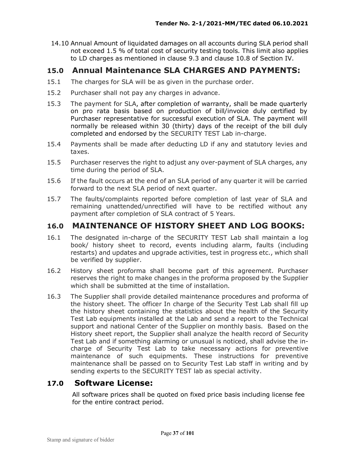14.10 Annual Amount of liquidated damages on all accounts during SLA period shall not exceed 1.5 % of total cost of security testing tools. This limit also applies to LD charges as mentioned in clause 9.3 and clause 10.8 of Section IV.

# **15.0 Annual Maintenance SLA CHARGES AND PAYMENTS:**

- 15.1 The charges for SLA will be as given in the purchase order.
- 15.2 Purchaser shall not pay any charges in advance.
- 15.3 The payment for SLA, after completion of warranty, shall be made quarterly on pro rata basis based on production of bill/invoice duly certified by Purchaser representative for successful execution of SLA. The payment will normally be released within 30 (thirty) days of the receipt of the bill duly completed and endorsed by the SECURITY TEST Lab in-charge.
- 15.4 Payments shall be made after deducting LD if any and statutory levies and taxes.
- 15.5 Purchaser reserves the right to adjust any over-payment of SLA charges, any time during the period of SLA.
- 15.6 If the fault occurs at the end of an SLA period of any quarter it will be carried forward to the next SLA period of next quarter.
- 15.7 The faults/complaints reported before completion of last year of SLA and remaining unattended/unrectified will have to be rectified without any payment after completion of SLA contract of 5 Years.

# **16.0 MAINTENANCE OF HISTORY SHEET AND LOG BOOKS:**

- 16.1 The designated in-charge of the SECURITY TEST Lab shall maintain a log book/ history sheet to record, events including alarm, faults (including restarts) and updates and upgrade activities, test in progress etc., which shall be verified by supplier.
- 16.2 History sheet proforma shall become part of this agreement. Purchaser reserves the right to make changes in the proforma proposed by the Supplier which shall be submitted at the time of installation.
- 16.3 The Supplier shall provide detailed maintenance procedures and proforma of the history sheet. The officer In charge of the Security Test Lab shall fill up the history sheet containing the statistics about the health of the Security Test Lab equipments installed at the Lab and send a report to the Technical support and national Center of the Supplier on monthly basis. Based on the History sheet report, the Supplier shall analyze the health record of Security Test Lab and if something alarming or unusual is noticed, shall advise the incharge of Security Test Lab to take necessary actions for preventive maintenance of such equipments. These instructions for preventive maintenance shall be passed on to Security Test Lab staff in writing and by sending experts to the SECURITY TEST lab as special activity.

# **17.0 Software License:**

All software prices shall be quoted on fixed price basis including license fee for the entire contract period.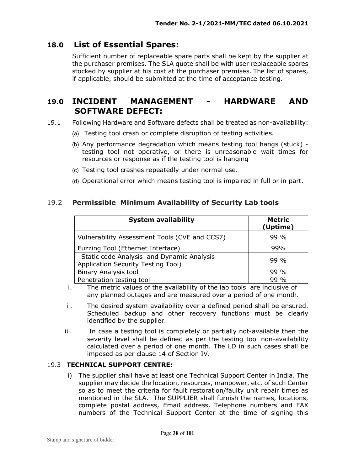# **18.0 List of Essential Spares:**

Sufficient number of replaceable spare parts shall be kept by the supplier at the purchaser premises. The SLA quote shall be with user replaceable spares stocked by supplier at his cost at the purchaser premises. The list of spares, if applicable, should be submitted at the time of acceptance testing.

# **19.0 INCIDENT MANAGEMENT - HARDWARE AND SOFTWARE DEFECT:**

- 19.1 Following Hardware and Software defects shall be treated as non-availability:
	- (a) Testing tool crash or complete disruption of testing activities.
	- (b) Any performance degradation which means testing tool hangs (stuck) testing tool not operative, or there is unreasonable wait times for resources or response as if the testing tool is hanging
	- (c) Testing tool crashes repeatedly under normal use.
	- (d) Operational error which means testing tool is impaired in full or in part.

## 19.2 **Permissible Minimum Availability of Security Lab tools**

| <b>System availability</b>                                                      | <b>Metric</b><br>(Uptime) |  |  |
|---------------------------------------------------------------------------------|---------------------------|--|--|
| Vulnerability Assessment Tools (CVE and CCS7)                                   | $99\%$                    |  |  |
| Fuzzing Tool (Ethernet Interface)                                               | 99%                       |  |  |
| Static code Analysis and Dynamic Analysis<br>Application Security Testing Tool) | $99\%$                    |  |  |
| <b>Binary Analysis tool</b>                                                     | 99 %                      |  |  |
| Penetration testing tool                                                        | $99\%$                    |  |  |

i. The metric values of the availability of the lab tools are inclusive of any planned outages and are measured over a period of one month.

- ii. The desired system availability over a defined period shall be ensured. Scheduled backup and other recovery functions must be clearly identified by the supplier.
- iii. In case a testing tool is completely or partially not-available then the severity level shall be defined as per the testing tool non-availability calculated over a period of one month. The LD in such cases shall be imposed as per clause 14 of Section IV.

#### 19.3 **TECHNICAL SUPPORT CENTRE:**

i) The supplier shall have at least one Technical Support Center in India. The supplier may decide the location, resources, manpower, etc. of such Center so as to meet the criteria for fault restoration/faulty unit repair times as mentioned in the SLA. The SUPPLIER shall furnish the names, locations, complete postal address, Email address, Telephone numbers and FAX numbers of the Technical Support Center at the time of signing this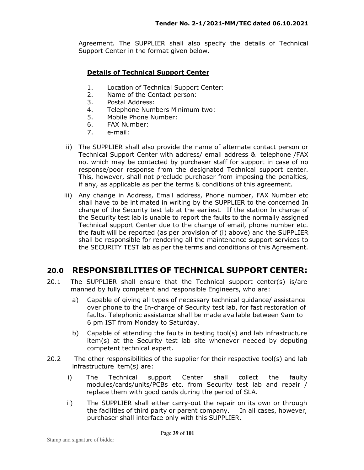Agreement. The SUPPLIER shall also specify the details of Technical Support Center in the format given below.

#### **Details of Technical Support Center**

- 1. Location of Technical Support Center:
- 2. Name of the Contact person:
- 3. Postal Address:
- 4. Telephone Numbers Minimum two:
- 5. Mobile Phone Number:
- 6. FAX Number:
- 7. e-mail:
- ii) The SUPPLIER shall also provide the name of alternate contact person or Technical Support Center with address/ email address & telephone /FAX no. which may be contacted by purchaser staff for support in case of no response/poor response from the designated Technical support center. This, however, shall not preclude purchaser from imposing the penalties, if any, as applicable as per the terms & conditions of this agreement.
- iii) Any change in Address, Email address, Phone number, FAX Number etc shall have to be intimated in writing by the SUPPLIER to the concerned In charge of the Security test lab at the earliest. If the station In charge of the Security test lab is unable to report the faults to the normally assigned Technical support Center due to the change of email, phone number etc. the fault will be reported (as per provision of (i) above) and the SUPPLIER shall be responsible for rendering all the maintenance support services to the SECURITY TEST lab as per the terms and conditions of this Agreement.

# **20.0 RESPONSIBILITIES OF TECHNICAL SUPPORT CENTER:**

- 20.1 The SUPPLIER shall ensure that the Technical support center(s) is/are manned by fully competent and responsible Engineers, who are:
	- a) Capable of giving all types of necessary technical guidance/ assistance over phone to the In-charge of Security test lab, for fast restoration of faults. Telephonic assistance shall be made available between 9am to 6 pm IST from Monday to Saturday.
	- b) Capable of attending the faults in testing tool(s) and lab infrastructure item(s) at the Security test lab site whenever needed by deputing competent technical expert.
- 20.2 The other responsibilities of the supplier for their respective tool(s) and lab infrastructure item(s) are:
	- i) The Technical support Center shall collect the faulty modules/cards/units/PCBs etc. from Security test lab and repair / replace them with good cards during the period of SLA.
	- ii) The SUPPLIER shall either carry-out the repair on its own or through the facilities of third party or parent company. In all cases, however, purchaser shall interface only with this SUPPLIER.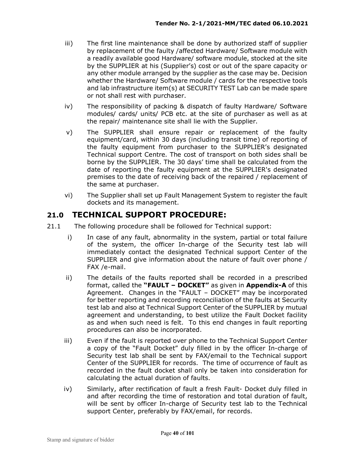- iii) The first line maintenance shall be done by authorized staff of supplier by replacement of the faulty /affected Hardware/ Software module with a readily available good Hardware/ software module, stocked at the site by the SUPPLIER at his (Supplier's) cost or out of the spare capacity or any other module arranged by the supplier as the case may be. Decision whether the Hardware/ Software module / cards for the respective tools and lab infrastructure item(s) at SECURITY TEST Lab can be made spare or not shall rest with purchaser.
- iv) The responsibility of packing & dispatch of faulty Hardware/ Software modules/ cards/ units/ PCB etc. at the site of purchaser as well as at the repair/ maintenance site shall lie with the Supplier.
- v) The SUPPLIER shall ensure repair or replacement of the faulty equipment/card, within 30 days (including transit time) of reporting of the faulty equipment from purchaser to the SUPPLIER's designated Technical support Centre. The cost of transport on both sides shall be borne by the SUPPLIER. The 30 days' time shall be calculated from the date of reporting the faulty equipment at the SUPPLIER's designated premises to the date of receiving back of the repaired / replacement of the same at purchaser.
- vi) The Supplier shall set up Fault Management System to register the fault dockets and its management.

# **21.0 TECHNICAL SUPPORT PROCEDURE:**

- 21.1 The following procedure shall be followed for Technical support:
	- i) In case of any fault, abnormality in the system, partial or total failure of the system, the officer In-charge of the Security test lab will immediately contact the designated Technical support Center of the SUPPLIER and give information about the nature of fault over phone / FAX /e-mail.
	- ii) The details of the faults reported shall be recorded in a prescribed format, called the **"FAULT – DOCKET"** as given in **Appendix-A** of this Agreement. Changes in the "FAULT – DOCKET" may be incorporated for better reporting and recording reconciliation of the faults at Security test lab and also at Technical Support Center of the SUPPLIER by mutual agreement and understanding, to best utilize the Fault Docket facility as and when such need is felt. To this end changes in fault reporting procedures can also be incorporated.
	- iii) Even if the fault is reported over phone to the Technical Support Center a copy of the "Fault Docket" duly filled in by the officer In-charge of Security test lab shall be sent by FAX/email to the Technical support Center of the SUPPLIER for records. The time of occurrence of fault as recorded in the fault docket shall only be taken into consideration for calculating the actual duration of faults.
	- iv) Similarly, after rectification of fault a fresh Fault- Docket duly filled in and after recording the time of restoration and total duration of fault, will be sent by officer In-charge of Security test lab to the Technical support Center, preferably by FAX/email, for records.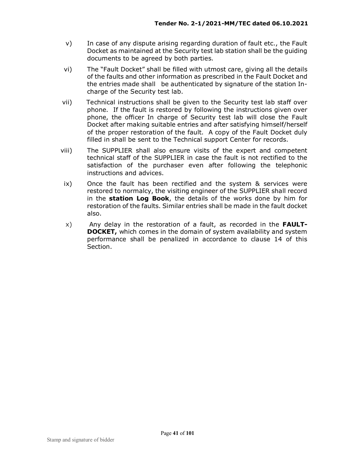- v) In case of any dispute arising regarding duration of fault etc., the Fault Docket as maintained at the Security test lab station shall be the guiding documents to be agreed by both parties.
- vi) The "Fault Docket" shall be filled with utmost care, giving all the details of the faults and other information as prescribed in the Fault Docket and the entries made shall be authenticated by signature of the station Incharge of the Security test lab.
- vii) Technical instructions shall be given to the Security test lab staff over phone. If the fault is restored by following the instructions given over phone, the officer In charge of Security test lab will close the Fault Docket after making suitable entries and after satisfying himself/herself of the proper restoration of the fault. A copy of the Fault Docket duly filled in shall be sent to the Technical support Center for records.
- viii) The SUPPLIER shall also ensure visits of the expert and competent technical staff of the SUPPLIER in case the fault is not rectified to the satisfaction of the purchaser even after following the telephonic instructions and advices.
- ix) Once the fault has been rectified and the system & services were restored to normalcy, the visiting engineer of the SUPPLIER shall record in the **station Log Book**, the details of the works done by him for restoration of the faults. Similar entries shall be made in the fault docket also.
- x) Any delay in the restoration of a fault, as recorded in the **FAULT-DOCKET,** which comes in the domain of system availability and system performance shall be penalized in accordance to clause 14 of this Section.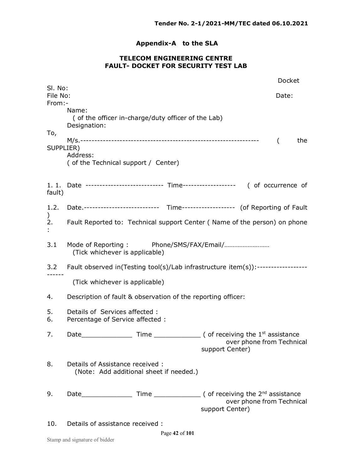# **Appendix-A to the SLA**

#### **TELECOM ENGINEERING CENTRE FAULT- DOCKET FOR SECURITY TEST LAB**

| SI. No:            |                                                                                    |  |  |                 |  | Docket                    |     |  |
|--------------------|------------------------------------------------------------------------------------|--|--|-----------------|--|---------------------------|-----|--|
| File No:<br>From:- |                                                                                    |  |  |                 |  | Date:                     |     |  |
|                    | Name:<br>(of the officer in-charge/duty officer of the Lab)<br>Designation:        |  |  |                 |  |                           |     |  |
| To,<br>SUPPLIER)   | Address:<br>(of the Technical support / Center)                                    |  |  |                 |  | $\left($                  | the |  |
| fault)             | 1. 1. Date --------------------------- Time------------------- ( of occurrence of  |  |  |                 |  |                           |     |  |
| 1.2.               | Date.--------------------------- Time------------------- (of Reporting of Fault    |  |  |                 |  |                           |     |  |
| 2.                 | Fault Reported to: Technical support Center (Name of the person) on phone          |  |  |                 |  |                           |     |  |
| 3.1                | (Tick whichever is applicable)                                                     |  |  |                 |  |                           |     |  |
|                    | 3.2 Fault observed in(Testing tool(s)/Lab infrastructure item(s)):---------------- |  |  |                 |  |                           |     |  |
|                    | (Tick whichever is applicable)                                                     |  |  |                 |  |                           |     |  |
| 4.                 | Description of fault & observation of the reporting officer:                       |  |  |                 |  |                           |     |  |
| 5.<br>6.           | Details of Services affected:<br>Percentage of Service affected :                  |  |  |                 |  |                           |     |  |
| 7.                 | Date                                                                               |  |  | support Center) |  | over phone from Technical |     |  |
| 8.                 | Details of Assistance received:<br>(Note: Add additional sheet if needed.)         |  |  |                 |  |                           |     |  |
| 9.                 |                                                                                    |  |  | support Center) |  | over phone from Technical |     |  |
| 10.                | Details of assistance received :                                                   |  |  |                 |  |                           |     |  |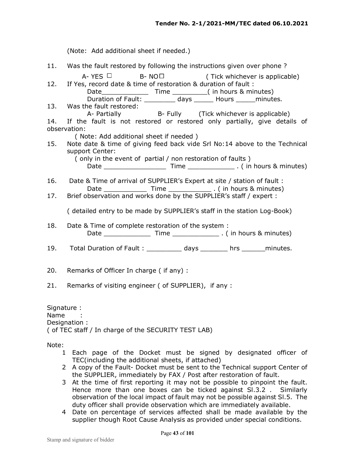|                    | (Note: Add additional sheet if needed.)                                                                                                                                                                                             |
|--------------------|-------------------------------------------------------------------------------------------------------------------------------------------------------------------------------------------------------------------------------------|
| 11.                | Was the fault restored by following the instructions given over phone?                                                                                                                                                              |
| 12.                | A-YES $\Box$ B-NO $\Box$<br>(Tick whichever is applicable)<br>If Yes, record date & time of restoration & duration of fault :<br>Duration of Fault: _________ days ______ Hours ______ minutes.                                     |
| 13.                | Was the fault restored:<br>A- Partially B- Fully (Tick whichever is applicable)                                                                                                                                                     |
| 14.                | If the fault is not restored or restored only partially, give details of<br>observation:                                                                                                                                            |
| 15.                | (Note: Add additional sheet if needed)<br>Note date & time of giving feed back vide Srl No:14 above to the Technical<br>support Center:                                                                                             |
|                    | (only in the event of partial / non restoration of faults)                                                                                                                                                                          |
| 16.                | Date & Time of arrival of SUPPLIER's Expert at site / station of fault :                                                                                                                                                            |
| 17.                | Brief observation and works done by the SUPPLIER's staff / expert :                                                                                                                                                                 |
|                    | ( detailed entry to be made by SUPPLIER's staff in the station Log-Book)                                                                                                                                                            |
| 18.                | Date & Time of complete restoration of the system :                                                                                                                                                                                 |
| 19.                | Total Duration of Fault: ____________ days ________ hrs _______ minutes.                                                                                                                                                            |
| 20.                | Remarks of Officer In charge (if any):                                                                                                                                                                                              |
| 21.                | Remarks of visiting engineer (of SUPPLIER), if any :                                                                                                                                                                                |
| Signature:<br>Name | Designation :<br>(of TEC staff / In charge of the SECURITY TEST LAB)                                                                                                                                                                |
| Note:              |                                                                                                                                                                                                                                     |
| $\mathbf{1}$       | Each page of the Docket must be signed by designated officer of<br>TEC(including the additional sheets, if attached)                                                                                                                |
| 2                  | A copy of the Fault- Docket must be sent to the Technical support Center of<br>the SUPPLIER, immediately by FAX / Post after restoration of fault.                                                                                  |
| 3                  | At the time of first reporting it may not be possible to pinpoint the fault.<br>Hence more than one boxes can be ticked against SI.3.2. Similarly<br>observation of the local impact of fault may not be possible against SI.5. The |

duty officer shall provide observation which are immediately available. 4 Date on percentage of services affected shall be made available by the supplier though Root Cause Analysis as provided under special conditions.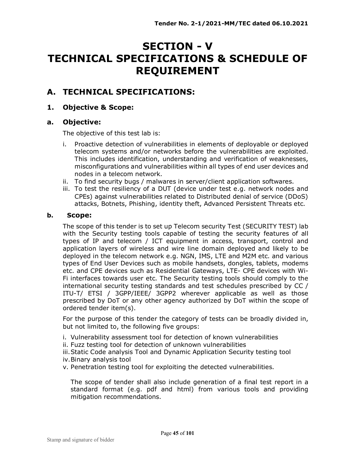# **SECTION - V TECHNICAL SPECIFICATIONS & SCHEDULE OF REQUIREMENT**

# **A. TECHNICAL SPECIFICATIONS:**

## **1. Objective & Scope:**

## **a. Objective:**

The objective of this test lab is:

- i. Proactive detection of vulnerabilities in elements of deployable or deployed telecom systems and/or networks before the vulnerabilities are exploited. This includes identification, understanding and verification of weaknesses, misconfigurations and vulnerabilities within all types of end user devices and nodes in a telecom network.
- ii. To find security bugs / malwares in server/client application softwares.
- iii. To test the resiliency of a DUT (device under test e.g. network nodes and CPEs) against vulnerabilities related to Distributed denial of service (DDoS) attacks, Botnets, Phishing, identity theft, Advanced Persistent Threats etc.

#### **b. Scope:**

The scope of this tender is to set up Telecom security Test (SECURITY TEST) lab with the Security testing tools capable of testing the security features of all types of IP and telecom / ICT equipment in access, transport, control and application layers of wireless and wire line domain deployed and likely to be deployed in the telecom network e.g. NGN, IMS, LTE and M2M etc. and various types of End User Devices such as mobile handsets, dongles, tablets, modems etc. and CPE devices such as Residential Gateways, LTE- CPE devices with Wi-Fi interfaces towards user etc. The Security testing tools should comply to the international security testing standards and test schedules prescribed by CC / ITU-T/ ETSI / 3GPP/IEEE/ 3GPP2 wherever applicable as well as those prescribed by DoT or any other agency authorized by DoT within the scope of ordered tender item(s).

For the purpose of this tender the category of tests can be broadly divided in, but not limited to, the following five groups:

- i. Vulnerability assessment tool for detection of known vulnerabilities
- ii. Fuzz testing tool for detection of unknown vulnerabilities
- iii.Static Code analysis Tool and Dynamic Application Security testing tool
- iv.Binary analysis tool
- v. Penetration testing tool for exploiting the detected vulnerabilities.

The scope of tender shall also include generation of a final test report in a standard format (e.g. pdf and html) from various tools and providing mitigation recommendations.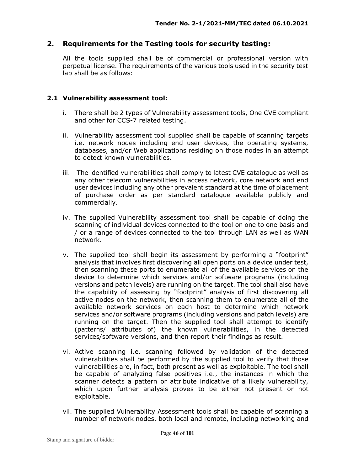### **2. Requirements for the Testing tools for security testing:**

All the tools supplied shall be of commercial or professional version with perpetual license. The requirements of the various tools used in the security test lab shall be as follows:

#### **2.1 Vulnerability assessment tool:**

- i. There shall be 2 types of Vulnerability assessment tools, One CVE compliant and other for CCS-7 related testing.
- ii. Vulnerability assessment tool supplied shall be capable of scanning targets i.e. network nodes including end user devices, the operating systems, databases, and/or Web applications residing on those nodes in an attempt to detect known vulnerabilities.
- iii. The identified vulnerabilities shall comply to latest CVE catalogue as well as any other telecom vulnerabilities in access network, core network and end user devices including any other prevalent standard at the time of placement of purchase order as per standard catalogue available publicly and commercially.
- iv. The supplied Vulnerability assessment tool shall be capable of doing the scanning of individual devices connected to the tool on one to one basis and / or a range of devices connected to the tool through LAN as well as WAN network.
- v. The supplied tool shall begin its assessment by performing a "footprint" analysis that involves first discovering all open ports on a device under test, then scanning these ports to enumerate all of the available services on the device to determine which services and/or software programs (including versions and patch levels) are running on the target. The tool shall also have the capability of assessing by "footprint" analysis of first discovering all active nodes on the network, then scanning them to enumerate all of the available network services on each host to determine which network services and/or software programs (including versions and patch levels) are running on the target. Then the supplied tool shall attempt to identify (patterns/ attributes of) the known vulnerabilities, in the detected services/software versions, and then report their findings as result.
- vi. Active scanning i.e. scanning followed by validation of the detected vulnerabilities shall be performed by the supplied tool to verify that those vulnerabilities are, in fact, both present as well as exploitable. The tool shall be capable of analyzing false positives i.e., the instances in which the scanner detects a pattern or attribute indicative of a likely vulnerability, which upon further analysis proves to be either not present or not exploitable.
- vii. The supplied Vulnerability Assessment tools shall be capable of scanning a number of network nodes, both local and remote, including networking and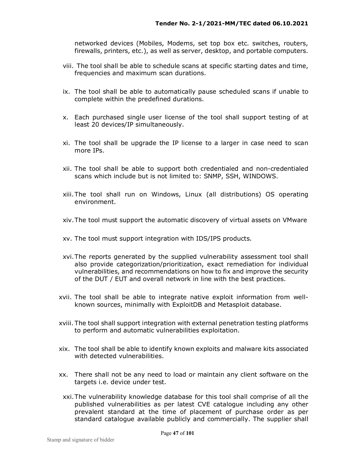networked devices (Mobiles, Modems, set top box etc. switches, routers, firewalls, printers, etc.), as well as server, desktop, and portable computers.

- viii. The tool shall be able to schedule scans at specific starting dates and time, frequencies and maximum scan durations.
- ix. The tool shall be able to automatically pause scheduled scans if unable to complete within the predefined durations.
- x. Each purchased single user license of the tool shall support testing of at least 20 devices/IP simultaneously.
- xi. The tool shall be upgrade the IP license to a larger in case need to scan more IPs.
- xii. The tool shall be able to support both credentialed and non-credentialed scans which include but is not limited to: SNMP, SSH, WINDOWS.
- xiii.The tool shall run on Windows, Linux (all distributions) OS operating environment.
- xiv.The tool must support the automatic discovery of virtual assets on VMware
- xv. The tool must support integration with IDS/IPS products.
- xvi.The reports generated by the supplied vulnerability assessment tool shall also provide categorization/prioritization, exact remediation for individual vulnerabilities, and recommendations on how to fix and improve the security of the DUT / EUT and overall network in line with the best practices.
- xvii. The tool shall be able to integrate native exploit information from wellknown sources, minimally with ExploitDB and Metasploit database.
- xviii. The tool shall support integration with external penetration testing platforms to perform and automatic vulnerabilities exploitation.
- xix. The tool shall be able to identify known exploits and malware kits associated with detected vulnerabilities.
- xx. There shall not be any need to load or maintain any client software on the targets i.e. device under test.
- xxi.The vulnerability knowledge database for this tool shall comprise of all the published vulnerabilities as per latest CVE catalogue including any other prevalent standard at the time of placement of purchase order as per standard catalogue available publicly and commercially. The supplier shall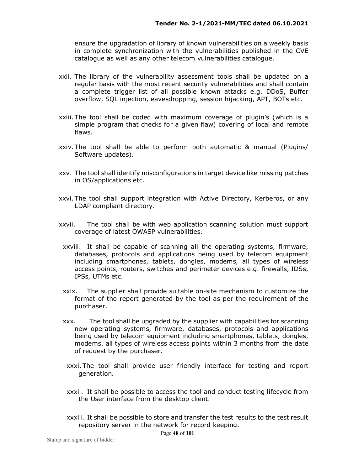ensure the upgradation of library of known vulnerabilities on a weekly basis in complete synchronization with the vulnerabilities published in the CVE catalogue as well as any other telecom vulnerabilities catalogue.

- xxii. The library of the vulnerability assessment tools shall be updated on a regular basis with the most recent security vulnerabilities and shall contain a complete trigger list of all possible known attacks e.g. DDoS, Buffer overflow, SQL injection, eavesdropping, session hijacking, APT, BOTs etc.
- xxiii. The tool shall be coded with maximum coverage of plugin's (which is a simple program that checks for a given flaw) covering of local and remote flaws.
- xxiv.The tool shall be able to perform both automatic & manual (Plugins/ Software updates).
- xxv. The tool shall identify misconfigurations in target device like missing patches in OS/applications etc.
- xxvi.The tool shall support integration with Active Directory, Kerberos, or any LDAP compliant directory.
- xxvii. The tool shall be with web application scanning solution must support coverage of latest OWASP vulnerabilities.
	- xxviii. It shall be capable of scanning all the operating systems, firmware, databases, protocols and applications being used by telecom equipment including smartphones, tablets, dongles, modems, all types of wireless access points, routers, switches and perimeter devices e.g. firewalls, IDSs, IPSs, UTMs etc.
	- xxix. The supplier shall provide suitable on-site mechanism to customize the format of the report generated by the tool as per the requirement of the purchaser.
	- xxx. The tool shall be upgraded by the supplier with capabilities for scanning new operating systems, firmware, databases, protocols and applications being used by telecom equipment including smartphones, tablets, dongles, modems, all types of wireless access points within 3 months from the date of request by the purchaser.
	- xxxi. The tool shall provide user friendly interface for testing and report generation.
	- xxxii. It shall be possible to access the tool and conduct testing lifecycle from the User interface from the desktop client.
	- xxxiii. It shall be possible to store and transfer the test results to the test result repository server in the network for record keeping.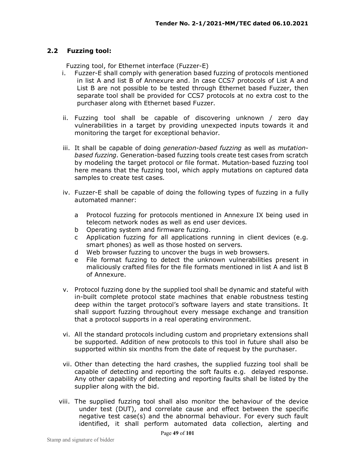#### **2.2 Fuzzing tool:**

Fuzzing tool, for Ethernet interface (Fuzzer-E)

- i. Fuzzer-E shall comply with generation based fuzzing of protocols mentioned in list A and list B of Annexure and. In case CCS7 protocols of List A and List B are not possible to be tested through Ethernet based Fuzzer, then separate tool shall be provided for CCS7 protocols at no extra cost to the purchaser along with Ethernet based Fuzzer.
- ii. Fuzzing tool shall be capable of discovering unknown / zero day vulnerabilities in a target by providing unexpected inputs towards it and monitoring the target for exceptional behavior.
- iii. It shall be capable of doing *generation-based fuzzing* as well as *mutationbased fuzzing.* Generation-based fuzzing tools create test cases from scratch by modeling the target protocol or file format. Mutation-based fuzzing tool here means that the fuzzing tool, which apply mutations on captured data samples to create test cases.
- iv. Fuzzer-E shall be capable of doing the following types of fuzzing in a fully automated manner:
	- a Protocol fuzzing for protocols mentioned in Annexure IX being used in telecom network nodes as well as end user devices.
	- b Operating system and firmware fuzzing.
	- c Application fuzzing for all applications running in client devices (e.g. smart phones) as well as those hosted on servers.
	- d Web browser fuzzing to uncover the bugs in web browsers.
	- e File format fuzzing to detect the unknown vulnerabilities present in maliciously crafted files for the file formats mentioned in list A and list B of Annexure.
- v. Protocol fuzzing done by the supplied tool shall be dynamic and stateful with in-built complete protocol state machines that enable robustness testing deep within the target protocol's software layers and state transitions. It shall support fuzzing throughout every message exchange and transition that a protocol supports in a real operating environment.
- vi. All the standard protocols including custom and proprietary extensions shall be supported. Addition of new protocols to this tool in future shall also be supported within six months from the date of request by the purchaser.
- vii. Other than detecting the hard crashes, the supplied fuzzing tool shall be capable of detecting and reporting the soft faults e.g. delayed response. Any other capability of detecting and reporting faults shall be listed by the supplier along with the bid.
- viii. The supplied fuzzing tool shall also monitor the behaviour of the device under test (DUT), and correlate cause and effect between the specific negative test case(s) and the abnormal behaviour. For every such fault identified, it shall perform automated data collection, alerting and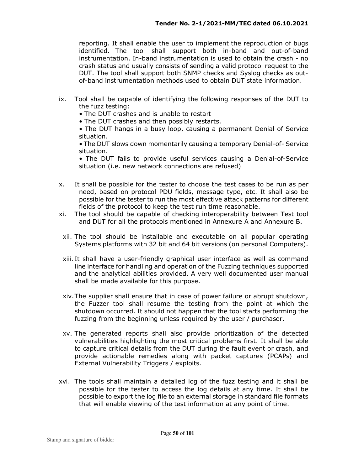reporting. It shall enable the user to implement the reproduction of bugs identified. The tool shall support both in-band and out-of-band instrumentation. In-band instrumentation is used to obtain the crash - no crash status and usually consists of sending a valid protocol request to the DUT. The tool shall support both SNMP checks and Syslog checks as outof-band instrumentation methods used to obtain DUT state information.

- ix. Tool shall be capable of identifying the following responses of the DUT to the fuzz testing:
	- The DUT crashes and is unable to restart
	- The DUT crashes and then possibly restarts.

• The DUT hangs in a busy loop, causing a permanent Denial of Service situation.

• The DUT slows down momentarily causing a temporary Denial-of- Service situation.

• The DUT fails to provide useful services causing a Denial-of-Service situation (i.e. new network connections are refused)

- x. It shall be possible for the tester to choose the test cases to be run as per need, based on protocol PDU fields, message type, etc. It shall also be possible for the tester to run the most effective attack patterns for different fields of the protocol to keep the test run time reasonable.
- xi. The tool should be capable of checking interoperability between Test tool and DUT for all the protocols mentioned in Annexure A and Annexure B.
	- xii. The tool should be installable and executable on all popular operating Systems platforms with 32 bit and 64 bit versions (on personal Computers).
	- xiii. It shall have a user-friendly graphical user interface as well as command line interface for handling and operation of the Fuzzing techniques supported and the analytical abilities provided. A very well documented user manual shall be made available for this purpose.
	- xiv.The supplier shall ensure that in case of power failure or abrupt shutdown, the Fuzzer tool shall resume the testing from the point at which the shutdown occurred. It should not happen that the tool starts performing the fuzzing from the beginning unless required by the user / purchaser.
	- xv. The generated reports shall also provide prioritization of the detected vulnerabilities highlighting the most critical problems first. It shall be able to capture critical details from the DUT during the fault event or crash, and provide actionable remedies along with packet captures (PCAPs) and External Vulnerability Triggers / exploits.
- xvi. The tools shall maintain a detailed log of the fuzz testing and it shall be possible for the tester to access the log details at any time. It shall be possible to export the log file to an external storage in standard file formats that will enable viewing of the test information at any point of time.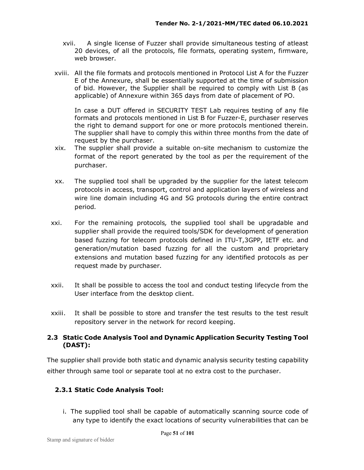- xvii. A single license of Fuzzer shall provide simultaneous testing of atleast 20 devices, of all the protocols, file formats, operating system, firmware, web browser.
- xviii. All the file formats and protocols mentioned in Protocol List A for the Fuzzer E of the Annexure, shall be essentially supported at the time of submission of bid. However, the Supplier shall be required to comply with List B (as applicable) of Annexure within 365 days from date of placement of PO.

In case a DUT offered in SECURITY TEST Lab requires testing of any file formats and protocols mentioned in List B for Fuzzer-E, purchaser reserves the right to demand support for one or more protocols mentioned therein. The supplier shall have to comply this within three months from the date of request by the purchaser.

- xix. The supplier shall provide a suitable on-site mechanism to customize the format of the report generated by the tool as per the requirement of the purchaser.
- xx. The supplied tool shall be upgraded by the supplier for the latest telecom protocols in access, transport, control and application layers of wireless and wire line domain including 4G and 5G protocols during the entire contract period*.*
- xxi. For the remaining protocols*,* the supplied tool shall be upgradable and supplier shall provide the required tools/SDK for development of generation based fuzzing for telecom protocols defined in ITU-T,3GPP, IETF etc. and generation/mutation based fuzzing for all the custom and proprietary extensions and mutation based fuzzing for any identified protocols as per request made by purchaser.
- xxii. It shall be possible to access the tool and conduct testing lifecycle from the User interface from the desktop client.
- xxiii. It shall be possible to store and transfer the test results to the test result repository server in the network for record keeping.

### **2.3 Static Code Analysis Tool and Dynamic Application Security Testing Tool (DAST):**

The supplier shall provide both static and dynamic analysis security testing capability either through same tool or separate tool at no extra cost to the purchaser.

## **2.3.1 Static Code Analysis Tool:**

i. The supplied tool shall be capable of automatically scanning source code of any type to identify the exact locations of security vulnerabilities that can be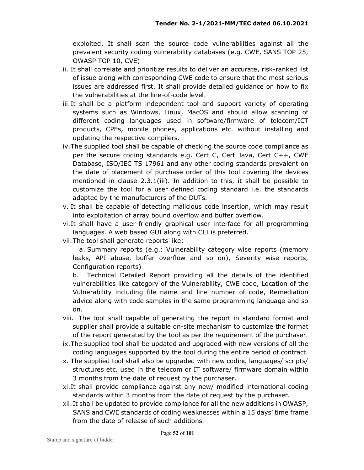exploited. It shall scan the source code vulnerabilities against all the prevalent security coding vulnerability databases (e.g. CWE, SANS TOP 25, OWASP TOP 10, CVE)

- ii. It shall correlate and prioritize results to deliver an accurate, risk-ranked list of issue along with corresponding CWE code to ensure that the most serious issues are addressed first. It shall provide detailed guidance on how to fix the vulnerabilities at the line-of-code level.
- iii.It shall be a platform independent tool and support variety of operating systems such as Windows, Linux, MacOS and should allow scanning of different coding languages used in software/firmware of telecom/ICT products, CPEs, mobile phones, applications etc. without installing and updating the respective compilers.
- iv.The supplied tool shall be capable of checking the source code compliance as per the secure coding standards e.g. Cert C, Cert Java, Cert C++, CWE Database, ISO/IEC TS 17961 and any other coding standards prevalent on the date of placement of purchase order of this tool covering the devices mentioned in clause 2.3.1(iii). In addition to this, it shall be possible to customize the tool for a user defined coding standard i.e. the standards adapted by the manufacturers of the DUTs.
- v. It shall be capable of detecting malicious code insertion, which may result into exploitation of array bound overflow and buffer overflow.
- vi.It shall have a user-friendly graphical user interface for all programming languages. A web based GUI along with CLI is preferred.
- vii.The tool shall generate reports like:

 a. Summary reports (e.g.: Vulnerability category wise reports (memory leaks, API abuse, buffer overflow and so on), Severity wise reports, Configuration reports)

b. Technical Detailed Report providing all the details of the identified vulnerabilities like category of the Vulnerability, CWE code, Location of the Vulnerability including file name and line number of code, Remediation advice along with code samples in the same programming language and so on.

- viii. The tool shall capable of generating the report in standard format and supplier shall provide a suitable on-site mechanism to customize the format of the report generated by the tool as per the requirement of the purchaser.
- ix.The supplied tool shall be updated and upgraded with new versions of all the coding languages supported by the tool during the entire period of contract.
- x. The supplied tool shall also be upgraded with new coding languages/ scripts/ structures etc. used in the telecom or IT software/ firmware domain within 3 months from the date of request by the purchaser.
- xi.It shall provide compliance against any new/ modified international coding standards within 3 months from the date of request by the purchaser.
- xii.It shall be updated to provide compliance for all the new additions in OWASP, SANS and CWE standards of coding weaknesses within a 15 days' time frame from the date of release of such additions.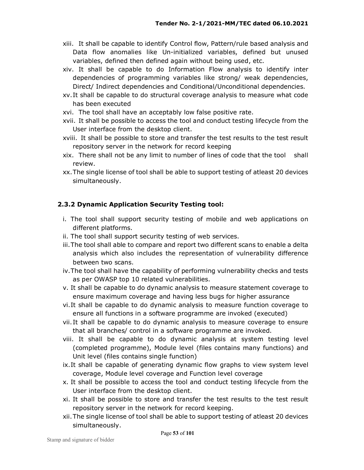- xiii. It shall be capable to identify Control flow, Pattern/rule based analysis and Data flow anomalies like Un-initialized variables, defined but unused variables, defined then defined again without being used, etc.
- xiv. It shall be capable to do Information Flow analysis to identify inter dependencies of programming variables like strong/ weak dependencies, Direct/ Indirect dependencies and Conditional/Unconditional dependencies.
- xv.It shall be capable to do structural coverage analysis to measure what code has been executed
- xvi. The tool shall have an acceptably low false positive rate.
- xvii. It shall be possible to access the tool and conduct testing lifecycle from the User interface from the desktop client.
- xviii. It shall be possible to store and transfer the test results to the test result repository server in the network for record keeping
- xix. There shall not be any limit to number of lines of code that the tool shall review.
- xx.The single license of tool shall be able to support testing of atleast 20 devices simultaneously.

## **2.3.2 Dynamic Application Security Testing tool:**

- i. The tool shall support security testing of mobile and web applications on different platforms.
- ii. The tool shall support security testing of web services.
- iii.The tool shall able to compare and report two different scans to enable a delta analysis which also includes the representation of vulnerability difference between two scans.
- iv.The tool shall have the capability of performing vulnerability checks and tests as per OWASP top 10 related vulnerabilities.
- v. It shall be capable to do dynamic analysis to measure statement coverage to ensure maximum coverage and having less bugs for higher assurance
- vi.It shall be capable to do dynamic analysis to measure function coverage to ensure all functions in a software programme are invoked (executed)
- vii.It shall be capable to do dynamic analysis to measure coverage to ensure that all branches/ control in a software programme are invoked.
- viii. It shall be capable to do dynamic analysis at system testing level (completed programme), Module level (files contains many functions) and Unit level (files contains single function)
- ix.It shall be capable of generating dynamic flow graphs to view system level coverage, Module level coverage and Function level coverage
- x. It shall be possible to access the tool and conduct testing lifecycle from the User interface from the desktop client.
- xi. It shall be possible to store and transfer the test results to the test result repository server in the network for record keeping.
- xii.The single license of tool shall be able to support testing of atleast 20 devices simultaneously.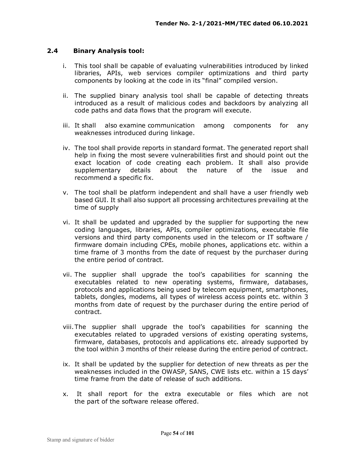#### **2.4 Binary Analysis tool:**

- i. This tool shall be capable of evaluating vulnerabilities introduced by linked libraries, APIs, web services compiler optimizations and third party components by looking at the code in its "final" compiled version.
- ii. The supplied binary analysis tool shall be capable of detecting threats introduced as a result of malicious codes and backdoors by analyzing all code paths and data flows that the program will execute.
- iii. It shall also examine communication among components for any weaknesses introduced during linkage.
- iv. The tool shall provide reports in standard format. The generated report shall help in fixing the most severe vulnerabilities first and should point out the exact location of code creating each problem. It shall also provide supplementary details about the nature of the issue and recommend a specific fix.
- v. The tool shall be platform independent and shall have a user friendly web based GUI. It shall also support all processing architectures prevailing at the time of supply
- vi. It shall be updated and upgraded by the supplier for supporting the new coding languages, libraries, APIs, compiler optimizations, executable file versions and third party components used in the telecom or IT software / firmware domain including CPEs, mobile phones, applications etc. within a time frame of 3 months from the date of request by the purchaser during the entire period of contract.
- vii. The supplier shall upgrade the tool's capabilities for scanning the executables related to new operating systems, firmware, databases, protocols and applications being used by telecom equipment, smartphones, tablets, dongles, modems, all types of wireless access points etc. within 3 months from date of request by the purchaser during the entire period of contract.
- viii.The supplier shall upgrade the tool's capabilities for scanning the executables related to upgraded versions of existing operating systems, firmware, databases, protocols and applications etc. already supported by the tool within 3 months of their release during the entire period of contract.
- ix. It shall be updated by the supplier for detection of new threats as per the weaknesses included in the OWASP, SANS, CWE lists etc. within a 15 days' time frame from the date of release of such additions.
- x. It shall report for the extra executable or files which are not the part of the software release offered.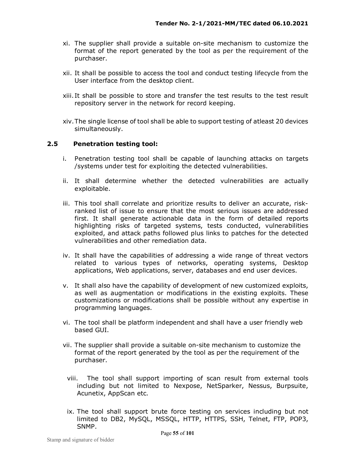- xi. The supplier shall provide a suitable on-site mechanism to customize the format of the report generated by the tool as per the requirement of the purchaser.
- xii. It shall be possible to access the tool and conduct testing lifecycle from the User interface from the desktop client.
- xiii. It shall be possible to store and transfer the test results to the test result repository server in the network for record keeping.
- xiv.The single license of tool shall be able to support testing of atleast 20 devices simultaneously.

#### **2.5 Penetration testing tool:**

- i. Penetration testing tool shall be capable of launching attacks on targets /systems under test for exploiting the detected vulnerabilities.
- ii. It shall determine whether the detected vulnerabilities are actually exploitable.
- iii. This tool shall correlate and prioritize results to deliver an accurate, riskranked list of issue to ensure that the most serious issues are addressed first. It shall generate actionable data in the form of detailed reports highlighting risks of targeted systems, tests conducted, vulnerabilities exploited, and attack paths followed plus links to patches for the detected vulnerabilities and other remediation data.
- iv. It shall have the capabilities of addressing a wide range of threat vectors related to various types of networks, operating systems, Desktop applications, Web applications, server, databases and end user devices.
- v. It shall also have the capability of development of new customized exploits, as well as augmentation or modifications in the existing exploits. These customizations or modifications shall be possible without any expertise in programming languages.
- vi. The tool shall be platform independent and shall have a user friendly web based GUI.
- vii. The supplier shall provide a suitable on-site mechanism to customize the format of the report generated by the tool as per the requirement of the purchaser.
	- viii. The tool shall support importing of scan result from external tools including but not limited to Nexpose, NetSparker, Nessus, Burpsuite, Acunetix, AppScan etc.
	- ix. The tool shall support brute force testing on services including but not limited to DB2, MySQL, MSSQL, HTTP, HTTPS, SSH, Telnet, FTP, POP3, SNMP.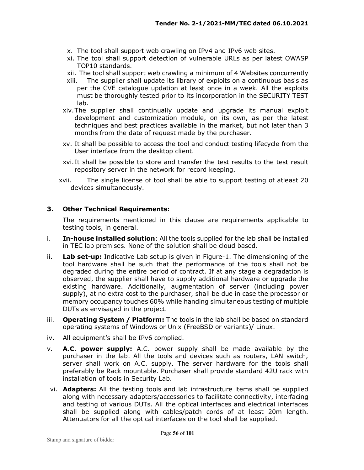- x. The tool shall support web crawling on IPv4 and IPv6 web sites.
- xi. The tool shall support detection of vulnerable URLs as per latest OWASP TOP10 standards.
- xii. The tool shall support web crawling a minimum of 4 Websites concurrently
- xiii. The supplier shall update its library of exploits on a continuous basis as per the CVE catalogue updation at least once in a week. All the exploits must be thoroughly tested prior to its incorporation in the SECURITY TEST lab.
- xiv.The supplier shall continually update and upgrade its manual exploit development and customization module, on its own, as per the latest techniques and best practices available in the market, but not later than 3 months from the date of request made by the purchaser.
- xv. It shall be possible to access the tool and conduct testing lifecycle from the User interface from the desktop client.
- xvi.It shall be possible to store and transfer the test results to the test result repository server in the network for record keeping.
- xvii. The single license of tool shall be able to support testing of atleast 20 devices simultaneously.

#### **3. Other Technical Requirements:**

The requirements mentioned in this clause are requirements applicable to testing tools, in general.

- i. **In-house installed solution**: All the tools supplied for the lab shall be installed in TEC lab premises. None of the solution shall be cloud based.
- ii. **Lab set-up:** Indicative Lab setup is given in Figure-1. The dimensioning of the tool hardware shall be such that the performance of the tools shall not be degraded during the entire period of contract. If at any stage a degradation is observed, the supplier shall have to supply additional hardware or upgrade the existing hardware. Additionally, augmentation of server (including power supply), at no extra cost to the purchaser, shall be due in case the processor or memory occupancy touches 60% while handing simultaneous testing of multiple DUTs as envisaged in the project.
- iii. **Operating System / Platform:** The tools in the lab shall be based on standard operating systems of Windows or Unix (FreeBSD or variants)/ Linux.
- iv. All equipment's shall be IPv6 complied.
- v. **A.C. power supply:** A.C. power supply shall be made available by the purchaser in the lab. All the tools and devices such as routers, LAN switch, server shall work on A.C. supply. The server hardware for the tools shall preferably be Rack mountable. Purchaser shall provide standard 42U rack with installation of tools in Security Lab.
- vi. **Adapters:** All the testing tools and lab infrastructure items shall be supplied along with necessary adapters/accessories to facilitate connectivity, interfacing and testing of various DUTs. All the optical interfaces and electrical interfaces shall be supplied along with cables/patch cords of at least 20m length. Attenuators for all the optical interfaces on the tool shall be supplied.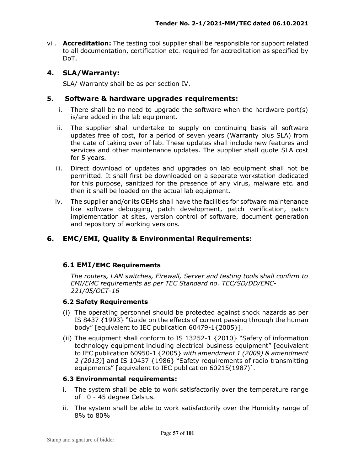vii. **Accreditation:** The testing tool supplier shall be responsible for support related to all documentation, certification etc. required for accreditation as specified by DoT.

#### **4. SLA/Warranty:**

SLA/ Warranty shall be as per section IV.

#### **5. Software & hardware upgrades requirements:**

- i. There shall be no need to upgrade the software when the hardware port(s) is/are added in the lab equipment.
- ii. The supplier shall undertake to supply on continuing basis all software updates free of cost, for a period of seven years (Warranty plus SLA) from the date of taking over of lab. These updates shall include new features and services and other maintenance updates. The supplier shall quote SLA cost for 5 years.
- iii. Direct download of updates and upgrades on lab equipment shall not be permitted. It shall first be downloaded on a separate workstation dedicated for this purpose, sanitized for the presence of any virus, malware etc. and then it shall be loaded on the actual lab equipment.
- iv. The supplier and/or its OEMs shall have the facilities for software maintenance like software debugging, patch development, patch verification, patch implementation at sites, version control of software, document generation and repository of working versions.

## **6. EMC/EMI, Quality & Environmental Requirements:**

#### **6.1 EMI/EMC Requirements**

*The routers, LAN switches, Firewall, Server and testing tools shall confirm to EMI/EMC requirements as per TEC Standard no. TEC/SD/DD/EMC-221/05/OCT-16* 

#### **6.2 Safety Requirements**

- (i) The operating personnel should be protected against shock hazards as per IS 8437 {1993} "Guide on the effects of current passing through the human body" [equivalent to IEC publication 60479-1{2005}].
- (ii) The equipment shall conform to IS 13252-1 {2010} "Safety of information technology equipment including electrical business equipment" [equivalent to IEC publication 60950-1 {2005} *with amendment 1 (2009) & amendment 2 (2013)*] and IS 10437 {1986} "Safety requirements of radio transmitting equipments" [equivalent to IEC publication 60215(1987)].

#### **6.3 Environmental requirements:**

- i. The system shall be able to work satisfactorily over the temperature range of 0 - 45 degree Celsius.
- ii. The system shall be able to work satisfactorily over the Humidity range of 8% to 80%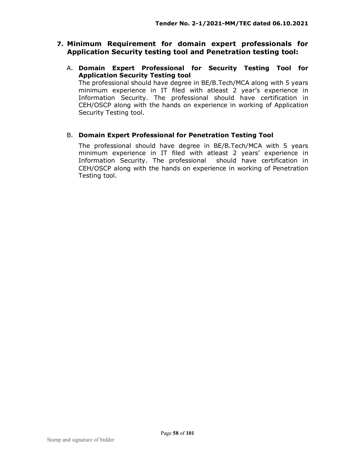## **7. Minimum Requirement for domain expert professionals for Application Security testing tool and Penetration testing tool:**

A. **Domain Expert Professional for Security Testing Tool for Application Security Testing tool**  The professional should have degree in BE/B.Tech/MCA along with 5 years

minimum experience in IT filed with atleast 2 year's experience in Information Security. The professional should have certification in CEH/OSCP along with the hands on experience in working of Application Security Testing tool.

## B. **Domain Expert Professional for Penetration Testing Tool**

The professional should have degree in BE/B.Tech/MCA with 5 years minimum experience in IT filed with atleast 2 years' experience in Information Security. The professional should have certification in CEH/OSCP along with the hands on experience in working of Penetration Testing tool.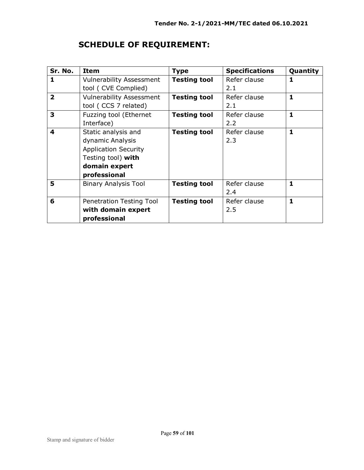| Sr. No.      | <b>Item</b>                     | <b>Type</b>         | <b>Specifications</b> | Quantity     |
|--------------|---------------------------------|---------------------|-----------------------|--------------|
| 1            | <b>Vulnerability Assessment</b> | <b>Testing tool</b> | Refer clause          | 1            |
|              | tool ( CVE Complied)            |                     | 2.1                   |              |
| $\mathbf{z}$ | <b>Vulnerability Assessment</b> | <b>Testing tool</b> | Refer clause          | 1            |
|              | tool (CCS 7 related)            |                     | 2.1                   |              |
| 3            | Fuzzing tool (Ethernet          | <b>Testing tool</b> | Refer clause          | 1            |
|              | Interface)                      |                     | 2.2                   |              |
| 4            | Static analysis and             | <b>Testing tool</b> | Refer clause          | $\mathbf{1}$ |
|              | dynamic Analysis                |                     | 2.3                   |              |
|              | <b>Application Security</b>     |                     |                       |              |
|              | Testing tool) with              |                     |                       |              |
|              | domain expert                   |                     |                       |              |
|              | professional                    |                     |                       |              |
| 5            | <b>Binary Analysis Tool</b>     | <b>Testing tool</b> | Refer clause          | 1            |
|              |                                 |                     | 2.4                   |              |
| 6            | Penetration Testing Tool        | <b>Testing tool</b> | Refer clause          | 1            |
|              | with domain expert              |                     | 2.5                   |              |
|              | professional                    |                     |                       |              |

# **SCHEDULE OF REQUIREMENT:**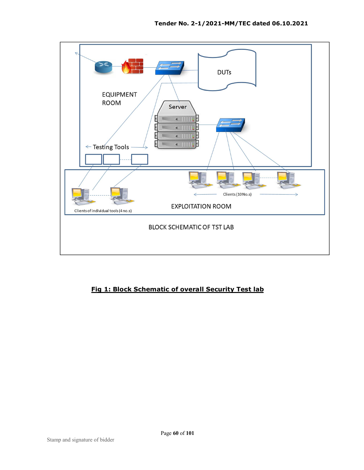

## **Fig 1: Block Schematic of overall Security Test lab**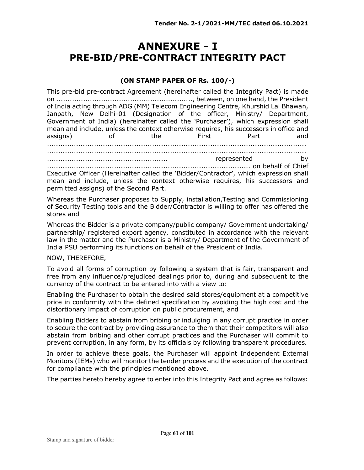# **ANNEXURE - I PRE-BID/PRE-CONTRACT INTEGRITY PACT**

#### **(ON STAMP PAPER OF Rs. 100/-)**

This pre-bid pre-contract Agreement (hereinafter called the Integrity Pact) is made on ............................................................., between, on one hand, the President of India acting through ADG (MM) Telecom Engineering Centre, Khurshid Lal Bhawan, Janpath, New Delhi-01 (Designation of the officer, Ministry/ Department, Government of India) (hereinafter called the 'Purchaser'), which expression shall mean and include, unless the context otherwise requires, his successors in office and assigns) of the First Part and .................................................................................................................... .................................................................................................................... ...................................................... represented by ........................................................................................... on behalf of Chief Executive Officer (Hereinafter called the 'Bidder/Contractor', which expression shall mean and include, unless the context otherwise requires, his successors and permitted assigns) of the Second Part.

Whereas the Purchaser proposes to Supply, installation,Testing and Commissioning of Security Testing tools and the Bidder/Contractor is willing to offer has offered the stores and

Whereas the Bidder is a private company/public company/ Government undertaking/ partnership/ registered export agency, constituted in accordance with the relevant law in the matter and the Purchaser is a Ministry/ Department of the Government of India PSU performing its functions on behalf of the President of India.

#### NOW, THEREFORE,

To avoid all forms of corruption by following a system that is fair, transparent and free from any influence/prejudiced dealings prior to, during and subsequent to the currency of the contract to be entered into with a view to:

Enabling the Purchaser to obtain the desired said stores/equipment at a competitive price in conformity with the defined specification by avoiding the high cost and the distortionary impact of corruption on public procurement, and

Enabling Bidders to abstain from bribing or indulging in any corrupt practice in order to secure the contract by providing assurance to them that their competitors will also abstain from bribing and other corrupt practices and the Purchaser will commit to prevent corruption, in any form, by its officials by following transparent procedures.

In order to achieve these goals, the Purchaser will appoint Independent External Monitors (IEMs) who will monitor the tender process and the execution of the contract for compliance with the principles mentioned above.

The parties hereto hereby agree to enter into this Integrity Pact and agree as follows: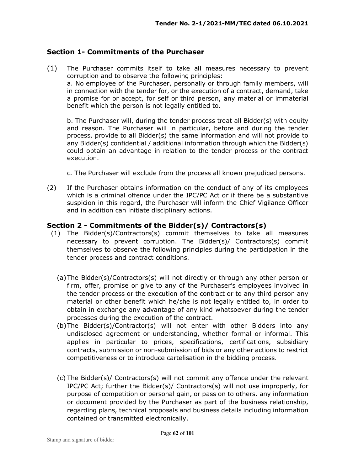### **Section 1- Commitments of the Purchaser**

(1) The Purchaser commits itself to take all measures necessary to prevent corruption and to observe the following principles: a. No employee of the Purchaser, personally or through family members, will in connection with the tender for, or the execution of a contract, demand, take a promise for or accept, for self or third person, any material or immaterial benefit which the person is not legally entitled to.

b. The Purchaser will, during the tender process treat all Bidder(s) with equity and reason. The Purchaser will in particular, before and during the tender process, provide to all Bidder(s) the same information and will not provide to any Bidder(s) confidential / additional information through which the Bidder(s) could obtain an advantage in relation to the tender process or the contract execution.

- c. The Purchaser will exclude from the process all known prejudiced persons.
- (2) If the Purchaser obtains information on the conduct of any of its employees which is a criminal offence under the IPC/PC Act or if there be a substantive suspicion in this regard, the Purchaser will inform the Chief Vigilance Officer and in addition can initiate disciplinary actions.

#### **Section 2 - Commitments of the Bidder(s)/ Contractors(s)**

- (1) The Bidder(s)/Contractors(s) commit themselves to take all measures necessary to prevent corruption. The Bidder(s)/ Contractors(s) commit themselves to observe the following principles during the participation in the tender process and contract conditions.
	- (a)The Bidder(s)/Contractors(s) will not directly or through any other person or firm, offer, promise or give to any of the Purchaser's employees involved in the tender process or the execution of the contract or to any third person any material or other benefit which he/she is not legally entitled to, in order to obtain in exchange any advantage of any kind whatsoever during the tender processes during the execution of the contract.
	- (b)The Bidder(s)/Contractor(s) will not enter with other Bidders into any undisclosed agreement or understanding, whether formal or informal. This applies in particular to prices, specifications, certifications, subsidiary contracts, submission or non-submission of bids or any other actions to restrict competitiveness or to introduce cartelisation in the bidding process.
	- (c) The Bidder(s)/ Contractors(s) will not commit any offence under the relevant IPC/PC Act; further the Bidder(s)/ Contractors(s) will not use improperly, for purpose of competition or personal gain, or pass on to others. any information or document provided by the Purchaser as part of the business relationship, regarding plans, technical proposals and business details including information contained or transmitted electronically.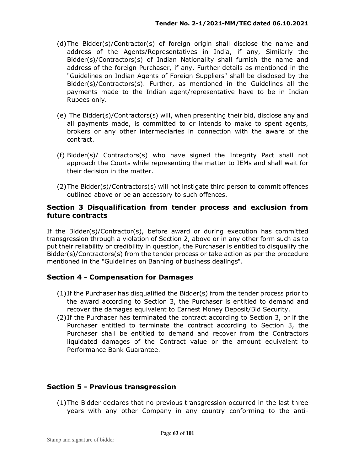- (d)The Bidder(s)/Contractor(s) of foreign origin shall disclose the name and address of the Agents/Representatives in India, if any, Similarly the Bidder(s)/Contractors(s) of Indian Nationality shall furnish the name and address of the foreign Purchaser, if any. Further details as mentioned in the "Guidelines on Indian Agents of Foreign Suppliers" shall be disclosed by the Bidder(s)/Contractors(s). Further, as mentioned in the Guidelines all the payments made to the Indian agent/representative have to be in Indian Rupees only.
- (e) The Bidder(s)/Contractors(s) will, when presenting their bid, disclose any and all payments made, is committed to or intends to make to spent agents, brokers or any other intermediaries in connection with the aware of the contract.
- (f) Bidder(s)/ Contractors(s) who have signed the Integrity Pact shall not approach the Courts while representing the matter to IEMs and shall wait for their decision in the matter.
- (2)The Bidder(s)/Contractors(s) will not instigate third person to commit offences outlined above or be an accessory to such offences.

### **Section 3 Disqualification from tender process and exclusion from future contracts**

If the Bidder(s)/Contractor(s), before award or during execution has committed transgression through a violation of Section 2, above or in any other form such as to put their reliability or credibility in question, the Purchaser is entitled to disqualify the Bidder(s)/Contractors(s) from the tender process or take action as per the procedure mentioned in the "Guidelines on Banning of business dealings".

## **Section 4 - Compensation for Damages**

- (1)If the Purchaser has disqualified the Bidder(s) from the tender process prior to the award according to Section 3, the Purchaser is entitled to demand and recover the damages equivalent to Earnest Money Deposit/Bid Security.
- (2)If the Purchaser has terminated the contract according to Section 3, or if the Purchaser entitled to terminate the contract according to Section 3, the Purchaser shall be entitled to demand and recover from the Contractors liquidated damages of the Contract value or the amount equivalent to Performance Bank Guarantee.

## **Section 5 - Previous transgression**

(1)The Bidder declares that no previous transgression occurred in the last three years with any other Company in any country conforming to the anti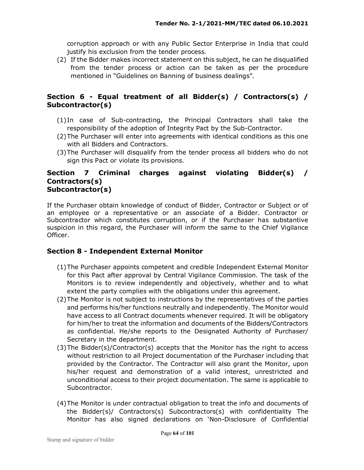corruption approach or with any Public Sector Enterprise in India that could justify his exclusion from the tender process.

(2) If the Bidder makes incorrect statement on this subject, he can he disqualified from the tender process or action can be taken as per the procedure mentioned in "Guidelines on Banning of business dealings".

# **Section 6 - Equal treatment of all Bidder(s) / Contractors(s) / Subcontractor(s)**

- (1)In case of Sub-contracting, the Principal Contractors shall take the responsibility of the adoption of Integrity Pact by the Sub-Contractor.
- (2)The Purchaser will enter into agreements with identical conditions as this one with all Bidders and Contractors.
- (3)The Purchaser will disqualify from the tender process all bidders who do not sign this Pact or violate its provisions.

#### **Section 7 Criminal charges against violating Bidder(s) / Contractors(s) Subcontractor(s)**

If the Purchaser obtain knowledge of conduct of Bidder, Contractor or Subject or of an employee or a representative or an associate of a Bidder. Contractor or Subcontractor which constitutes corruption, or if the Purchaser has substantive suspicion in this regard, the Purchaser will inform the same to the Chief Vigilance Officer.

# **Section 8 - Independent External Monitor**

- (1)The Purchaser appoints competent and credible Independent External Monitor for this Pact after approval by Central Vigilance Commission. The task of the Monitors is to review independently and objectively, whether and to what extent the party complies with the obligations under this agreement.
- (2)The Monitor is not subject to instructions by the representatives of the parties and performs his/her functions neutrally and independently. The Monitor would have access to all Contract documents whenever required. It will be obligatory for him/her to treat the information and documents of the Bidders/Contractors as confidential. He/she reports to the Designated Authority of Purchaser/ Secretary in the department.
- (3)The Bidder(s)/Contractor(s) accepts that the Monitor has the right to access without restriction to all Project documentation of the Purchaser including that provided by the Contractor. The Contractor will also grant the Monitor, upon his/her request and demonstration of a valid interest, unrestricted and unconditional access to their project documentation. The same is applicable to Subcontractor.
- (4)The Monitor is under contractual obligation to treat the info and documents of the Bidder(s)/ Contractors(s) Subcontractors(s) with confidentiality The Monitor has also signed declarations on 'Non-Disclosure of Confidential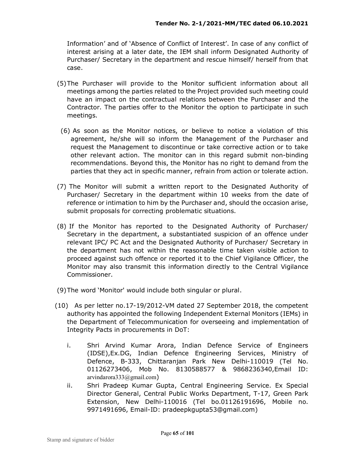Information' and of 'Absence of Conflict of Interest'. In case of any conflict of interest arising at a later date, the IEM shall inform Designated Authority of Purchaser/ Secretary in the department and rescue himself/ herself from that case.

- (5)The Purchaser will provide to the Monitor sufficient information about all meetings among the parties related to the Project provided such meeting could have an impact on the contractual relations between the Purchaser and the Contractor. The parties offer to the Monitor the option to participate in such meetings.
- (6) As soon as the Monitor notices, or believe to notice a violation of this agreement, he/she will so inform the Management of the Purchaser and request the Management to discontinue or take corrective action or to take other relevant action. The monitor can in this regard submit non-binding recommendations. Beyond this, the Monitor has no right to demand from the parties that they act in specific manner, refrain from action or tolerate action.
- (7) The Monitor will submit a written report to the Designated Authority of Purchaser/ Secretary in the department within 10 weeks from the date of reference or intimation to him by the Purchaser and, should the occasion arise, submit proposals for correcting problematic situations.
- (8) If the Monitor has reported to the Designated Authority of Purchaser/ Secretary in the department, a substantiated suspicion of an offence under relevant IPC/ PC Act and the Designated Authority of Purchaser/ Secretary in the department has not within the reasonable time taken visible action to proceed against such offence or reported it to the Chief Vigilance Officer, the Monitor may also transmit this information directly to the Central Vigilance Commissioner.
- (9)The word 'Monitor' would include both singular or plural.
- (10) As per letter no.17-19/2012-VM dated 27 September 2018, the competent authority has appointed the following Independent External Monitors (IEMs) in the Department of Telecommunication for overseeing and implementation of Integrity Pacts in procurements in DoT:
	- i. Shri Arvind Kumar Arora, Indian Defence Service of Engineers (IDSE),Ex.DG, Indian Defence Engineering Services, Ministry of Defence, B-333, Chittaranjan Park New Delhi-110019 (Tel No. 01126273406, Mob No. 8130588577 & 9868236340,Email ID: arvindarora333@gmail.com)
	- ii. Shri Pradeep Kumar Gupta, Central Engineering Service. Ex Special Director General, Central Public Works Department, T-17, Green Park Extension, New Delhi-110016 (Tel bo.01126191696, Mobile no. 9971491696, Email-ID: pradeepkgupta53@gmail.com)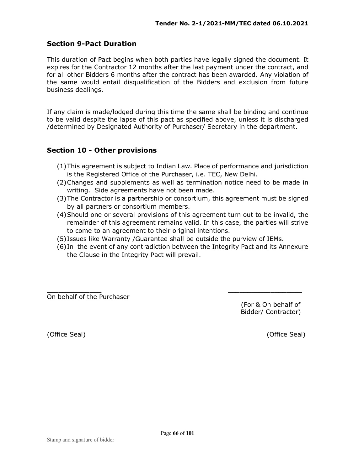## **Section 9-Pact Duration**

This duration of Pact begins when both parties have legally signed the document. It expires for the Contractor 12 months after the last payment under the contract, and for all other Bidders 6 months after the contract has been awarded. Any violation of the same would entail disqualification of the Bidders and exclusion from future business dealings.

If any claim is made/lodged during this time the same shall be binding and continue to be valid despite the lapse of this pact as specified above, unless it is discharged /determined by Designated Authority of Purchaser/ Secretary in the department.

## **Section 10 - Other provisions**

- (1)This agreement is subject to Indian Law. Place of performance and jurisdiction is the Registered Office of the Purchaser, i.e. TEC, New Delhi.
- (2)Changes and supplements as well as termination notice need to be made in writing. Side agreements have not been made.
- (3)The Contractor is a partnership or consortium, this agreement must be signed by all partners or consortium members.
- (4)Should one or several provisions of this agreement turn out to be invalid, the remainder of this agreement remains valid. In this case, the parties will strive to come to an agreement to their original intentions.
- (5)Issues like Warranty /Guarantee shall be outside the purview of IEMs.
- (6)In the event of any contradiction between the Integrity Pact and its Annexure the Clause in the Integrity Pact will prevail.

\_\_\_\_\_\_\_\_\_\_\_\_\_\_ \_\_\_\_\_\_\_\_\_\_\_\_\_\_\_\_\_\_\_ On behalf of the Purchaser

 (For & On behalf of Bidder/ Contractor)

(Office Seal) (Office Seal)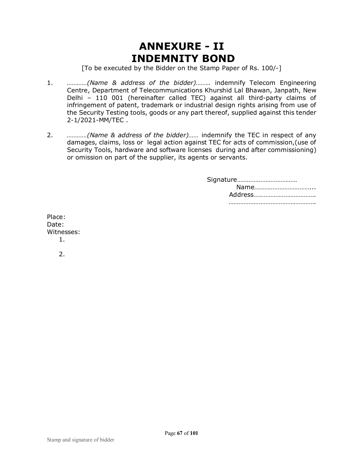# **ANNEXURE - II INDEMNITY BOND**

[To be executed by the Bidder on the Stamp Paper of Rs. 100/-]

- 1. *…………(Name & address of the bidder)……..* indemnify Telecom Engineering Centre, Department of Telecommunications Khurshid Lal Bhawan, Janpath, New Delhi – 110 001 (hereinafter called TEC) against all third-party claims of infringement of patent, trademark or industrial design rights arising from use of the Security Testing tools, goods or any part thereof, supplied against this tender 2-1/2021-MM/TEC .
- 2. *…………(Name & address of the bidder)……* indemnify the TEC in respect of any damages, claims, loss or legal action against TEC for acts of commission,(use of Security Tools, hardware and software licenses during and after commissioning) or omission on part of the supplier, its agents or servants.

Place: Date: Witnesses: 1.  $2<sub>1</sub>$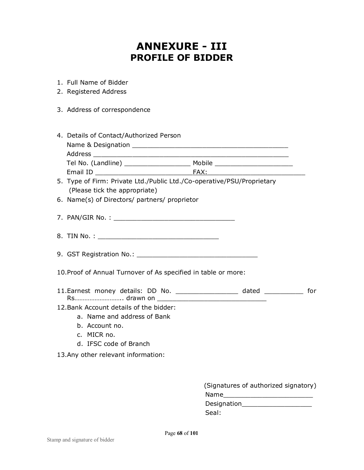# **ANNEXURE - III PROFILE OF BIDDER**

- 1. Full Name of Bidder
- 2. Registered Address
- 3. Address of correspondence

| 4. Details of Contact/Authorized Person                                                                        |        |
|----------------------------------------------------------------------------------------------------------------|--------|
| Name & Designation                                                                                             |        |
| Address                                                                                                        |        |
| Tel No. (Landline) and the state of the state of the state of the state of the state of the state of the state | Mobile |
| Email ID                                                                                                       | FAX:   |

- 5. Type of Firm: Private Ltd./Public Ltd./Co-operative/PSU/Proprietary (Please tick the appropriate)
- 6. Name(s) of Directors/ partners/ proprietor
- 7. PAN/GIR No. : \_\_\_\_\_\_\_\_\_\_\_\_\_\_\_\_\_\_\_\_\_\_\_\_\_\_\_\_\_\_\_
- 8. TIN No. :
- 9. GST Registration No.: \_\_\_\_\_\_\_\_\_\_\_\_\_\_\_\_\_\_\_\_\_\_\_\_\_\_\_\_\_\_\_
- 10.Proof of Annual Turnover of As specified in table or more:
- 11.Earnest money details: DD No. \_\_\_\_\_\_\_\_\_\_\_\_\_\_\_\_ dated \_\_\_\_\_\_\_\_\_\_ for Rs……………………….. drawn on \_\_\_\_\_\_\_\_\_\_\_\_\_\_\_\_\_\_\_\_\_\_\_\_\_\_\_\_
- 12.Bank Account details of the bidder:
	- a. Name and address of Bank
	- b. Account no.
	- c. MICR no.
	- d. IFSC code of Branch
- 13.Any other relevant information:

| (Signatures of authorized signatory) |
|--------------------------------------|
| Name                                 |
| <b>Designation</b>                   |
| Seal:                                |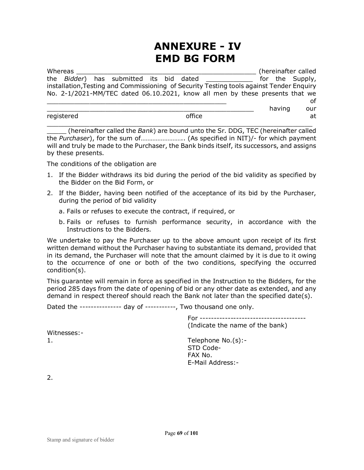# **ANNEXURE - IV EMD BG FORM**

| Whereas    |  |                                                                                          |  |        |  |        | (hereinafter called |
|------------|--|------------------------------------------------------------------------------------------|--|--------|--|--------|---------------------|
|            |  | the Bidder) has submitted its bid dated                                                  |  |        |  |        | for the Supply,     |
|            |  | installation, Testing and Commissioning of Security Testing tools against Tender Enguiry |  |        |  |        |                     |
|            |  | No. 2-1/2021-MM/TEC dated 06.10.2021, know all men by these presents that we             |  |        |  |        |                     |
|            |  |                                                                                          |  |        |  |        | οf                  |
|            |  |                                                                                          |  |        |  | having | our                 |
| registered |  |                                                                                          |  | office |  |        | at                  |
|            |  |                                                                                          |  |        |  |        |                     |

\_\_\_\_\_ (hereinafter called the *Bank*) are bound unto the Sr. DDG, TEC (hereinafter called the *Purchaser*), for the sum of…………………….. (As specified in NIT)/- for which payment will and truly be made to the Purchaser, the Bank binds itself, its successors, and assigns by these presents.

The conditions of the obligation are

- 1. If the Bidder withdraws its bid during the period of the bid validity as specified by the Bidder on the Bid Form, or
- 2. If the Bidder, having been notified of the acceptance of its bid by the Purchaser, during the period of bid validity
	- a. Fails or refuses to execute the contract, if required, or
	- b. Fails or refuses to furnish performance security, in accordance with the Instructions to the Bidders.

We undertake to pay the Purchaser up to the above amount upon receipt of its first written demand without the Purchaser having to substantiate its demand, provided that in its demand, the Purchaser will note that the amount claimed by it is due to it owing to the occurrence of one or both of the two conditions, specifying the occurred condition(s).

This guarantee will remain in force as specified in the Instruction to the Bidders, for the period 285 days from the date of opening of bid or any other date as extended, and any demand in respect thereof should reach the Bank not later than the specified date(s).

Dated the --------------- day of -----------, Two thousand one only.

For -------------------------------------- (Indicate the name of the bank) 1. Telephone No.(s):- STD Code- FAX No. E-Mail Address:-

2.

Witnesses:-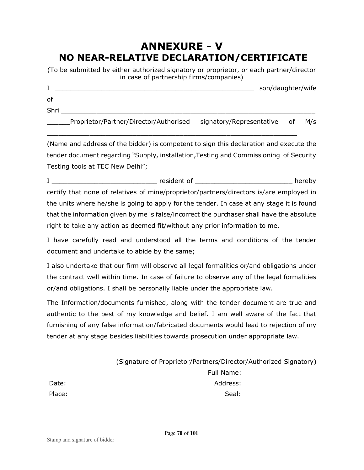# **ANNEXURE - V NO NEAR-RELATIVE DECLARATION/CERTIFICATE**

(To be submitted by either authorized signatory or proprietor, or each partner/director in case of partnership firms/companies)

|      |                                        |                          | son/daughter/wife |     |
|------|----------------------------------------|--------------------------|-------------------|-----|
| οf   |                                        |                          |                   |     |
| Shri |                                        |                          |                   |     |
|      | Proprietor/Partner/Director/Authorised | signatory/Representative | of:               | M/s |

(Name and address of the bidder) is competent to sign this declaration and execute the tender document regarding "Supply, installation,Testing and Commissioning of Security Testing tools at TEC New Delhi";

\_\_\_\_\_\_\_\_\_\_\_\_\_\_\_\_\_\_\_\_\_\_\_\_\_\_\_\_\_\_\_\_\_\_\_\_\_\_\_\_\_\_\_\_\_\_\_\_\_\_\_\_\_\_\_\_\_\_\_\_\_\_\_\_

I \_\_\_\_\_\_\_\_\_\_\_\_\_\_\_\_\_\_\_\_\_\_\_\_\_\_\_ resident of \_\_\_\_\_\_\_\_\_\_\_\_\_\_\_\_\_\_\_\_\_\_\_\_\_ hereby certify that none of relatives of mine/proprietor/partners/directors is/are employed in the units where he/she is going to apply for the tender. In case at any stage it is found that the information given by me is false/incorrect the purchaser shall have the absolute right to take any action as deemed fit/without any prior information to me.

I have carefully read and understood all the terms and conditions of the tender document and undertake to abide by the same;

I also undertake that our firm will observe all legal formalities or/and obligations under the contract well within time. In case of failure to observe any of the legal formalities or/and obligations. I shall be personally liable under the appropriate law.

The Information/documents furnished, along with the tender document are true and authentic to the best of my knowledge and belief. I am well aware of the fact that furnishing of any false information/fabricated documents would lead to rejection of my tender at any stage besides liabilities towards prosecution under appropriate law.

(Signature of Proprietor/Partners/Director/Authorized Signatory) Full Name: Date: Address: Place: Seal: Seal: Seal: Seal: Seal: Seal: Seal: Seal: Seal: Seal: Seal: Seal: Seal: Seal: Seal: Seal: Seal: Seal: Seal: Seal: Seal: Seal: Seal: Seal: Seal: Seal: Seal: Seal: Seal: Seal: Seal: Seal: Seal: Seal: Seal: Seal: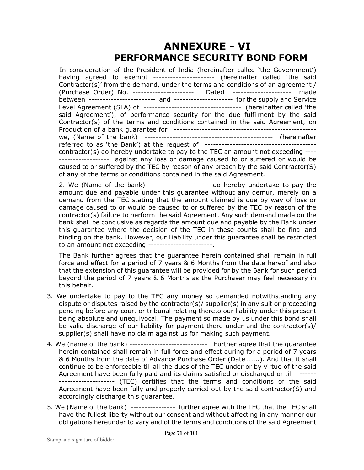# **ANNEXURE - VI PERFORMANCE SECURITY BOND FORM**

In consideration of the President of India (hereinafter called 'the Government') having agreed to exempt ---------------------- (hereinafter called 'the said Contractor(s)' from the demand, under the terms and conditions of an agreement / (Purchase Order) No. ---------------------- Dated --------------------- made between ------------------------ and --------------------- for the supply and Service Level Agreement (SLA) of ----------------------------------- (hereinafter called 'the said Agreement'), of performance security for the due fulfilment by the said Contractor(s) of the terms and conditions contained in the said Agreement, on Production of a bank guarantee for -------------------------------------------------- we, (Name of the bank) ---------------------------------------------- (hereinafter referred to as 'the Bank') at the request of --------------------------------------- contractor(s) do hereby undertake to pay to the TEC an amount not exceeding ---- ------------------ against any loss or damage caused to or suffered or would be caused to or suffered by the TEC by reason of any breach by the said Contractor(S) of any of the terms or conditions contained in the said Agreement.

2. We (Name of the bank) ---------------------- do hereby undertake to pay the amount due and payable under this guarantee without any demur, merely on a demand from the TEC stating that the amount claimed is due by way of loss or damage caused to or would be caused to or suffered by the TEC by reason of the contractor(s) failure to perform the said Agreement. Any such demand made on the bank shall be conclusive as regards the amount due and payable by the Bank under this guarantee where the decision of the TEC in these counts shall be final and binding on the bank. However, our Liability under this guarantee shall be restricted to an amount not exceeding -----------------------.

The Bank further agrees that the guarantee herein contained shall remain in full force and effect for a period of 7 years & 6 Months from the date hereof and also that the extension of this guarantee will be provided for by the Bank for such period beyond the period of 7 years & 6 Months as the Purchaser may feel necessary in this behalf.

- 3. We undertake to pay to the TEC any money so demanded notwithstanding any dispute or disputes raised by the contractor(s)/ supplier(s) in any suit or proceeding pending before any court or tribunal relating thereto our liability under this present being absolute and unequivocal. The payment so made by us under this bond shall be valid discharge of our liability for payment there under and the contractor(s)/ supplier(s) shall have no claim against us for making such payment.
- 4. We (name of the bank) ---------------------------- Further agree that the guarantee herein contained shall remain in full force and effect during for a period of 7 years & 6 Months from the date of Advance Purchase Order (Date……..). And that it shall continue to be enforceable till all the dues of the TEC under or by virtue of the said Agreement have been fully paid and its claims satisfied or discharged or till ------ ------------------- (TEC) certifies that the terms and conditions of the said Agreement have been fully and properly carried out by the said contractor(S) and accordingly discharge this guarantee.
- 5. We (Name of the bank) ---------------- further agree with the TEC that the TEC shall have the fullest liberty without our consent and without affecting in any manner our obligations hereunder to vary and of the terms and conditions of the said Agreement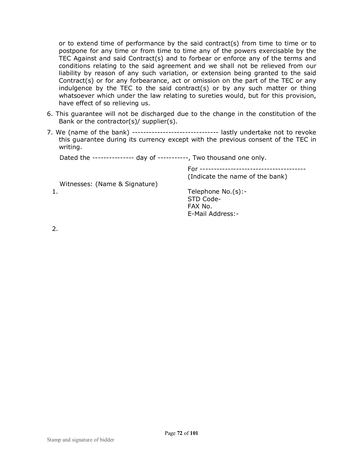or to extend time of performance by the said contract(s) from time to time or to postpone for any time or from time to time any of the powers exercisable by the TEC Against and said Contract(s) and to forbear or enforce any of the terms and conditions relating to the said agreement and we shall not be relieved from our liability by reason of any such variation, or extension being granted to the said Contract(s) or for any forbearance, act or omission on the part of the TEC or any indulgence by the TEC to the said contract(s) or by any such matter or thing whatsoever which under the law relating to sureties would, but for this provision, have effect of so relieving us.

- 6. This guarantee will not be discharged due to the change in the constitution of the Bank or the contractor(s)/ supplier(s).
- 7. We (name of the bank) ------------------------------- lastly undertake not to revoke this guarantee during its currency except with the previous consent of the TEC in writing.

Dated the --------------- day of -----------, Two thousand one only.

For -------------------------------------- (Indicate the name of the bank)

Witnesses: (Name & Signature)

1. Telephone No.(s):- STD Code- FAX No. E-Mail Address:-

2.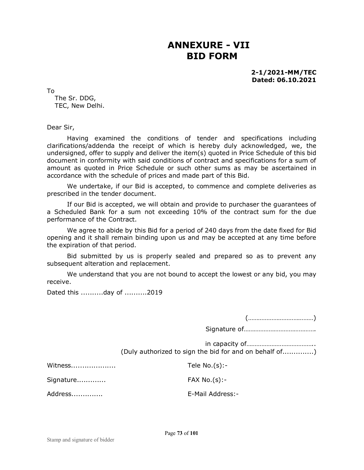### **ANNEXURE - VII BID FORM**

**2-1/2021-MM/TEC Dated: 06.10.2021** 

To

The Sr. DDG, TEC, New Delhi.

Dear Sir,

Having examined the conditions of tender and specifications including clarifications/addenda the receipt of which is hereby duly acknowledged, we, the undersigned, offer to supply and deliver the item(s) quoted in Price Schedule of this bid document in conformity with said conditions of contract and specifications for a sum of amount as quoted in Price Schedule or such other sums as may be ascertained in accordance with the schedule of prices and made part of this Bid.

We undertake, if our Bid is accepted, to commence and complete deliveries as prescribed in the tender document.

If our Bid is accepted, we will obtain and provide to purchaser the guarantees of a Scheduled Bank for a sum not exceeding 10% of the contract sum for the due performance of the Contract.

We agree to abide by this Bid for a period of 240 days from the date fixed for Bid opening and it shall remain binding upon us and may be accepted at any time before the expiration of that period.

Bid submitted by us is properly sealed and prepared so as to prevent any subsequent alteration and replacement.

We understand that you are not bound to accept the lowest or any bid, you may receive.

Dated this ..........day of ..........2019

(…………………………………)

Signature of…………………………………….

in capacity of………………………………….. (Duly authorized to sign the bid for and on behalf of..............)

| Witness   | Tele $No.(s):$   |
|-----------|------------------|
| Signature | FAX No.(s):      |
| Address   | E-Mail Address:- |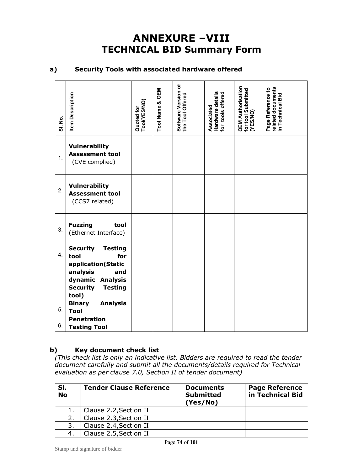## **ANNEXURE –VIII TECHNICAL BID Summary Form**

#### **a) Security Tools with associated hardware offered**

| <b>SI. No.</b>   | <b>Item Description</b>                                                                                                                                     | Quoted for<br>Tool(YES/NO) | OEM<br>Tool Name & | Software Version of<br>the Tool Offered | Hardware details<br>for tools offered<br>Associated | <b>OEM Authorisation</b><br>for tool Submitted<br>(YES/NO) | related documents<br>Page Reference to<br>in Technical Bid |
|------------------|-------------------------------------------------------------------------------------------------------------------------------------------------------------|----------------------------|--------------------|-----------------------------------------|-----------------------------------------------------|------------------------------------------------------------|------------------------------------------------------------|
| 1.               | <b>Vulnerability</b><br><b>Assessment tool</b><br>(CVE complied)                                                                                            |                            |                    |                                         |                                                     |                                                            |                                                            |
| $\overline{2}$ . | <b>Vulnerability</b><br><b>Assessment tool</b><br>(CCS7 related)                                                                                            |                            |                    |                                         |                                                     |                                                            |                                                            |
| 3.               | <b>Fuzzing</b><br>tool<br>(Ethernet Interface)                                                                                                              |                            |                    |                                         |                                                     |                                                            |                                                            |
| 4.               | <b>Security</b><br><b>Testing</b><br>tool<br>for<br>application(Static<br>analysis<br>and<br>dynamic Analysis<br><b>Security</b><br><b>Testing</b><br>tool) |                            |                    |                                         |                                                     |                                                            |                                                            |
| 5.               | <b>Binary</b><br><b>Analysis</b><br><b>Tool</b>                                                                                                             |                            |                    |                                         |                                                     |                                                            |                                                            |
| 6.               | <b>Penetration</b><br><b>Testing Tool</b>                                                                                                                   |                            |                    |                                         |                                                     |                                                            |                                                            |

### **b) Key document check list**

*(This check list is only an indicative list. Bidders are required to read the tender document carefully and submit all the documents/details required for Technical evaluation as per clause 7.0, Section II of tender document)*

| SI.<br><b>No</b> | <b>Tender Clause Reference</b> | <b>Documents</b><br><b>Submitted</b><br>(Yes/No) | <b>Page Reference</b><br>in Technical Bid |
|------------------|--------------------------------|--------------------------------------------------|-------------------------------------------|
|                  | Clause 2.2, Section II         |                                                  |                                           |
| 2.               | Clause 2.3, Section II         |                                                  |                                           |
| 3.               | Clause 2.4, Section II         |                                                  |                                           |
|                  | Clause 2.5, Section II         |                                                  |                                           |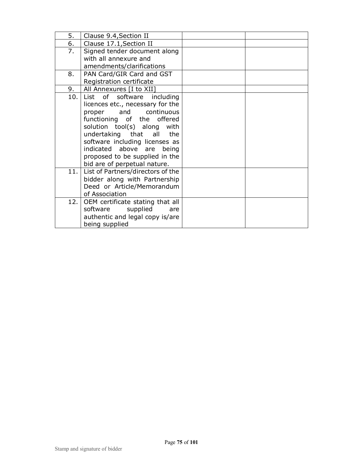| 5.  | Clause 9.4, Section II            |  |
|-----|-----------------------------------|--|
| 6.  | Clause 17.1, Section II           |  |
| 7.  | Signed tender document along      |  |
|     | with all annexure and             |  |
|     | amendments/clarifications         |  |
| 8.  | PAN Card/GIR Card and GST         |  |
|     | Registration certificate          |  |
| 9.  | All Annexures [I to XII]          |  |
| 10. | List of software including        |  |
|     | licences etc., necessary for the  |  |
|     | proper and continuous             |  |
|     | functioning of the offered        |  |
|     | solution tool(s) along with       |  |
|     | undertaking that all the          |  |
|     | software including licenses as    |  |
|     | indicated above are<br>being      |  |
|     | proposed to be supplied in the    |  |
|     | bid are of perpetual nature.      |  |
| 11. | List of Partners/directors of the |  |
|     | bidder along with Partnership     |  |
|     | Deed or Article/Memorandum        |  |
|     | of Association                    |  |
| 12. | OEM certificate stating that all  |  |
|     | supplied<br>software<br>are       |  |
|     | authentic and legal copy is/are   |  |
|     | being supplied                    |  |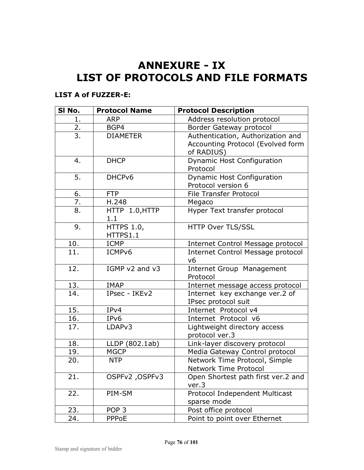# **ANNEXURE - IX LIST OF PROTOCOLS AND FILE FORMATS**

### **LIST A of FUZZER-E:**

| SI No.          | <b>Protocol Name</b> | <b>Protocol Description</b>              |
|-----------------|----------------------|------------------------------------------|
| 1.              | <b>ARP</b>           | Address resolution protocol              |
| $\frac{2}{3}$ . | BGP4                 | Border Gateway protocol                  |
|                 | <b>DIAMETER</b>      | Authentication, Authorization and        |
|                 |                      | Accounting Protocol (Evolved form        |
|                 |                      | of RADIUS)                               |
| 4.              | <b>DHCP</b>          | <b>Dynamic Host Configuration</b>        |
|                 |                      | Protocol                                 |
| 5.              | DHCPv6               | <b>Dynamic Host Configuration</b>        |
|                 |                      | Protocol version 6                       |
| 6.              | <b>FTP</b>           | File Transfer Protocol                   |
| 7.              | H.248                | Megaco                                   |
| 8.              | HTTP 1.0, HTTP       | Hyper Text transfer protocol             |
|                 | 1.1                  |                                          |
| 9.              | <b>HTTPS 1.0,</b>    | HTTP Over TLS/SSL                        |
|                 | HTTPS1.1             |                                          |
| 10.             | <b>ICMP</b>          | Internet Control Message protocol        |
| 11.             | ICMP <sub>v6</sub>   | <b>Internet Control Message protocol</b> |
|                 |                      | V <sub>6</sub>                           |
| 12.             | IGMP v2 and v3       | <b>Internet Group Management</b>         |
|                 |                      | Protocol                                 |
| 13.             | <b>IMAP</b>          | Internet message access protocol         |
| 14.             | IPsec - IKEv2        | Internet key exchange ver.2 of           |
|                 |                      | IPsec protocol suit                      |
| 15.             | IPv4                 | Internet Protocol v4                     |
| 16.             | IPv6                 | Internet Protocol v6                     |
| 17.             | LDAP <sub>v3</sub>   | Lightweight directory access             |
|                 |                      | protocol ver.3                           |
| 18.             | LLDP (802.1ab)       | Link-layer discovery protocol            |
| 19.             | <b>MGCP</b>          | Media Gateway Control protocol           |
| 20.             | <b>NTP</b>           | Network Time Protocol, Simple            |
|                 |                      | Network Time Protocol                    |
| 21.             | OSPFv2, OSPFv3       | Open Shortest path first ver.2 and       |
|                 |                      | ver.3                                    |
| 22.             | PIM-SM               | Protocol Independent Multicast           |
|                 |                      | sparse mode                              |
| 23.             | POP <sub>3</sub>     | Post office protocol                     |
| 24.             | PPPoE                | Point to point over Ethernet             |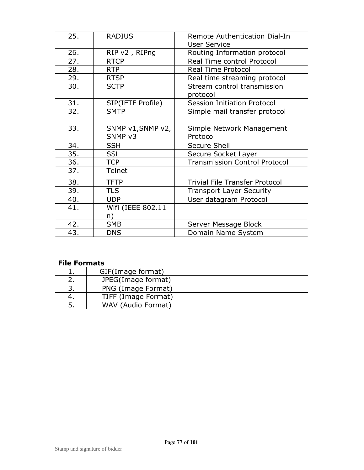| 25. | <b>RADIUS</b>                | Remote Authentication Dial-In<br><b>User Service</b> |
|-----|------------------------------|------------------------------------------------------|
| 26. | RIP v2, RIPng                | Routing Information protocol                         |
| 27. | <b>RTCP</b>                  | <b>Real Time control Protocol</b>                    |
| 28. | <b>RTP</b>                   | <b>Real Time Protocol</b>                            |
| 29. | <b>RTSP</b>                  | Real time streaming protocol                         |
| 30. | <b>SCTP</b>                  | Stream control transmission<br>protocol              |
| 31. | SIP(IETF Profile)            | <b>Session Initiation Protocol</b>                   |
| 32. | <b>SMTP</b>                  | Simple mail transfer protocol                        |
| 33. | SNMP v1, SNMP v2,<br>SNMP v3 | Simple Network Management<br>Protocol                |
| 34. | <b>SSH</b>                   | <b>Secure Shell</b>                                  |
| 35. | <b>SSL</b>                   | Secure Socket Layer                                  |
| 36. | <b>TCP</b>                   | <b>Transmission Control Protocol</b>                 |
| 37. | <b>Telnet</b>                |                                                      |
| 38. | <b>TFTP</b>                  | <b>Trivial File Transfer Protocol</b>                |
| 39. | <b>TLS</b>                   | <b>Transport Layer Security</b>                      |
| 40. | <b>UDP</b>                   | User datagram Protocol                               |
| 41. | Wifi (IEEE 802.11            |                                                      |
|     | n)                           |                                                      |
| 42. | <b>SMB</b>                   | Server Message Block                                 |
| 43. | <b>DNS</b>                   | Domain Name System                                   |

| <b>File Formats</b> |                     |  |
|---------------------|---------------------|--|
|                     | GIF(Image format)   |  |
|                     | JPEG(Image format)  |  |
| 3.                  | PNG (Image Format)  |  |
| 4.                  | TIFF (Image Format) |  |
|                     | WAV (Audio Format)  |  |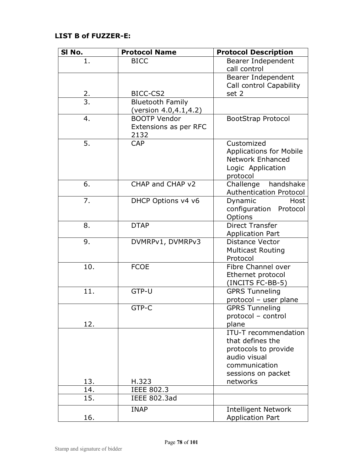### **LIST B of FUZZER-E:**

| SI No.          | <b>Protocol Name</b>    | <b>Protocol Description</b>                               |
|-----------------|-------------------------|-----------------------------------------------------------|
| 1.              | <b>BICC</b>             | Bearer Independent                                        |
|                 |                         | call control                                              |
|                 |                         | Bearer Independent                                        |
|                 |                         | Call control Capability                                   |
| $\frac{2}{3}$ . | BICC-CS2                | set 2                                                     |
|                 | <b>Bluetooth Family</b> |                                                           |
|                 | (version 4.0,4.1,4.2)   |                                                           |
| 4.              | <b>BOOTP Vendor</b>     | <b>BootStrap Protocol</b>                                 |
|                 | Extensions as per RFC   |                                                           |
|                 | 2132                    |                                                           |
| 5.              | <b>CAP</b>              | Customized                                                |
|                 |                         | <b>Applications for Mobile</b><br><b>Network Enhanced</b> |
|                 |                         | Logic Application                                         |
|                 |                         | protocol                                                  |
| 6.              | CHAP and CHAP v2        | Challenge<br>handshake                                    |
|                 |                         | Authentication Protocol                                   |
| 7.              | DHCP Options v4 v6      | Dynamic<br>Host                                           |
|                 |                         | configuration<br>Protocol                                 |
|                 |                         | Options                                                   |
| 8.              | <b>DTAP</b>             | Direct Transfer                                           |
|                 |                         | <b>Application Part</b>                                   |
| 9.              | DVMRPv1, DVMRPv3        | <b>Distance Vector</b>                                    |
|                 |                         | <b>Multicast Routing</b>                                  |
|                 |                         | Protocol                                                  |
| 10.             | <b>FCOE</b>             | Fibre Channel over                                        |
|                 |                         | Ethernet protocol                                         |
|                 |                         | (INCITS FC-BB-5)                                          |
| 11.             | GTP-U                   | <b>GPRS Tunneling</b>                                     |
|                 | GTP-C                   | protocol - user plane                                     |
|                 |                         | <b>GPRS Tunneling</b><br>protocol - control               |
| 12.             |                         | plane                                                     |
|                 |                         | <b>ITU-T</b> recommendation                               |
|                 |                         | that defines the                                          |
|                 |                         | protocols to provide                                      |
|                 |                         | audio visual                                              |
|                 |                         | communication                                             |
|                 |                         | sessions on packet                                        |
| 13.             | H.323                   | networks                                                  |
| 14.             | <b>IEEE 802.3</b>       |                                                           |
| 15.             | <b>IEEE 802.3ad</b>     |                                                           |
|                 | <b>INAP</b>             | <b>Intelligent Network</b>                                |
| 16.             |                         | <b>Application Part</b>                                   |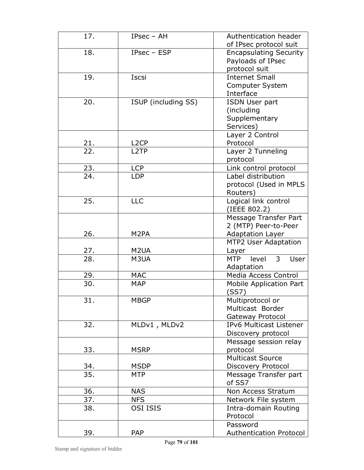| 17.               | IPsec - AH          | Authentication header                       |
|-------------------|---------------------|---------------------------------------------|
|                   |                     | of IPsec protocol suit                      |
| 18.               | IPsec - ESP         | <b>Encapsulating Security</b>               |
|                   |                     | Payloads of IPsec                           |
|                   |                     | protocol suit                               |
| 19.               | Iscsi               | <b>Internet Small</b>                       |
|                   |                     | Computer System                             |
|                   |                     | Interface                                   |
| 20.               | ISUP (including SS) | <b>ISDN User part</b>                       |
|                   |                     | (including                                  |
|                   |                     | Supplementary                               |
|                   |                     | Services)                                   |
|                   |                     | Layer 2 Control                             |
| <u>21.</u>        | L <sub>2</sub> CP   | Protocol                                    |
| $\overline{22}$ . | L <sub>2</sub> TP   | Layer 2 Tunneling                           |
|                   |                     | protocol                                    |
| 23.               | <b>LCP</b>          | Link control protocol                       |
| 24.               | <b>LDP</b>          | Label distribution                          |
|                   |                     | protocol (Used in MPLS                      |
|                   |                     | Routers)                                    |
| 25.               | <b>LLC</b>          | Logical link control                        |
|                   |                     | (IEEE 802.2)                                |
|                   |                     | Message Transfer Part                       |
|                   |                     | 2 (MTP) Peer-to-Peer                        |
| 26.               | M <sub>2</sub> PA   | <b>Adaptation Layer</b>                     |
|                   |                     | <b>MTP2 User Adaptation</b>                 |
| 27.               | M <sub>2</sub> UA   | Layer                                       |
| $\overline{28}$   | M3UA                | $\overline{3}$<br>MTP level<br><b>User</b>  |
|                   |                     | Adaptation                                  |
| 29.               | <b>MAC</b>          | Media Access Control                        |
| 30.               | <b>MAP</b>          | Mobile Application Part                     |
|                   |                     | (SS7)                                       |
| 31.               | <b>MBGP</b>         | Multiprotocol or                            |
|                   |                     | Multicast Border                            |
|                   |                     | Gateway Protocol                            |
| 32.               | MLDv1, MLDv2        | IPv6 Multicast Listener                     |
|                   |                     | Discovery protocol                          |
|                   |                     | Message session relay                       |
| 33.               | <b>MSRP</b>         | protocol<br><b>Multicast Source</b>         |
|                   | <b>MSDP</b>         |                                             |
| 34.<br>35.        | <b>MTP</b>          | Discovery Protocol<br>Message Transfer part |
|                   |                     | of SS7                                      |
| 36.               | <b>NAS</b>          | Non Access Stratum                          |
| 37.               | <b>NFS</b>          | Network File system                         |
| 38.               | <b>OSI ISIS</b>     | Intra-domain Routing                        |
|                   |                     | Protocol                                    |
|                   |                     | Password                                    |
| 39.               | PAP                 | Authentication Protocol                     |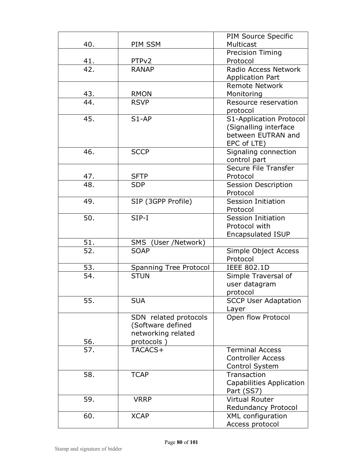|                          |                               | PIM Source Specific                                |
|--------------------------|-------------------------------|----------------------------------------------------|
| 40.                      | PIM SSM                       | Multicast                                          |
|                          |                               | <b>Precision Timing</b>                            |
| 41.                      | PTP <sub>v2</sub>             | Protocol                                           |
| 42.                      | <b>RANAP</b>                  | Radio Access Network                               |
|                          |                               | <b>Application Part</b>                            |
|                          |                               | <b>Remote Network</b>                              |
| 43.                      | <b>RMON</b>                   | Monitoring                                         |
| 44.                      | <b>RSVP</b>                   | Resource reservation                               |
|                          |                               | protocol                                           |
| 45.                      | $S1-AP$                       | S1-Application Protocol                            |
|                          |                               | (Signalling interface                              |
|                          |                               | between EUTRAN and                                 |
|                          |                               | EPC of LTE)                                        |
| 46.                      | <b>SCCP</b>                   | Signaling connection                               |
|                          |                               | control part                                       |
|                          |                               | Secure File Transfer                               |
| <u>47.</u>               | <b>SFTP</b>                   | Protocol                                           |
| 48.                      | <b>SDP</b>                    | Session Description                                |
|                          |                               | Protocol                                           |
| 49.                      | SIP (3GPP Profile)            | <b>Session Initiation</b>                          |
|                          |                               | Protocol                                           |
| 50.                      | $SIP-I$                       | <b>Session Initiation</b>                          |
|                          |                               | Protocol with                                      |
|                          |                               | <b>Encapsulated ISUP</b>                           |
| 51.                      | SMS (User /Network)           |                                                    |
| 52.                      | <b>SOAP</b>                   | Simple Object Access                               |
|                          |                               | Protocol                                           |
| 53.                      | <b>Spanning Tree Protocol</b> | <b>IEEE 802.1D</b>                                 |
| 54.                      | <b>STUN</b>                   | Simple Traversal of                                |
|                          |                               | user datagram                                      |
|                          |                               | protocol                                           |
| 55.                      | <b>SUA</b>                    | <b>SCCP User Adaptation</b>                        |
|                          |                               | Layer                                              |
|                          | SDN related protocols         | Open flow Protocol                                 |
|                          | (Software defined             |                                                    |
|                          | networking related            |                                                    |
| 56.<br>$\overline{57}$ . | protocols)                    |                                                    |
|                          | TACACS+                       | <b>Terminal Access</b><br><b>Controller Access</b> |
|                          |                               |                                                    |
| 58.                      | <b>TCAP</b>                   | Control System<br>Transaction                      |
|                          |                               | <b>Capabilities Application</b>                    |
|                          |                               |                                                    |
| 59.                      | <b>VRRP</b>                   | Part (SS7)<br><b>Virtual Router</b>                |
|                          |                               | Redundancy Protocol                                |
| 60.                      | <b>XCAP</b>                   | <b>XML</b> configuration                           |
|                          |                               | Access protocol                                    |
|                          |                               |                                                    |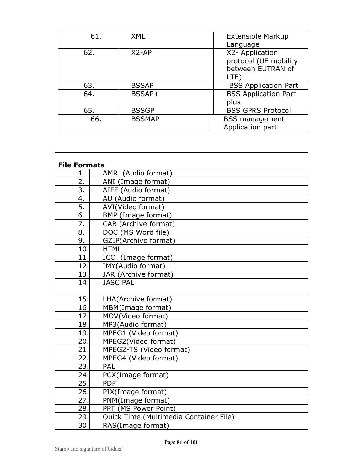| 61. | XML           | <b>Extensible Markup</b>    |
|-----|---------------|-----------------------------|
|     |               | Language                    |
| 62. | $X2-AP$       | X2- Application             |
|     |               | protocol (UE mobility       |
|     |               | between EUTRAN of           |
|     |               | LTE)                        |
| 63. | <b>BSSAP</b>  | <b>BSS Application Part</b> |
| 64. | BSSAP+        | <b>BSS Application Part</b> |
|     |               | plus                        |
| 65. | <b>BSSGP</b>  | <b>BSS GPRS Protocol</b>    |
| 66. | <b>BSSMAP</b> | <b>BSS</b> management       |
|     |               | Application part            |

| <b>File Formats</b> |                                        |
|---------------------|----------------------------------------|
| 1.                  | AMR (Audio format)                     |
| 2.                  | ANI (Image format)                     |
| 3.                  | AIFF (Audio format)                    |
| 4.                  | AU (Audio format)                      |
| 5.                  | AVI(Video format)                      |
| 6.                  | BMP (Image format)                     |
| 7.                  | CAB (Archive format)                   |
| 8.                  | DOC (MS Word file)                     |
| 9.                  | GZIP(Archive format)                   |
| 10.                 | <b>HTML</b>                            |
| 11.                 | ICO (Image format)                     |
| 12.                 | IMY(Audio format)                      |
| 13.                 | JAR (Archive format)                   |
| 14.                 | <b>JASC PAL</b>                        |
|                     |                                        |
| 15.                 | LHA(Archive format)                    |
| 16.                 | MBM(Image format)                      |
| 17.                 | MOV(Video format)                      |
| 18.                 | MP3(Audio format)                      |
| 19.                 | MPEG1 (Video format)                   |
| 20.                 | MPEG2(Video format)                    |
| 21.                 | MPEG2-TS (Video format)                |
| 22.                 | MPEG4 (Video format)                   |
| 23.                 | PAL                                    |
| 24.                 | PCX(Image format)                      |
| 25.                 | <b>PDF</b>                             |
| 26.                 | PIX(Image format)                      |
| 27.                 | PNM(Image format)                      |
| 28.                 | PPT (MS Power Point)                   |
| 29.                 | Quick Time (Multimedia Container File) |
| 30.                 | RAS(Image format)                      |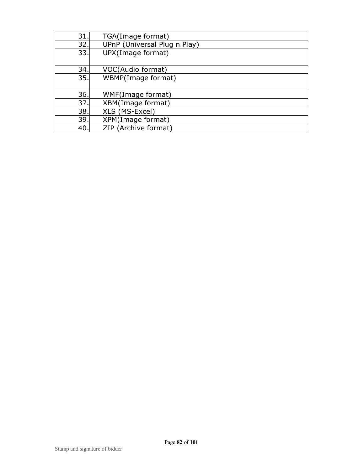| 31. | TGA(Image format)            |
|-----|------------------------------|
| 32. | UPnP (Universal Plug n Play) |
| 33. | UPX(Image format)            |
|     |                              |
| 34. | VOC(Audio format)            |
| 35. | WBMP(Image format)           |
|     |                              |
| 36. | WMF(Image format)            |
| 37. | XBM(Image format)            |
| 38. | XLS (MS-Excel)               |
| 39. | XPM(Image format)            |
| 40. | ZIP (Archive format)         |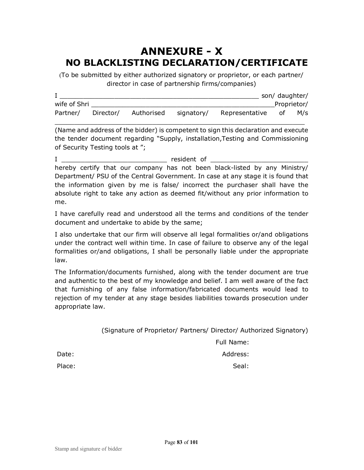## **ANNEXURE - X NO BLACKLISTING DECLARATION/CERTIFICATE**

(To be submitted by either authorized signatory or proprietor, or each partner/ director in case of partnership firms/companies)

|              |           |            |            |                | son/ daughter/ |             |
|--------------|-----------|------------|------------|----------------|----------------|-------------|
| wife of Shri |           |            |            |                |                | Proprietor/ |
| Partner/     | Director/ | Authorised | signatory/ | Representative | οf             | M/s         |

\_\_\_\_\_\_\_\_\_\_\_\_\_\_\_\_\_\_\_\_\_\_\_\_\_\_\_\_\_\_\_\_\_\_\_\_\_\_\_\_\_\_\_\_\_\_\_\_\_\_\_\_\_\_\_\_\_\_\_\_\_\_\_\_

(Name and address of the bidder) is competent to sign this declaration and execute the tender document regarding "Supply, installation,Testing and Commissioning of Security Testing tools at ";

I \_\_\_\_\_\_\_\_\_\_\_\_\_\_\_\_\_\_\_\_\_\_\_\_\_\_\_ resident of \_\_\_\_\_\_\_\_\_\_\_\_\_\_\_\_\_\_\_\_\_\_\_\_\_ hereby certify that our company has not been black-listed by any Ministry/ Department/ PSU of the Central Government. In case at any stage it is found that the information given by me is false/ incorrect the purchaser shall have the absolute right to take any action as deemed fit/without any prior information to me.

I have carefully read and understood all the terms and conditions of the tender document and undertake to abide by the same;

I also undertake that our firm will observe all legal formalities or/and obligations under the contract well within time. In case of failure to observe any of the legal formalities or/and obligations, I shall be personally liable under the appropriate law.

The Information/documents furnished, along with the tender document are true and authentic to the best of my knowledge and belief. I am well aware of the fact that furnishing of any false information/fabricated documents would lead to rejection of my tender at any stage besides liabilities towards prosecution under appropriate law.

(Signature of Proprietor/ Partners/ Director/ Authorized Signatory)

Full Name:

Date: Address: Address: Address: Address: Address: Address: Address: Address: Address: Address: Address: Address: Address: Address: Address: Address: Address: Address: Address: Address: Address: Address: Address: Address:

Place: Seal: Seal: Seal: Seal: Seal: Seal: Seal: Seal: Seal: Seal: Seal: Seal: Seal: Seal: Seal: Seal: Seal: Seal: Seal: Seal: Seal: Seal: Seal: Seal: Seal: Seal: Seal: Seal: Seal: Seal: Seal: Seal: Seal: Seal: Seal: Seal: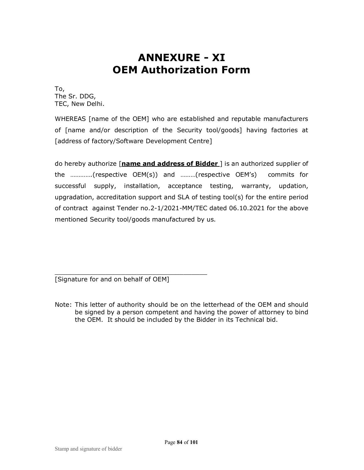# **ANNEXURE - XI OEM Authorization Form**

To, The Sr. DDG, TEC, New Delhi.

WHEREAS [name of the OEM] who are established and reputable manufacturers of [name and/or description of the Security tool/goods] having factories at [address of factory/Software Development Centre]

do hereby authorize [**name and address of Bidder** ] is an authorized supplier of the ………….(respective OEM(s)) and ………(respective OEM's) commits for successful supply, installation, acceptance testing, warranty, updation, upgradation, accreditation support and SLA of testing tool(s) for the entire period of contract against Tender no.2-1/2021-MM/TEC dated 06.10.2021 for the above mentioned Security tool/goods manufactured by us.

\_\_\_\_\_\_\_\_\_\_\_\_\_\_\_\_\_\_\_\_\_\_\_\_\_\_\_\_\_\_\_\_\_\_\_\_\_\_\_ [Signature for and on behalf of OEM]

Note: This letter of authority should be on the letterhead of the OEM and should be signed by a person competent and having the power of attorney to bind the OEM. It should be included by the Bidder in its Technical bid.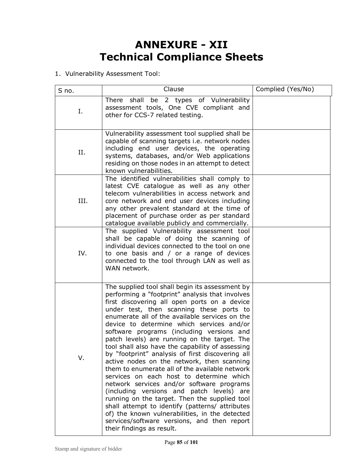# **ANNEXURE - XII Technical Compliance Sheets**

1. Vulnerability Assessment Tool:

| S no. | Clause                                                                                                                                                                                                                                                                                                                                                                                                                                                                                                                                                                                                                                                                                                                                                                                                                                                                                                                                                                     | Complied (Yes/No) |
|-------|----------------------------------------------------------------------------------------------------------------------------------------------------------------------------------------------------------------------------------------------------------------------------------------------------------------------------------------------------------------------------------------------------------------------------------------------------------------------------------------------------------------------------------------------------------------------------------------------------------------------------------------------------------------------------------------------------------------------------------------------------------------------------------------------------------------------------------------------------------------------------------------------------------------------------------------------------------------------------|-------------------|
| Ι.    | shall be 2 types of Vulnerability<br>There<br>assessment tools, One CVE compliant and<br>other for CCS-7 related testing.                                                                                                                                                                                                                                                                                                                                                                                                                                                                                                                                                                                                                                                                                                                                                                                                                                                  |                   |
| Π.    | Vulnerability assessment tool supplied shall be<br>capable of scanning targets i.e. network nodes<br>including end user devices, the operating<br>systems, databases, and/or Web applications<br>residing on those nodes in an attempt to detect<br>known vulnerabilities.                                                                                                                                                                                                                                                                                                                                                                                                                                                                                                                                                                                                                                                                                                 |                   |
| III.  | The identified vulnerabilities shall comply to<br>latest CVE catalogue as well as any other<br>telecom vulnerabilities in access network and<br>core network and end user devices including<br>any other prevalent standard at the time of<br>placement of purchase order as per standard<br>catalogue available publicly and commercially.                                                                                                                                                                                                                                                                                                                                                                                                                                                                                                                                                                                                                                |                   |
| IV.   | The supplied Vulnerability assessment tool<br>shall be capable of doing the scanning of<br>individual devices connected to the tool on one<br>to one basis and / or a range of devices<br>connected to the tool through LAN as well as<br>WAN network.                                                                                                                                                                                                                                                                                                                                                                                                                                                                                                                                                                                                                                                                                                                     |                   |
| V.    | The supplied tool shall begin its assessment by<br>performing a "footprint" analysis that involves<br>first discovering all open ports on a device<br>under test, then scanning these ports to<br>enumerate all of the available services on the<br>device to determine which services and/or<br>software programs (including versions and<br>patch levels) are running on the target. The<br>tool shall also have the capability of assessing<br>by "footprint" analysis of first discovering all<br>active nodes on the network, then scanning<br>them to enumerate all of the available network<br>services on each host to determine which<br>network services and/or software programs<br>(including versions and patch levels) are<br>running on the target. Then the supplied tool<br>shall attempt to identify (patterns/ attributes<br>of) the known vulnerabilities, in the detected<br>services/software versions, and then report<br>their findings as result. |                   |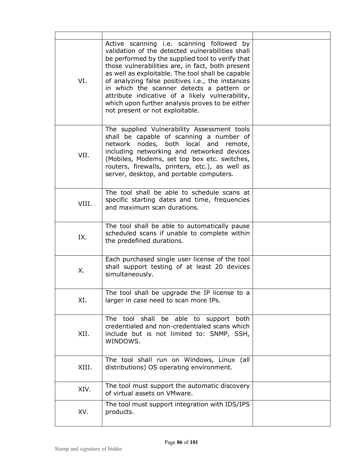| VI.   | Active scanning i.e. scanning followed by<br>validation of the detected vulnerabilities shall<br>be performed by the supplied tool to verify that<br>those vulnerabilities are, in fact, both present<br>as well as exploitable. The tool shall be capable<br>of analyzing false positives i.e., the instances<br>in which the scanner detects a pattern or<br>attribute indicative of a likely vulnerability,<br>which upon further analysis proves to be either<br>not present or not exploitable. |  |
|-------|------------------------------------------------------------------------------------------------------------------------------------------------------------------------------------------------------------------------------------------------------------------------------------------------------------------------------------------------------------------------------------------------------------------------------------------------------------------------------------------------------|--|
| VII.  | The supplied Vulnerability Assessment tools<br>shall be capable of scanning a number of<br>network nodes, both local and remote,<br>including networking and networked devices<br>(Mobiles, Modems, set top box etc. switches,<br>routers, firewalls, printers, etc.), as well as<br>server, desktop, and portable computers.                                                                                                                                                                        |  |
| VIII. | The tool shall be able to schedule scans at<br>specific starting dates and time, frequencies<br>and maximum scan durations.                                                                                                                                                                                                                                                                                                                                                                          |  |
| IX.   | The tool shall be able to automatically pause<br>scheduled scans if unable to complete within<br>the predefined durations.                                                                                                                                                                                                                                                                                                                                                                           |  |
| Χ.    | Each purchased single user license of the tool<br>shall support testing of at least 20 devices<br>simultaneously.                                                                                                                                                                                                                                                                                                                                                                                    |  |
| XI.   | The tool shall be upgrade the IP license to a<br>larger in case need to scan more IPs.                                                                                                                                                                                                                                                                                                                                                                                                               |  |
| XII.  | shall<br>be able to support both<br>The tool<br>credentialed and non-credentialed scans which<br>include but is not limited to: SNMP, SSH,<br>WINDOWS.                                                                                                                                                                                                                                                                                                                                               |  |
| XIII. | The tool shall run on Windows, Linux (all<br>distributions) OS operating environment.                                                                                                                                                                                                                                                                                                                                                                                                                |  |
| XIV.  | The tool must support the automatic discovery<br>of virtual assets on VMware.                                                                                                                                                                                                                                                                                                                                                                                                                        |  |
| XV.   | The tool must support integration with IDS/IPS<br>products.                                                                                                                                                                                                                                                                                                                                                                                                                                          |  |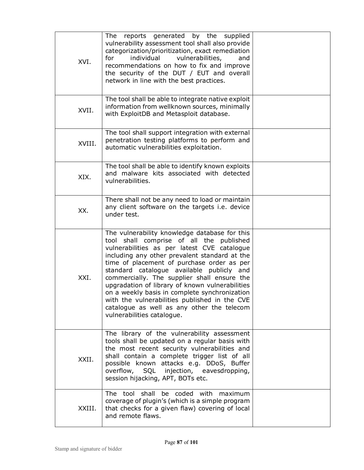| XVI.   | reports generated by the<br>The<br>supplied<br>vulnerability assessment tool shall also provide<br>categorization/prioritization, exact remediation<br>vulnerabilities,<br>for<br>individual<br>and<br>recommendations on how to fix and improve<br>the security of the DUT / EUT and overall<br>network in line with the best practices.                                                                                                                                                                                                                            |  |
|--------|----------------------------------------------------------------------------------------------------------------------------------------------------------------------------------------------------------------------------------------------------------------------------------------------------------------------------------------------------------------------------------------------------------------------------------------------------------------------------------------------------------------------------------------------------------------------|--|
| XVII.  | The tool shall be able to integrate native exploit<br>information from wellknown sources, minimally<br>with ExploitDB and Metasploit database.                                                                                                                                                                                                                                                                                                                                                                                                                       |  |
| XVIII. | The tool shall support integration with external<br>penetration testing platforms to perform and<br>automatic vulnerabilities exploitation.                                                                                                                                                                                                                                                                                                                                                                                                                          |  |
| XIX.   | The tool shall be able to identify known exploits<br>and malware kits associated with detected<br>vulnerabilities.                                                                                                                                                                                                                                                                                                                                                                                                                                                   |  |
| XX.    | There shall not be any need to load or maintain<br>any client software on the targets i.e. device<br>under test.                                                                                                                                                                                                                                                                                                                                                                                                                                                     |  |
| XXI.   | The vulnerability knowledge database for this<br>tool shall comprise of all the published<br>vulnerabilities as per latest CVE catalogue<br>including any other prevalent standard at the<br>time of placement of purchase order as per<br>standard catalogue available publicly and<br>commercially. The supplier shall ensure the<br>upgradation of library of known vulnerabilities<br>on a weekly basis in complete synchronization<br>with the vulnerabilities published in the CVE<br>catalogue as well as any other the telecom<br>vulnerabilities catalogue. |  |
| XXII.  | The library of the vulnerability assessment<br>tools shall be updated on a regular basis with<br>the most recent security vulnerabilities and<br>shall contain a complete trigger list of all<br>possible known attacks e.g. DDoS, Buffer<br>overflow, SQL injection, eavesdropping,<br>session hijacking, APT, BOTs etc.                                                                                                                                                                                                                                            |  |
| XXIII. | The tool shall be coded with<br>maximum<br>coverage of plugin's (which is a simple program<br>that checks for a given flaw) covering of local<br>and remote flaws.                                                                                                                                                                                                                                                                                                                                                                                                   |  |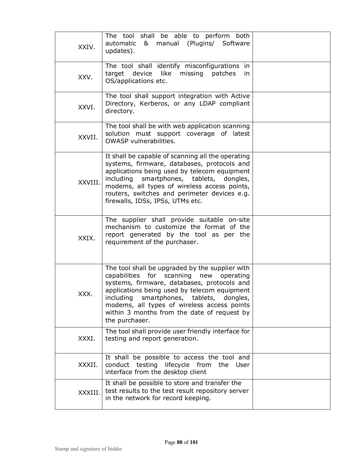| XXIV.   | The tool shall be able to perform both<br>automatic & manual (Plugins/ Software<br>updates).                                                                                                                                                                                                                                                             |  |
|---------|----------------------------------------------------------------------------------------------------------------------------------------------------------------------------------------------------------------------------------------------------------------------------------------------------------------------------------------------------------|--|
| XXV.    | The tool shall identify misconfigurations in<br>target<br>device<br>like<br>missing<br>patches<br>in.<br>OS/applications etc.                                                                                                                                                                                                                            |  |
| XXVI.   | The tool shall support integration with Active<br>Directory, Kerberos, or any LDAP compliant<br>directory.                                                                                                                                                                                                                                               |  |
| XXVII.  | The tool shall be with web application scanning<br>solution must support coverage of latest<br>OWASP vulnerabilities.                                                                                                                                                                                                                                    |  |
| XXVIII. | It shall be capable of scanning all the operating<br>systems, firmware, databases, protocols and<br>applications being used by telecom equipment<br>including smartphones, tablets, dongles,<br>modems, all types of wireless access points,<br>routers, switches and perimeter devices e.g.<br>firewalls, IDSs, IPSs, UTMs etc.                         |  |
| XXIX.   | The supplier shall provide suitable on-site<br>mechanism to customize the format of the<br>report generated by the tool as per the<br>requirement of the purchaser.                                                                                                                                                                                      |  |
| XXX.    | The tool shall be upgraded by the supplier with<br>capabilities for scanning new operating<br>systems, firmware, databases, protocols and<br>applications being used by telecom equipment<br>smartphones, tablets, dongles,<br>including<br>modems, all types of wireless access points<br>within 3 months from the date of request by<br>the purchaser. |  |
| XXXI.   | The tool shall provide user friendly interface for<br>testing and report generation.                                                                                                                                                                                                                                                                     |  |
| XXXII.  | It shall be possible to access the tool and<br>conduct testing lifecycle from<br>the<br>User<br>interface from the desktop client                                                                                                                                                                                                                        |  |
| XXXIII. | It shall be possible to store and transfer the<br>test results to the test result repository server<br>in the network for record keeping.                                                                                                                                                                                                                |  |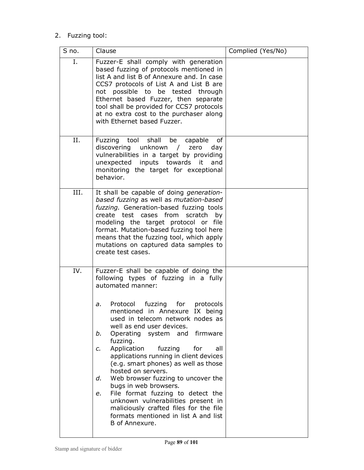### 2. Fuzzing tool:

| S no. | Clause                                                                                                                                                                                                                                                                                                                                                                                                                                                                                                                                                                                                                                                                                                             | Complied (Yes/No) |
|-------|--------------------------------------------------------------------------------------------------------------------------------------------------------------------------------------------------------------------------------------------------------------------------------------------------------------------------------------------------------------------------------------------------------------------------------------------------------------------------------------------------------------------------------------------------------------------------------------------------------------------------------------------------------------------------------------------------------------------|-------------------|
| Ι.    | Fuzzer-E shall comply with generation<br>based fuzzing of protocols mentioned in<br>list A and list B of Annexure and. In case<br>CCS7 protocols of List A and List B are<br>not possible to be tested through<br>Ethernet based Fuzzer, then separate<br>tool shall be provided for CCS7 protocols<br>at no extra cost to the purchaser along<br>with Ethernet based Fuzzer.                                                                                                                                                                                                                                                                                                                                      |                   |
| Π.    | Fuzzing tool shall<br>be<br>capable<br>of<br>discovering unknown<br>zero<br>day<br>$\sqrt{2}$<br>vulnerabilities in a target by providing<br>unexpected inputs towards it<br>and<br>monitoring the target for exceptional<br>behavior.                                                                                                                                                                                                                                                                                                                                                                                                                                                                             |                   |
| III.  | It shall be capable of doing generation-<br>based fuzzing as well as mutation-based<br>fuzzing. Generation-based fuzzing tools<br>create test cases from<br>scratch<br>by<br>modeling the target protocol or file<br>format. Mutation-based fuzzing tool here<br>means that the fuzzing tool, which apply<br>mutations on captured data samples to<br>create test cases.                                                                                                                                                                                                                                                                                                                                           |                   |
| IV.   | Fuzzer-E shall be capable of doing the<br>following types of fuzzing in a fully<br>automated manner:<br>Protocol fuzzing for protocols<br>a.<br>mentioned in Annexure IX being<br>used in telecom network nodes as<br>well as end user devices.<br>Operating system and firmware<br>b.<br>fuzzing.<br>Application<br>fuzzing<br>for<br>all<br>c.<br>applications running in client devices<br>(e.g. smart phones) as well as those<br>hosted on servers.<br>Web browser fuzzing to uncover the<br>d.<br>bugs in web browsers.<br>File format fuzzing to detect the<br>e.<br>unknown vulnerabilities present in<br>maliciously crafted files for the file<br>formats mentioned in list A and list<br>B of Annexure. |                   |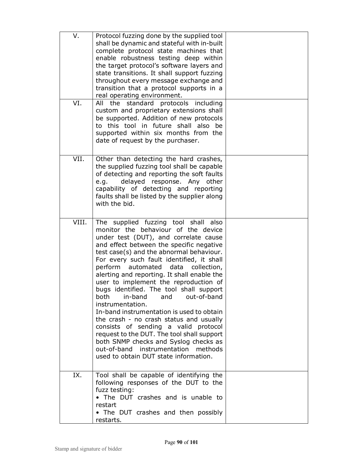| V.<br>VI. | Protocol fuzzing done by the supplied tool<br>shall be dynamic and stateful with in-built<br>complete protocol state machines that<br>enable robustness testing deep within<br>the target protocol's software layers and<br>state transitions. It shall support fuzzing<br>throughout every message exchange and<br>transition that a protocol supports in a<br>real operating environment.<br>standard<br>the<br>protocols<br>including<br>All                                                                                                                                                                                                                                                                                                                                                           |  |
|-----------|-----------------------------------------------------------------------------------------------------------------------------------------------------------------------------------------------------------------------------------------------------------------------------------------------------------------------------------------------------------------------------------------------------------------------------------------------------------------------------------------------------------------------------------------------------------------------------------------------------------------------------------------------------------------------------------------------------------------------------------------------------------------------------------------------------------|--|
|           | custom and proprietary extensions shall<br>be supported. Addition of new protocols<br>to this tool in future shall also be<br>supported within six months from the<br>date of request by the purchaser.                                                                                                                                                                                                                                                                                                                                                                                                                                                                                                                                                                                                   |  |
| VII.      | Other than detecting the hard crashes,<br>the supplied fuzzing tool shall be capable<br>of detecting and reporting the soft faults<br>delayed response. Any other<br>e.q.<br>capability of detecting and reporting<br>faults shall be listed by the supplier along<br>with the bid.                                                                                                                                                                                                                                                                                                                                                                                                                                                                                                                       |  |
| VIII.     | The supplied fuzzing tool shall also<br>monitor the behaviour of the device<br>under test (DUT), and correlate cause<br>and effect between the specific negative<br>test case(s) and the abnormal behaviour.<br>For every such fault identified, it shall<br>perform<br>automated<br>data<br>collection,<br>alerting and reporting. It shall enable the<br>user to implement the reproduction of<br>bugs identified. The tool shall support<br>both in-band and out-of-band<br>instrumentation.<br>In-band instrumentation is used to obtain<br>the crash - no crash status and usually<br>consists of sending a valid protocol<br>request to the DUT. The tool shall support<br>both SNMP checks and Syslog checks as<br>out-of-band instrumentation<br>methods<br>used to obtain DUT state information. |  |
| IX.       | Tool shall be capable of identifying the<br>following responses of the DUT to the<br>fuzz testing:<br>. The DUT crashes and is unable to                                                                                                                                                                                                                                                                                                                                                                                                                                                                                                                                                                                                                                                                  |  |
|           | restart<br>• The DUT crashes and then possibly<br>restarts.                                                                                                                                                                                                                                                                                                                                                                                                                                                                                                                                                                                                                                                                                                                                               |  |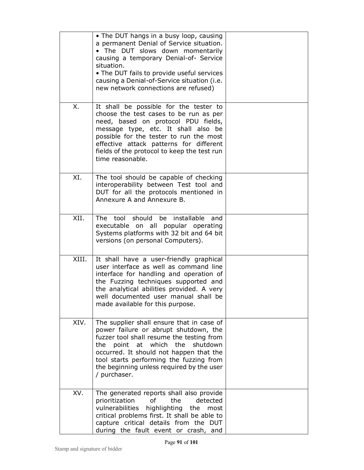|       | • The DUT hangs in a busy loop, causing<br>a permanent Denial of Service situation.<br>. The DUT slows down momentarily<br>causing a temporary Denial-of- Service<br>situation.<br>• The DUT fails to provide useful services<br>causing a Denial-of-Service situation (i.e.<br>new network connections are refused)        |  |
|-------|-----------------------------------------------------------------------------------------------------------------------------------------------------------------------------------------------------------------------------------------------------------------------------------------------------------------------------|--|
| Χ.    | It shall be possible for the tester to<br>choose the test cases to be run as per<br>need, based on protocol PDU fields,<br>message type, etc. It shall also be<br>possible for the tester to run the most<br>effective attack patterns for different<br>fields of the protocol to keep the test run<br>time reasonable.     |  |
| XI.   | The tool should be capable of checking<br>interoperability between Test tool and<br>DUT for all the protocols mentioned in<br>Annexure A and Annexure B.                                                                                                                                                                    |  |
| XII.  | The tool should be installable<br>and<br>executable on all popular operating<br>Systems platforms with 32 bit and 64 bit<br>versions (on personal Computers).                                                                                                                                                               |  |
| XIII. | It shall have a user-friendly graphical<br>user interface as well as command line<br>interface for handling and operation of<br>the Fuzzing techniques supported and<br>the analytical abilities provided. A very<br>well documented user manual shall be<br>made available for this purpose.                               |  |
| XIV.  | The supplier shall ensure that in case of<br>power failure or abrupt shutdown, the<br>fuzzer tool shall resume the testing from<br>point at which the<br>the<br>shutdown<br>occurred. It should not happen that the<br>tool starts performing the fuzzing from<br>the beginning unless required by the user<br>/ purchaser. |  |
| XV.   | The generated reports shall also provide<br>of<br>the<br>detected<br>prioritization<br>highlighting<br>vulnerabilities<br>the most<br>critical problems first. It shall be able to<br>capture critical details from the DUT<br>during the fault event or crash, and                                                         |  |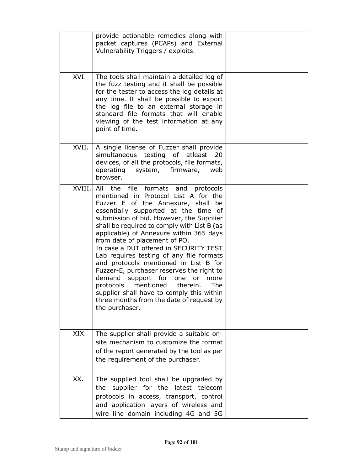|        | provide actionable remedies along with<br>packet captures (PCAPs) and External<br>Vulnerability Triggers / exploits.                                                                                                                                                                                                                                                                                                                                                                                                                                                                                                                                                                                                 |  |
|--------|----------------------------------------------------------------------------------------------------------------------------------------------------------------------------------------------------------------------------------------------------------------------------------------------------------------------------------------------------------------------------------------------------------------------------------------------------------------------------------------------------------------------------------------------------------------------------------------------------------------------------------------------------------------------------------------------------------------------|--|
| XVI.   | The tools shall maintain a detailed log of<br>the fuzz testing and it shall be possible<br>for the tester to access the log details at<br>any time. It shall be possible to export<br>the log file to an external storage in<br>standard file formats that will enable<br>viewing of the test information at any<br>point of time.                                                                                                                                                                                                                                                                                                                                                                                   |  |
| XVII.  | A single license of Fuzzer shall provide<br>simultaneous testing of atleast<br>20<br>devices, of all the protocols, file formats,<br>operating system, firmware,<br>web<br>browser.                                                                                                                                                                                                                                                                                                                                                                                                                                                                                                                                  |  |
| XVIII. | All the file formats and<br>protocols<br>mentioned in Protocol List A for the<br>Fuzzer E of the Annexure, shall be<br>essentially supported at the time of<br>submission of bid. However, the Supplier<br>shall be required to comply with List B (as<br>applicable) of Annexure within 365 days<br>from date of placement of PO.<br>In case a DUT offered in SECURITY TEST<br>Lab requires testing of any file formats<br>and protocols mentioned in List B for<br>Fuzzer-E, purchaser reserves the right to<br>demand<br>support for<br>one<br>more<br>or<br>protocols<br>mentioned<br>therein.<br>The<br>supplier shall have to comply this within<br>three months from the date of request by<br>the purchaser. |  |
| XIX.   | The supplier shall provide a suitable on-<br>site mechanism to customize the format<br>of the report generated by the tool as per<br>the requirement of the purchaser.                                                                                                                                                                                                                                                                                                                                                                                                                                                                                                                                               |  |
| XX.    | The supplied tool shall be upgraded by<br>supplier for the latest telecom<br>the<br>protocols in access, transport, control<br>and application layers of wireless and<br>wire line domain including 4G and 5G                                                                                                                                                                                                                                                                                                                                                                                                                                                                                                        |  |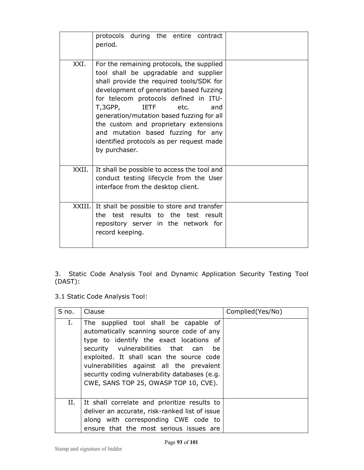|        | protocols during the entire contract<br>period.                                                                                                                                                                                                                                                                                                                                                                                                      |  |
|--------|------------------------------------------------------------------------------------------------------------------------------------------------------------------------------------------------------------------------------------------------------------------------------------------------------------------------------------------------------------------------------------------------------------------------------------------------------|--|
| XXI.   | For the remaining protocols, the supplied<br>tool shall be upgradable and supplier<br>shall provide the required tools/SDK for<br>development of generation based fuzzing<br>for telecom protocols defined in ITU-<br>T,3GPP,<br><b>IETF</b><br>etc.<br>and<br>generation/mutation based fuzzing for all<br>the custom and proprietary extensions<br>and mutation based fuzzing for any<br>identified protocols as per request made<br>by purchaser. |  |
| XXII.  | It shall be possible to access the tool and<br>conduct testing lifecycle from the User<br>interface from the desktop client.                                                                                                                                                                                                                                                                                                                         |  |
| XXIII. | It shall be possible to store and transfer<br>the test results to the test result<br>repository server in the network for<br>record keeping.                                                                                                                                                                                                                                                                                                         |  |

3. Static Code Analysis Tool and Dynamic Application Security Testing Tool (DAST):

3.1 Static Code Analysis Tool:

| S no. | Clause                                                                                                                                                                                                                                                                                                                                                      | Complied (Yes/No) |
|-------|-------------------------------------------------------------------------------------------------------------------------------------------------------------------------------------------------------------------------------------------------------------------------------------------------------------------------------------------------------------|-------------------|
| Ι.    | The supplied tool shall be capable of<br>automatically scanning source code of any<br>type to identify the exact locations of<br>security vulnerabilities that can<br>be<br>exploited. It shall scan the source code<br>vulnerabilities against all the prevalent<br>security coding vulnerability databases (e.g.<br>CWE, SANS TOP 25, OWASP TOP 10, CVE). |                   |
| Н.    | It shall correlate and prioritize results to<br>deliver an accurate, risk-ranked list of issue<br>along with corresponding CWE code to<br>ensure that the most serious issues are                                                                                                                                                                           |                   |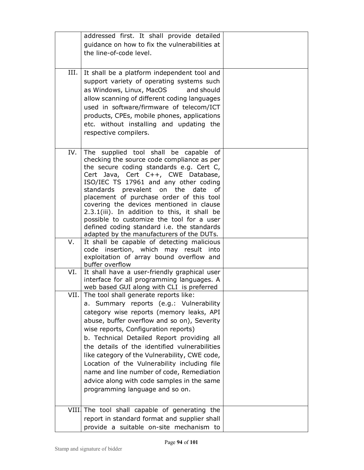|      | addressed first. It shall provide detailed<br>guidance on how to fix the vulnerabilities at<br>the line-of-code level.                                                                                                                                                                                                                                                                                                                                                                                                                                 |  |
|------|--------------------------------------------------------------------------------------------------------------------------------------------------------------------------------------------------------------------------------------------------------------------------------------------------------------------------------------------------------------------------------------------------------------------------------------------------------------------------------------------------------------------------------------------------------|--|
| III. | It shall be a platform independent tool and<br>support variety of operating systems such<br>as Windows, Linux, MacOS<br>and should<br>allow scanning of different coding languages<br>used in software/firmware of telecom/ICT<br>products, CPEs, mobile phones, applications<br>etc. without installing and updating the<br>respective compilers.                                                                                                                                                                                                     |  |
| IV.  | The supplied tool shall be capable of<br>checking the source code compliance as per<br>the secure coding standards e.g. Cert C,<br>Cert Java, Cert C++, CWE Database,<br>ISO/IEC TS 17961 and any other coding<br>standards prevalent on the<br>date<br>οf<br>placement of purchase order of this tool<br>covering the devices mentioned in clause<br>2.3.1(iii). In addition to this, it shall be<br>possible to customize the tool for a user<br>defined coding standard i.e. the standards<br>adapted by the manufacturers of the DUTs.             |  |
| V.   | It shall be capable of detecting malicious<br>insertion, which may result into<br>code<br>exploitation of array bound overflow and<br>buffer overflow                                                                                                                                                                                                                                                                                                                                                                                                  |  |
| VI.  | It shall have a user-friendly graphical user<br>interface for all programming languages. A<br>web based GUI along with CLI is preferred                                                                                                                                                                                                                                                                                                                                                                                                                |  |
|      | VII. The tool shall generate reports like:<br>a. Summary reports (e.g.: Vulnerability<br>category wise reports (memory leaks, API<br>abuse, buffer overflow and so on), Severity<br>wise reports, Configuration reports)<br>b. Technical Detailed Report providing all<br>the details of the identified vulnerabilities<br>like category of the Vulnerability, CWE code,<br>Location of the Vulnerability including file<br>name and line number of code, Remediation<br>advice along with code samples in the same<br>programming language and so on. |  |
|      | VIII. The tool shall capable of generating the<br>report in standard format and supplier shall<br>provide a suitable on-site mechanism to                                                                                                                                                                                                                                                                                                                                                                                                              |  |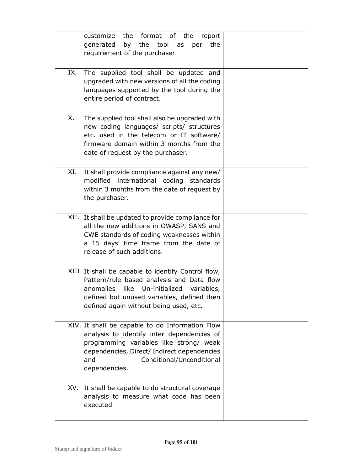|     | customize the format of the<br>report<br>by the tool as<br>generated<br>per<br>the<br>requirement of the purchaser.                                                                                                                          |  |
|-----|----------------------------------------------------------------------------------------------------------------------------------------------------------------------------------------------------------------------------------------------|--|
| IX. | The supplied tool shall be updated and<br>upgraded with new versions of all the coding<br>languages supported by the tool during the<br>entire period of contract.                                                                           |  |
| Х.  | The supplied tool shall also be upgraded with<br>new coding languages/ scripts/ structures<br>etc. used in the telecom or IT software/<br>firmware domain within 3 months from the<br>date of request by the purchaser.                      |  |
| XI. | It shall provide compliance against any new/<br>modified international coding standards<br>within 3 months from the date of request by<br>the purchaser.                                                                                     |  |
|     | XII. It shall be updated to provide compliance for<br>all the new additions in OWASP, SANS and<br>CWE standards of coding weaknesses within<br>a 15 days' time frame from the date of<br>release of such additions.                          |  |
|     | XIII It shall be capable to identify Control flow,<br>Pattern/rule based analysis and Data flow<br>anomalies like Un-initialized<br>variables,<br>defined but unused variables, defined then<br>defined again without being used, etc.       |  |
|     | XIV. It shall be capable to do Information Flow<br>analysis to identify inter dependencies of<br>programming variables like strong/ weak<br>dependencies, Direct/ Indirect dependencies<br>Conditional/Unconditional<br>and<br>dependencies. |  |
| XV. | It shall be capable to do structural coverage<br>analysis to measure what code has been<br>executed                                                                                                                                          |  |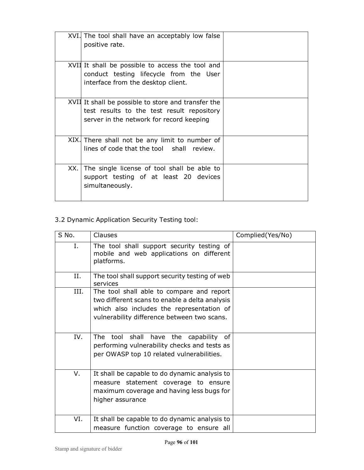| XVI. The tool shall have an acceptably low false<br>positive rate.                                                                            |  |
|-----------------------------------------------------------------------------------------------------------------------------------------------|--|
| XVII It shall be possible to access the tool and<br>conduct testing lifecycle from the User<br>interface from the desktop client.             |  |
| XVII It shall be possible to store and transfer the<br>test results to the test result repository<br>server in the network for record keeping |  |
| XIX. There shall not be any limit to number of<br>lines of code that the tool shall review.                                                   |  |
| XX. The single license of tool shall be able to<br>support testing of at least 20 devices<br>simultaneously.                                  |  |

### 3.2 Dynamic Application Security Testing tool:

| S No. | Clauses                                                                                                                                                                                 | Complied(Yes/No) |
|-------|-----------------------------------------------------------------------------------------------------------------------------------------------------------------------------------------|------------------|
| Ι.    | The tool shall support security testing of<br>mobile and web applications on different<br>platforms.                                                                                    |                  |
| Η.    | The tool shall support security testing of web<br>services                                                                                                                              |                  |
| III.  | The tool shall able to compare and report<br>two different scans to enable a delta analysis<br>which also includes the representation of<br>vulnerability difference between two scans. |                  |
| IV.   | The tool shall<br>have<br>the<br>capability of<br>performing vulnerability checks and tests as<br>per OWASP top 10 related vulnerabilities.                                             |                  |
| V.    | It shall be capable to do dynamic analysis to<br>measure statement coverage to ensure<br>maximum coverage and having less bugs for<br>higher assurance                                  |                  |
| VI.   | It shall be capable to do dynamic analysis to<br>measure function coverage to ensure all                                                                                                |                  |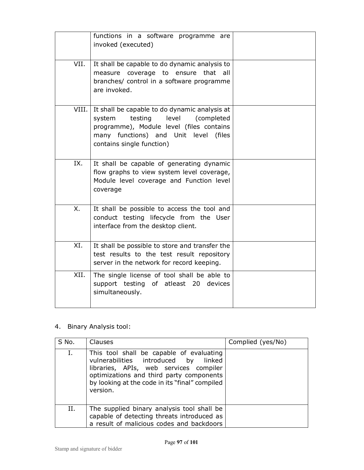|       | functions in a software programme are<br>invoked (executed)                                                                                                                                                    |  |
|-------|----------------------------------------------------------------------------------------------------------------------------------------------------------------------------------------------------------------|--|
| VII.  | It shall be capable to do dynamic analysis to<br>measure coverage to ensure that all<br>branches/ control in a software programme<br>are invoked.                                                              |  |
| VIII. | It shall be capable to do dynamic analysis at<br>testing<br>level<br>(completed<br>system<br>programme), Module level (files contains<br>many functions) and Unit level<br>(files<br>contains single function) |  |
| IX.   | It shall be capable of generating dynamic<br>flow graphs to view system level coverage,<br>Module level coverage and Function level<br>coverage                                                                |  |
| X.    | It shall be possible to access the tool and<br>conduct testing lifecycle from the User<br>interface from the desktop client.                                                                                   |  |
| XI.   | It shall be possible to store and transfer the<br>test results to the test result repository<br>server in the network for record keeping.                                                                      |  |
| XII.  | The single license of tool shall be able to<br>support testing of atleast 20<br>devices<br>simultaneously.                                                                                                     |  |

### 4. Binary Analysis tool:

| S No. | <b>Clauses</b>                                                                                                                                                                                                                          | Complied (yes/No) |
|-------|-----------------------------------------------------------------------------------------------------------------------------------------------------------------------------------------------------------------------------------------|-------------------|
| I.    | This tool shall be capable of evaluating<br>vulnerabilities introduced by<br>linked<br>libraries, APIs, web services compiler<br>optimizations and third party components<br>by looking at the code in its "final" compiled<br>version. |                   |
| Н.    | The supplied binary analysis tool shall be<br>capable of detecting threats introduced as<br>a result of malicious codes and backdoors                                                                                                   |                   |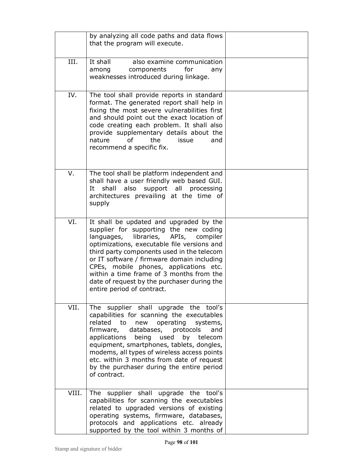|       | by analyzing all code paths and data flows<br>that the program will execute.                                                                                                                                                                                                                                                                                                                                                               |  |
|-------|--------------------------------------------------------------------------------------------------------------------------------------------------------------------------------------------------------------------------------------------------------------------------------------------------------------------------------------------------------------------------------------------------------------------------------------------|--|
| III.  | It shall<br>also examine communication<br>components<br>for<br>among<br>anv<br>weaknesses introduced during linkage.                                                                                                                                                                                                                                                                                                                       |  |
| IV.   | The tool shall provide reports in standard<br>format. The generated report shall help in<br>fixing the most severe vulnerabilities first<br>and should point out the exact location of<br>code creating each problem. It shall also<br>provide supplementary details about the<br>0f<br>nature<br>the<br>issue<br>and<br>recommend a specific fix.                                                                                         |  |
| V.    | The tool shall be platform independent and<br>shall have a user friendly web based GUI.<br>also<br>shall<br>support all processing<br>It<br>architectures prevailing at the time of<br>supply                                                                                                                                                                                                                                              |  |
| VI.   | It shall be updated and upgraded by the<br>supplier for supporting the new coding<br>languages, libraries, APIs,<br>compiler<br>optimizations, executable file versions and<br>third party components used in the telecom<br>or IT software / firmware domain including<br>CPEs, mobile phones, applications etc.<br>within a time frame of 3 months from the<br>date of request by the purchaser during the<br>entire period of contract. |  |
| VII.  | The supplier shall upgrade the tool's<br>capabilities for scanning the executables<br>related to<br>new operating systems,<br>databases, protocols<br>firmware,<br>and<br>being used by telecom<br>applications<br>equipment, smartphones, tablets, dongles,<br>modems, all types of wireless access points<br>etc. within 3 months from date of request<br>by the purchaser during the entire period<br>of contract.                      |  |
| VIII. | The supplier shall upgrade the tool's<br>capabilities for scanning the executables<br>related to upgraded versions of existing<br>operating systems, firmware, databases,<br>protocols and applications etc. already<br>supported by the tool within 3 months of                                                                                                                                                                           |  |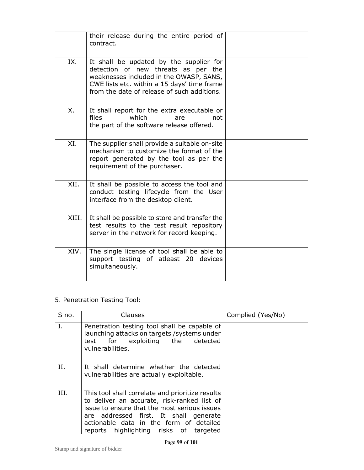|       | their release during the entire period of<br>contract.                                                                                                                                                                  |  |
|-------|-------------------------------------------------------------------------------------------------------------------------------------------------------------------------------------------------------------------------|--|
| IX.   | It shall be updated by the supplier for<br>detection of new threats as per the<br>weaknesses included in the OWASP, SANS,<br>CWE lists etc. within a 15 days' time frame<br>from the date of release of such additions. |  |
| X.    | It shall report for the extra executable or<br>files<br>which<br>are<br>not<br>the part of the software release offered.                                                                                                |  |
| XI.   | The supplier shall provide a suitable on-site<br>mechanism to customize the format of the<br>report generated by the tool as per the<br>requirement of the purchaser.                                                   |  |
| XII.  | It shall be possible to access the tool and<br>conduct testing lifecycle from the User<br>interface from the desktop client.                                                                                            |  |
| XIII. | It shall be possible to store and transfer the<br>test results to the test result repository<br>server in the network for record keeping.                                                                               |  |
| XIV.  | The single license of tool shall be able to<br>support testing of atleast 20 devices<br>simultaneously.                                                                                                                 |  |

### 5. Penetration Testing Tool:

| S no. | Clauses                                                                                                                                                                                                                                                                        | Complied (Yes/No) |
|-------|--------------------------------------------------------------------------------------------------------------------------------------------------------------------------------------------------------------------------------------------------------------------------------|-------------------|
|       | Penetration testing tool shall be capable of<br>launching attacks on targets / systems under<br>for exploiting the<br>detected<br>test<br>vulnerabilities.                                                                                                                     |                   |
| H.    | It shall determine whether the detected<br>vulnerabilities are actually exploitable.                                                                                                                                                                                           |                   |
| III.  | This tool shall correlate and prioritize results<br>to deliver an accurate, risk-ranked list of<br>issue to ensure that the most serious issues<br>are addressed first. It shall generate<br>actionable data in the form of detailed<br>reports highlighting risks of targeted |                   |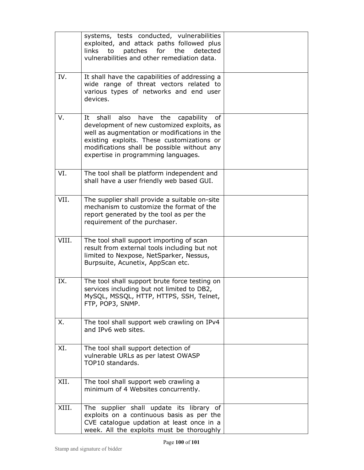|       | systems, tests conducted, vulnerabilities<br>exploited, and attack paths followed plus<br>the<br>to<br>patches for<br>detected<br>links<br>vulnerabilities and other remediation data.                                                                                                   |  |
|-------|------------------------------------------------------------------------------------------------------------------------------------------------------------------------------------------------------------------------------------------------------------------------------------------|--|
| IV.   | It shall have the capabilities of addressing a<br>wide range of threat vectors related to<br>various types of networks and end user<br>devices.                                                                                                                                          |  |
| v.    | shall<br>also<br>capability<br>It<br>have<br>the<br>οf<br>development of new customized exploits, as<br>well as augmentation or modifications in the<br>existing exploits. These customizations or<br>modifications shall be possible without any<br>expertise in programming languages. |  |
| VI.   | The tool shall be platform independent and<br>shall have a user friendly web based GUI.                                                                                                                                                                                                  |  |
| VII.  | The supplier shall provide a suitable on-site<br>mechanism to customize the format of the<br>report generated by the tool as per the<br>requirement of the purchaser.                                                                                                                    |  |
| VIII. | The tool shall support importing of scan<br>result from external tools including but not<br>limited to Nexpose, NetSparker, Nessus,<br>Burpsuite, Acunetix, AppScan etc.                                                                                                                 |  |
| IX.   | The tool shall support brute force testing on<br>services including but not limited to DB2,<br>MySQL, MSSQL, HTTP, HTTPS, SSH, Telnet,<br>FTP, POP3, SNMP.                                                                                                                               |  |
| Χ.    | The tool shall support web crawling on IPv4<br>and IPv6 web sites.                                                                                                                                                                                                                       |  |
| XI.   | The tool shall support detection of<br>vulnerable URLs as per latest OWASP<br>TOP10 standards.                                                                                                                                                                                           |  |
| XII.  | The tool shall support web crawling a<br>minimum of 4 Websites concurrently.                                                                                                                                                                                                             |  |
| XIII. | The supplier shall update its library of<br>exploits on a continuous basis as per the<br>CVE catalogue updation at least once in a<br>week. All the exploits must be thoroughly                                                                                                          |  |